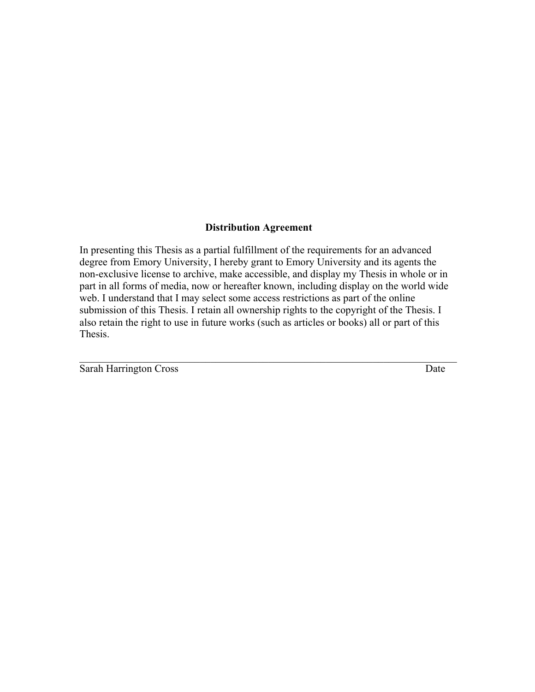# **Distribution Agreement**

In presenting this Thesis as a partial fulfillment of the requirements for an advanced degree from Emory University, I hereby grant to Emory University and its agents the non-exclusive license to archive, make accessible, and display my Thesis in whole or in part in all forms of media, now or hereafter known, including display on the world wide web. I understand that I may select some access restrictions as part of the online submission of this Thesis. I retain all ownership rights to the copyright of the Thesis. I also retain the right to use in future works (such as articles or books) all or part of this Thesis.

 $\mathcal{L}_\text{max} = \mathcal{L}_\text{max} = \mathcal{L}_\text{max} = \mathcal{L}_\text{max} = \mathcal{L}_\text{max} = \mathcal{L}_\text{max} = \mathcal{L}_\text{max} = \mathcal{L}_\text{max} = \mathcal{L}_\text{max} = \mathcal{L}_\text{max} = \mathcal{L}_\text{max} = \mathcal{L}_\text{max} = \mathcal{L}_\text{max} = \mathcal{L}_\text{max} = \mathcal{L}_\text{max} = \mathcal{L}_\text{max} = \mathcal{L}_\text{max} = \mathcal{L}_\text{max} = \mathcal{$ 

Sarah Harrington Cross Date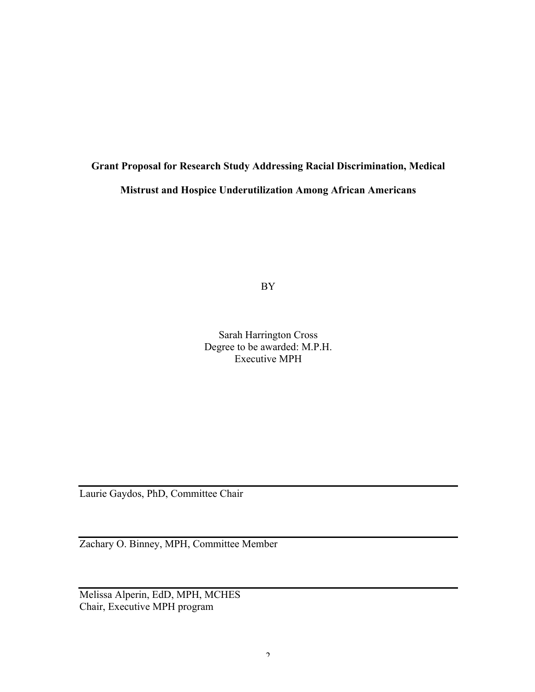# **Grant Proposal for Research Study Addressing Racial Discrimination, Medical Mistrust and Hospice Underutilization Among African Americans**

BY

Sarah Harrington Cross Degree to be awarded: M.P.H. Executive MPH

Laurie Gaydos, PhD, Committee Chair

Zachary O. Binney, MPH, Committee Member

Melissa Alperin, EdD, MPH, MCHES Chair, Executive MPH program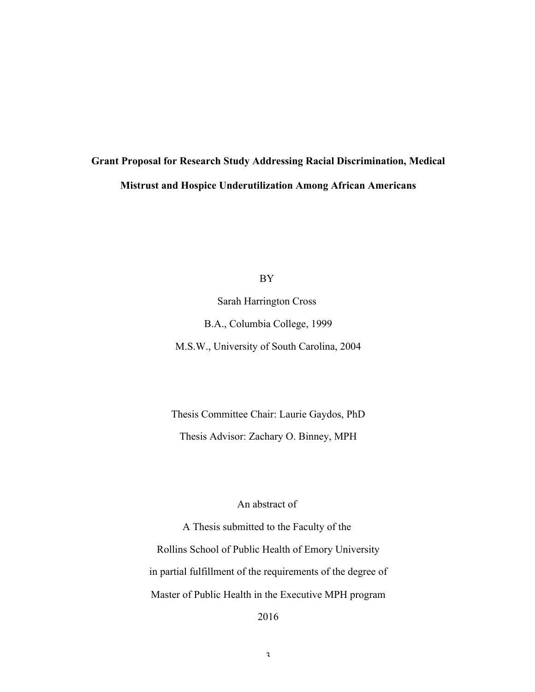# **Grant Proposal for Research Study Addressing Racial Discrimination, Medical Mistrust and Hospice Underutilization Among African Americans**

BY

Sarah Harrington Cross B.A., Columbia College, 1999 M.S.W., University of South Carolina, 2004

Thesis Committee Chair: Laurie Gaydos, PhD Thesis Advisor: Zachary O. Binney, MPH

# An abstract of

A Thesis submitted to the Faculty of the Rollins School of Public Health of Emory University in partial fulfillment of the requirements of the degree of Master of Public Health in the Executive MPH program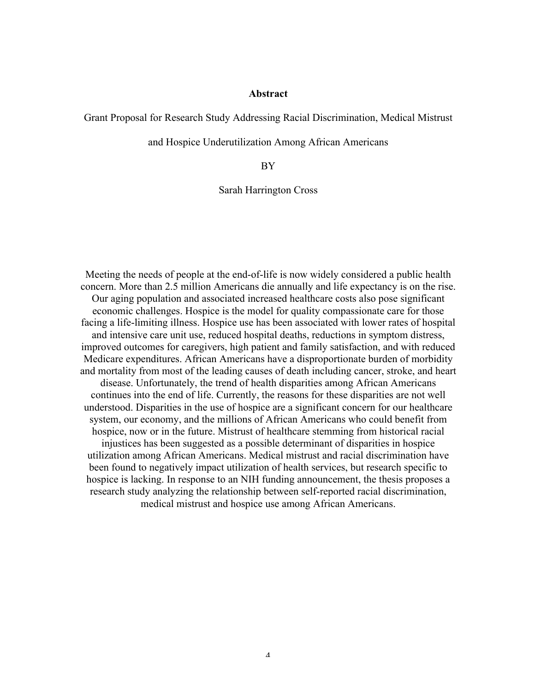# **Abstract**

Grant Proposal for Research Study Addressing Racial Discrimination, Medical Mistrust

and Hospice Underutilization Among African Americans

BY

Sarah Harrington Cross

Meeting the needs of people at the end-of-life is now widely considered a public health concern. More than 2.5 million Americans die annually and life expectancy is on the rise. Our aging population and associated increased healthcare costs also pose significant economic challenges. Hospice is the model for quality compassionate care for those facing a life-limiting illness. Hospice use has been associated with lower rates of hospital and intensive care unit use, reduced hospital deaths, reductions in symptom distress, improved outcomes for caregivers, high patient and family satisfaction, and with reduced Medicare expenditures. African Americans have a disproportionate burden of morbidity and mortality from most of the leading causes of death including cancer, stroke, and heart disease. Unfortunately, the trend of health disparities among African Americans continues into the end of life. Currently, the reasons for these disparities are not well understood. Disparities in the use of hospice are a significant concern for our healthcare system, our economy, and the millions of African Americans who could benefit from hospice, now or in the future. Mistrust of healthcare stemming from historical racial injustices has been suggested as a possible determinant of disparities in hospice utilization among African Americans. Medical mistrust and racial discrimination have been found to negatively impact utilization of health services, but research specific to hospice is lacking. In response to an NIH funding announcement, the thesis proposes a research study analyzing the relationship between self-reported racial discrimination, medical mistrust and hospice use among African Americans.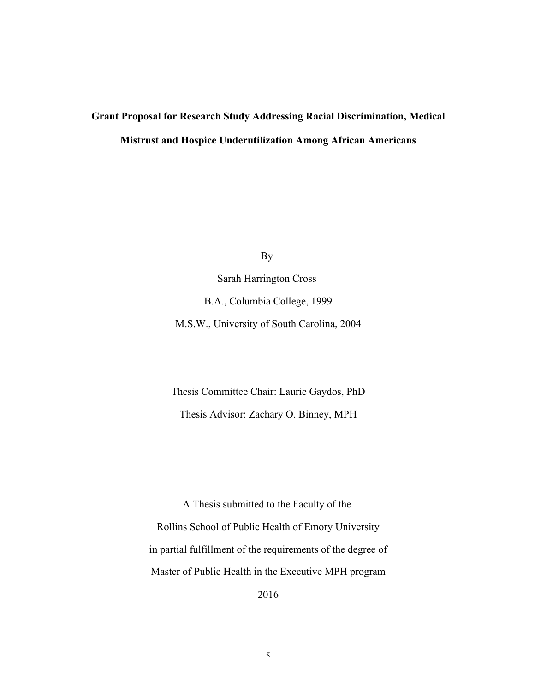# **Grant Proposal for Research Study Addressing Racial Discrimination, Medical Mistrust and Hospice Underutilization Among African Americans**

By

Sarah Harrington Cross B.A., Columbia College, 1999 M.S.W., University of South Carolina, 2004

Thesis Committee Chair: Laurie Gaydos, PhD Thesis Advisor: Zachary O. Binney, MPH

A Thesis submitted to the Faculty of the Rollins School of Public Health of Emory University in partial fulfillment of the requirements of the degree of Master of Public Health in the Executive MPH program 2016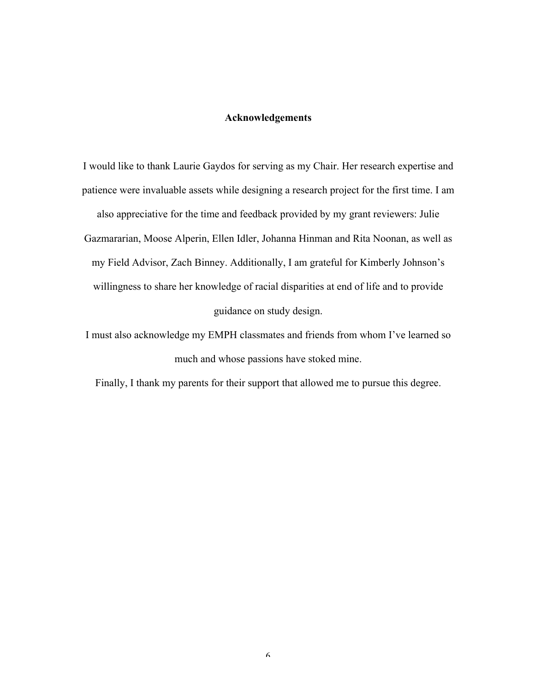# **Acknowledgements**

I would like to thank Laurie Gaydos for serving as my Chair. Her research expertise and patience were invaluable assets while designing a research project for the first time. I am also appreciative for the time and feedback provided by my grant reviewers: Julie Gazmararian, Moose Alperin, Ellen Idler, Johanna Hinman and Rita Noonan, as well as my Field Advisor, Zach Binney. Additionally, I am grateful for Kimberly Johnson's willingness to share her knowledge of racial disparities at end of life and to provide guidance on study design.

I must also acknowledge my EMPH classmates and friends from whom I've learned so much and whose passions have stoked mine.

Finally, I thank my parents for their support that allowed me to pursue this degree.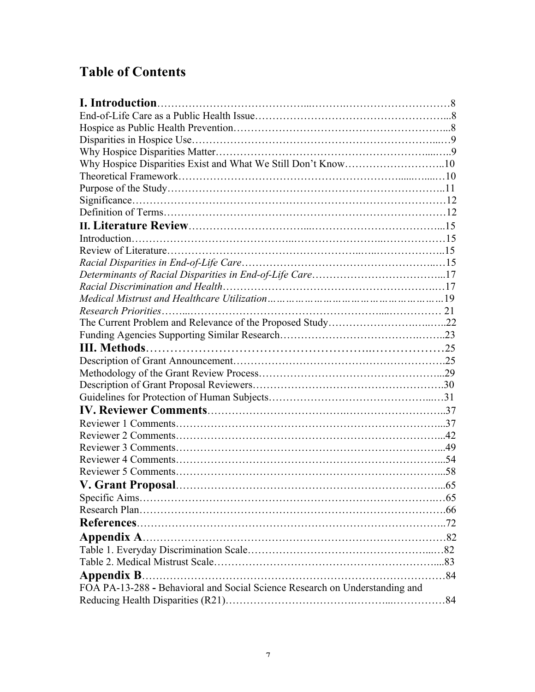# **Table of Contents**

| Why Hospice Disparities Exist and What We Still Don't Know10                |     |
|-----------------------------------------------------------------------------|-----|
|                                                                             |     |
|                                                                             |     |
|                                                                             |     |
|                                                                             |     |
|                                                                             |     |
|                                                                             |     |
|                                                                             |     |
|                                                                             |     |
|                                                                             |     |
|                                                                             |     |
|                                                                             |     |
|                                                                             |     |
|                                                                             |     |
|                                                                             |     |
|                                                                             |     |
|                                                                             |     |
|                                                                             |     |
|                                                                             |     |
|                                                                             |     |
|                                                                             |     |
|                                                                             |     |
|                                                                             |     |
|                                                                             |     |
|                                                                             |     |
|                                                                             |     |
| <b>V. Grant Proposal</b>                                                    | .65 |
|                                                                             |     |
|                                                                             |     |
|                                                                             |     |
|                                                                             |     |
|                                                                             |     |
|                                                                             |     |
|                                                                             |     |
| <b>Appendix B</b>                                                           |     |
| FOA PA-13-288 - Behavioral and Social Science Research on Understanding and |     |
|                                                                             |     |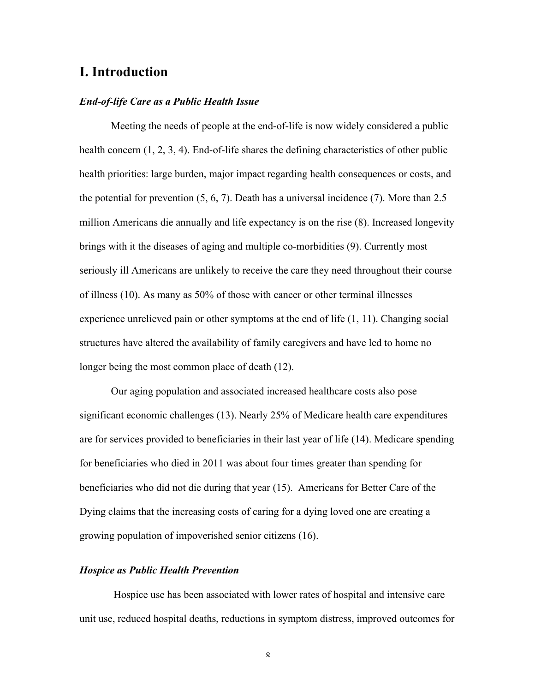# **I. Introduction**

# *End-of-life Care as a Public Health Issue*

Meeting the needs of people at the end-of-life is now widely considered a public health concern (1, 2, 3, 4). End-of-life shares the defining characteristics of other public health priorities: large burden, major impact regarding health consequences or costs, and the potential for prevention (5, 6, 7). Death has a universal incidence (7). More than 2.5 million Americans die annually and life expectancy is on the rise (8). Increased longevity brings with it the diseases of aging and multiple co-morbidities (9). Currently most seriously ill Americans are unlikely to receive the care they need throughout their course of illness (10). As many as 50% of those with cancer or other terminal illnesses experience unrelieved pain or other symptoms at the end of life (1, 11). Changing social structures have altered the availability of family caregivers and have led to home no longer being the most common place of death (12).

Our aging population and associated increased healthcare costs also pose significant economic challenges (13). Nearly 25% of Medicare health care expenditures are for services provided to beneficiaries in their last year of life (14). Medicare spending for beneficiaries who died in 2011 was about four times greater than spending for beneficiaries who did not die during that year (15). Americans for Better Care of the Dying claims that the increasing costs of caring for a dying loved one are creating a growing population of impoverished senior citizens (16).

#### *Hospice as Public Health Prevention*

Hospice use has been associated with lower rates of hospital and intensive care unit use, reduced hospital deaths, reductions in symptom distress, improved outcomes for

 $\mathbf{Q}$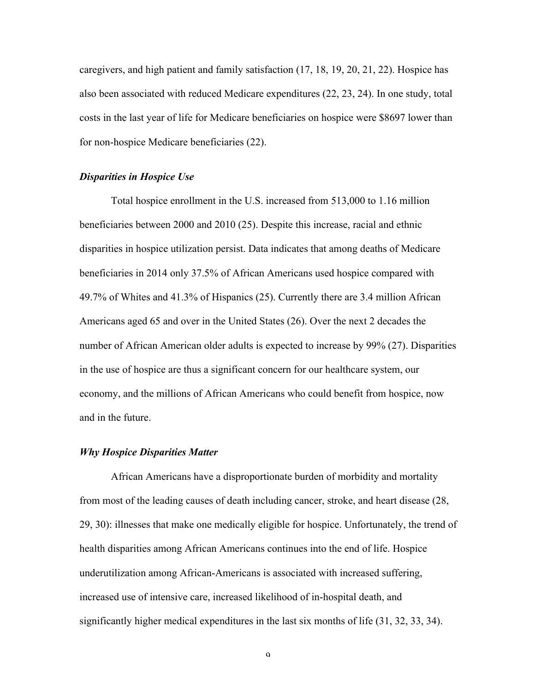caregivers, and high patient and family satisfaction (17, 18, 19, 20, 21, 22). Hospice has also been associated with reduced Medicare expenditures (22, 23, 24). In one study, total costs in the last year of life for Medicare beneficiaries on hospice were \$8697 lower than for non-hospice Medicare beneficiaries (22).

# *Disparities in Hospice Use*

Total hospice enrollment in the U.S. increased from 513,000 to 1.16 million beneficiaries between 2000 and 2010 (25). Despite this increase, racial and ethnic disparities in hospice utilization persist. Data indicates that among deaths of Medicare beneficiaries in 2014 only 37.5% of African Americans used hospice compared with 49.7% of Whites and 41.3% of Hispanics (25). Currently there are 3.4 million African Americans aged 65 and over in the United States (26). Over the next 2 decades the number of African American older adults is expected to increase by 99% (27). Disparities in the use of hospice are thus a significant concern for our healthcare system, our economy, and the millions of African Americans who could benefit from hospice, now and in the future.

# *Why Hospice Disparities Matter*

African Americans have a disproportionate burden of morbidity and mortality from most of the leading causes of death including cancer, stroke, and heart disease (28, 29, 30): illnesses that make one medically eligible for hospice. Unfortunately, the trend of health disparities among African Americans continues into the end of life. Hospice underutilization among African-Americans is associated with increased suffering, increased use of intensive care, increased likelihood of in-hospital death, and significantly higher medical expenditures in the last six months of life (31, 32, 33, 34).

 $\alpha$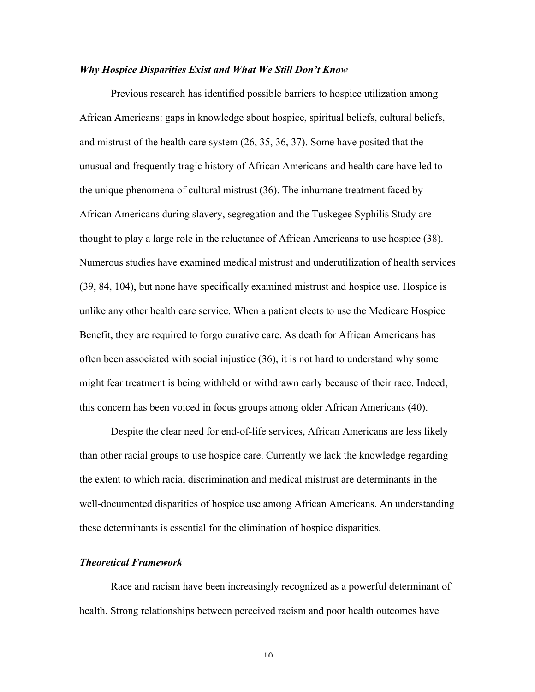#### *Why Hospice Disparities Exist and What We Still Don't Know*

Previous research has identified possible barriers to hospice utilization among African Americans: gaps in knowledge about hospice, spiritual beliefs, cultural beliefs, and mistrust of the health care system (26, 35, 36, 37). Some have posited that the unusual and frequently tragic history of African Americans and health care have led to the unique phenomena of cultural mistrust (36). The inhumane treatment faced by African Americans during slavery, segregation and the Tuskegee Syphilis Study are thought to play a large role in the reluctance of African Americans to use hospice (38). Numerous studies have examined medical mistrust and underutilization of health services (39, 84, 104), but none have specifically examined mistrust and hospice use. Hospice is unlike any other health care service. When a patient elects to use the Medicare Hospice Benefit, they are required to forgo curative care. As death for African Americans has often been associated with social injustice (36), it is not hard to understand why some might fear treatment is being withheld or withdrawn early because of their race. Indeed, this concern has been voiced in focus groups among older African Americans (40).

Despite the clear need for end-of-life services, African Americans are less likely than other racial groups to use hospice care. Currently we lack the knowledge regarding the extent to which racial discrimination and medical mistrust are determinants in the well-documented disparities of hospice use among African Americans. An understanding these determinants is essential for the elimination of hospice disparities.

# *Theoretical Framework*

Race and racism have been increasingly recognized as a powerful determinant of health. Strong relationships between perceived racism and poor health outcomes have

 $1<sub>0</sub>$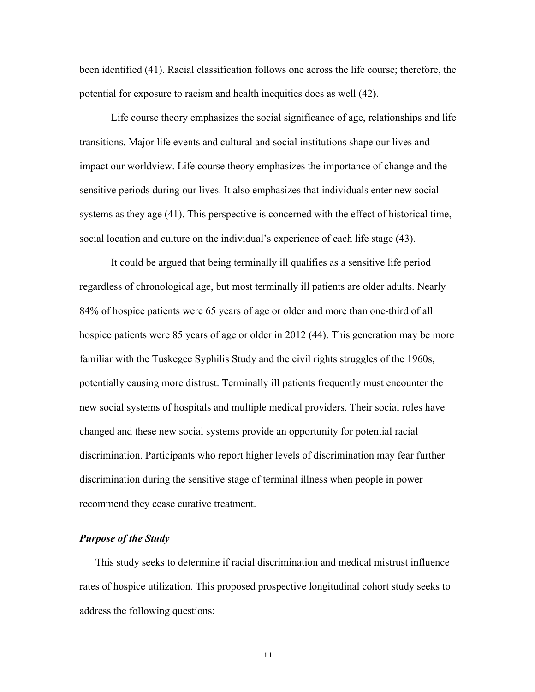been identified (41). Racial classification follows one across the life course; therefore, the potential for exposure to racism and health inequities does as well (42).

Life course theory emphasizes the social significance of age, relationships and life transitions. Major life events and cultural and social institutions shape our lives and impact our worldview. Life course theory emphasizes the importance of change and the sensitive periods during our lives. It also emphasizes that individuals enter new social systems as they age (41). This perspective is concerned with the effect of historical time, social location and culture on the individual's experience of each life stage (43).

It could be argued that being terminally ill qualifies as a sensitive life period regardless of chronological age, but most terminally ill patients are older adults. Nearly 84% of hospice patients were 65 years of age or older and more than one-third of all hospice patients were 85 years of age or older in 2012 (44). This generation may be more familiar with the Tuskegee Syphilis Study and the civil rights struggles of the 1960s, potentially causing more distrust. Terminally ill patients frequently must encounter the new social systems of hospitals and multiple medical providers. Their social roles have changed and these new social systems provide an opportunity for potential racial discrimination. Participants who report higher levels of discrimination may fear further discrimination during the sensitive stage of terminal illness when people in power recommend they cease curative treatment.

# *Purpose of the Study*

This study seeks to determine if racial discrimination and medical mistrust influence rates of hospice utilization. This proposed prospective longitudinal cohort study seeks to address the following questions: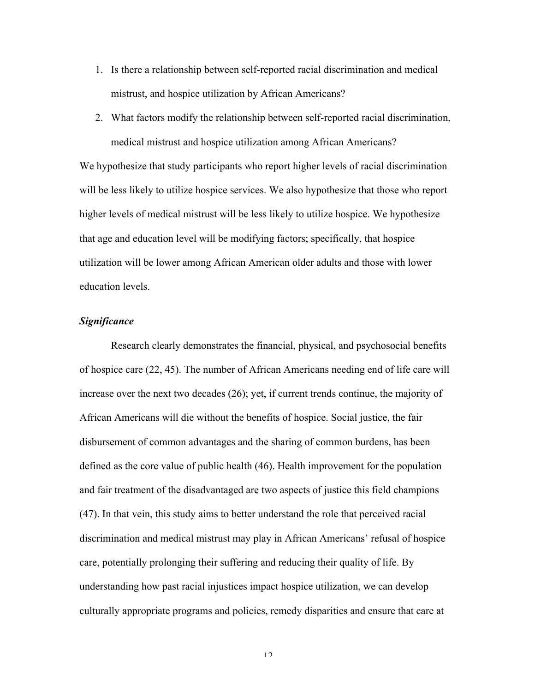- 1. Is there a relationship between self-reported racial discrimination and medical mistrust, and hospice utilization by African Americans?
- 2. What factors modify the relationship between self-reported racial discrimination, medical mistrust and hospice utilization among African Americans?

We hypothesize that study participants who report higher levels of racial discrimination will be less likely to utilize hospice services. We also hypothesize that those who report higher levels of medical mistrust will be less likely to utilize hospice. We hypothesize that age and education level will be modifying factors; specifically, that hospice utilization will be lower among African American older adults and those with lower education levels.

#### *Significance*

Research clearly demonstrates the financial, physical, and psychosocial benefits of hospice care (22, 45). The number of African Americans needing end of life care will increase over the next two decades (26); yet, if current trends continue, the majority of African Americans will die without the benefits of hospice. Social justice, the fair disbursement of common advantages and the sharing of common burdens, has been defined as the core value of public health (46). Health improvement for the population and fair treatment of the disadvantaged are two aspects of justice this field champions (47). In that vein, this study aims to better understand the role that perceived racial discrimination and medical mistrust may play in African Americans' refusal of hospice care, potentially prolonging their suffering and reducing their quality of life. By understanding how past racial injustices impact hospice utilization, we can develop culturally appropriate programs and policies, remedy disparities and ensure that care at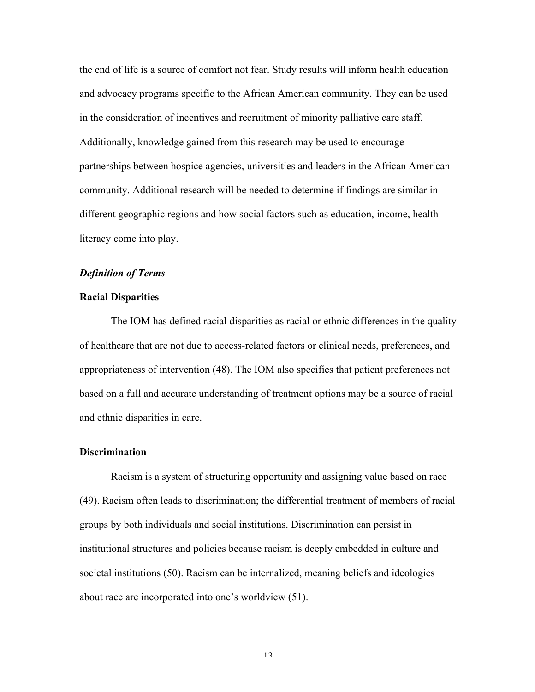the end of life is a source of comfort not fear. Study results will inform health education and advocacy programs specific to the African American community. They can be used in the consideration of incentives and recruitment of minority palliative care staff. Additionally, knowledge gained from this research may be used to encourage partnerships between hospice agencies, universities and leaders in the African American community. Additional research will be needed to determine if findings are similar in different geographic regions and how social factors such as education, income, health literacy come into play.

# *Definition of Terms*

# **Racial Disparities**

The IOM has defined racial disparities as racial or ethnic differences in the quality of healthcare that are not due to access-related factors or clinical needs, preferences, and appropriateness of intervention (48). The IOM also specifies that patient preferences not based on a full and accurate understanding of treatment options may be a source of racial and ethnic disparities in care.

# **Discrimination**

Racism is a system of structuring opportunity and assigning value based on race (49). Racism often leads to discrimination; the differential treatment of members of racial groups by both individuals and social institutions. Discrimination can persist in institutional structures and policies because racism is deeply embedded in culture and societal institutions (50). Racism can be internalized, meaning beliefs and ideologies about race are incorporated into one's worldview (51).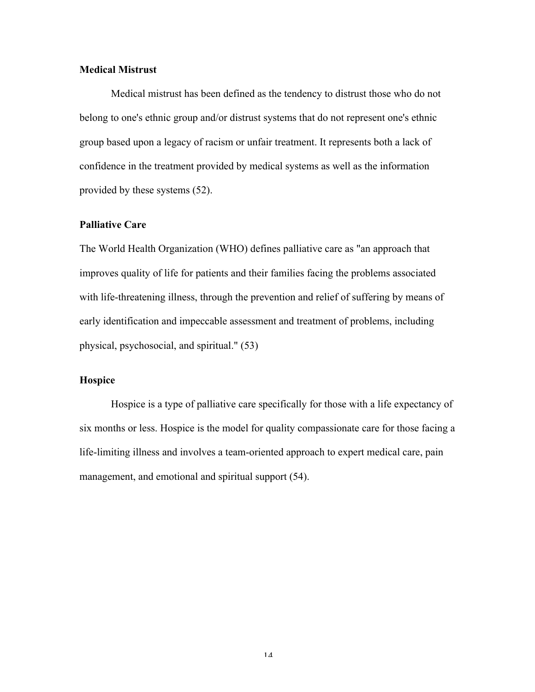# **Medical Mistrust**

Medical mistrust has been defined as the tendency to distrust those who do not belong to one's ethnic group and/or distrust systems that do not represent one's ethnic group based upon a legacy of racism or unfair treatment. It represents both a lack of confidence in the treatment provided by medical systems as well as the information provided by these systems (52).

#### **Palliative Care**

The World Health Organization (WHO) defines palliative care as "an approach that improves quality of life for patients and their families facing the problems associated with life-threatening illness, through the prevention and relief of suffering by means of early identification and impeccable assessment and treatment of problems, including physical, psychosocial, and spiritual." (53)

# **Hospice**

Hospice is a type of palliative care specifically for those with a life expectancy of six months or less. Hospice is the model for quality compassionate care for those facing a life-limiting illness and involves a team-oriented approach to expert medical care, pain management, and emotional and spiritual support (54).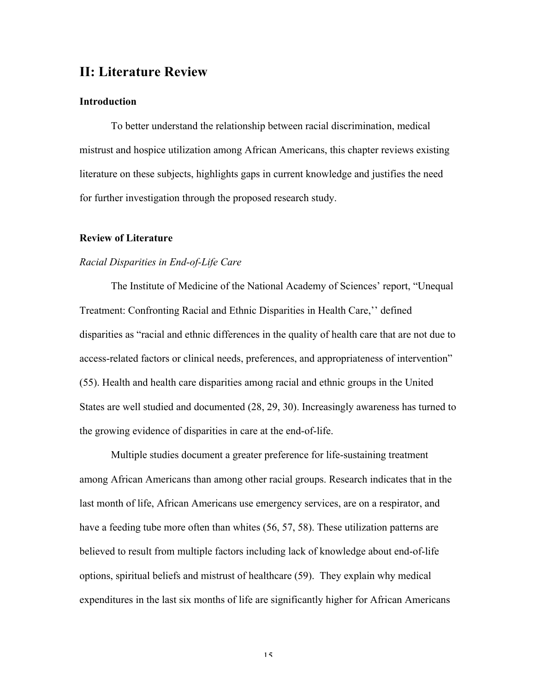# **II: Literature Review**

# **Introduction**

To better understand the relationship between racial discrimination, medical mistrust and hospice utilization among African Americans, this chapter reviews existing literature on these subjects, highlights gaps in current knowledge and justifies the need for further investigation through the proposed research study.

# **Review of Literature**

# *Racial Disparities in End-of-Life Care*

The Institute of Medicine of the National Academy of Sciences' report, "Unequal Treatment: Confronting Racial and Ethnic Disparities in Health Care,'' defined disparities as "racial and ethnic differences in the quality of health care that are not due to access-related factors or clinical needs, preferences, and appropriateness of intervention" (55). Health and health care disparities among racial and ethnic groups in the United States are well studied and documented (28, 29, 30). Increasingly awareness has turned to the growing evidence of disparities in care at the end-of-life.

Multiple studies document a greater preference for life-sustaining treatment among African Americans than among other racial groups. Research indicates that in the last month of life, African Americans use emergency services, are on a respirator, and have a feeding tube more often than whites (56, 57, 58). These utilization patterns are believed to result from multiple factors including lack of knowledge about end-of-life options, spiritual beliefs and mistrust of healthcare (59). They explain why medical expenditures in the last six months of life are significantly higher for African Americans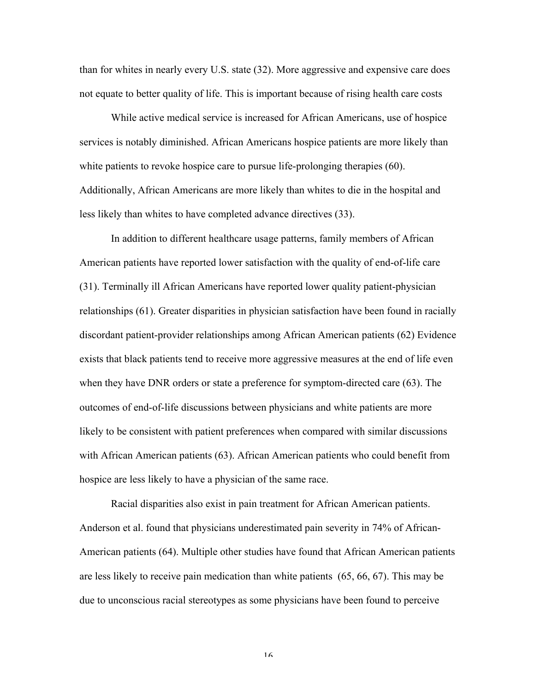than for whites in nearly every U.S. state (32). More aggressive and expensive care does not equate to better quality of life. This is important because of rising health care costs

While active medical service is increased for African Americans, use of hospice services is notably diminished. African Americans hospice patients are more likely than white patients to revoke hospice care to pursue life-prolonging therapies (60). Additionally, African Americans are more likely than whites to die in the hospital and less likely than whites to have completed advance directives (33).

In addition to different healthcare usage patterns, family members of African American patients have reported lower satisfaction with the quality of end-of-life care (31). Terminally ill African Americans have reported lower quality patient-physician relationships (61). Greater disparities in physician satisfaction have been found in racially discordant patient-provider relationships among African American patients (62) Evidence exists that black patients tend to receive more aggressive measures at the end of life even when they have DNR orders or state a preference for symptom-directed care (63). The outcomes of end-of-life discussions between physicians and white patients are more likely to be consistent with patient preferences when compared with similar discussions with African American patients (63). African American patients who could benefit from hospice are less likely to have a physician of the same race.

Racial disparities also exist in pain treatment for African American patients. Anderson et al. found that physicians underestimated pain severity in 74% of African-American patients (64). Multiple other studies have found that African American patients are less likely to receive pain medication than white patients (65, 66, 67). This may be due to unconscious racial stereotypes as some physicians have been found to perceive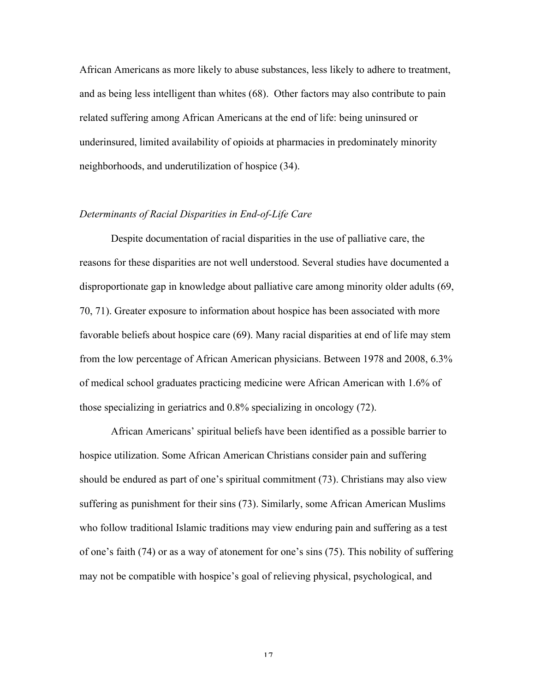African Americans as more likely to abuse substances, less likely to adhere to treatment, and as being less intelligent than whites (68). Other factors may also contribute to pain related suffering among African Americans at the end of life: being uninsured or underinsured, limited availability of opioids at pharmacies in predominately minority neighborhoods, and underutilization of hospice (34).

# *Determinants of Racial Disparities in End-of-Life Care*

Despite documentation of racial disparities in the use of palliative care, the reasons for these disparities are not well understood. Several studies have documented a disproportionate gap in knowledge about palliative care among minority older adults (69, 70, 71). Greater exposure to information about hospice has been associated with more favorable beliefs about hospice care (69). Many racial disparities at end of life may stem from the low percentage of African American physicians. Between 1978 and 2008, 6.3% of medical school graduates practicing medicine were African American with 1.6% of those specializing in geriatrics and 0.8% specializing in oncology (72).

African Americans' spiritual beliefs have been identified as a possible barrier to hospice utilization. Some African American Christians consider pain and suffering should be endured as part of one's spiritual commitment (73). Christians may also view suffering as punishment for their sins (73). Similarly, some African American Muslims who follow traditional Islamic traditions may view enduring pain and suffering as a test of one's faith (74) or as a way of atonement for one's sins (75). This nobility of suffering may not be compatible with hospice's goal of relieving physical, psychological, and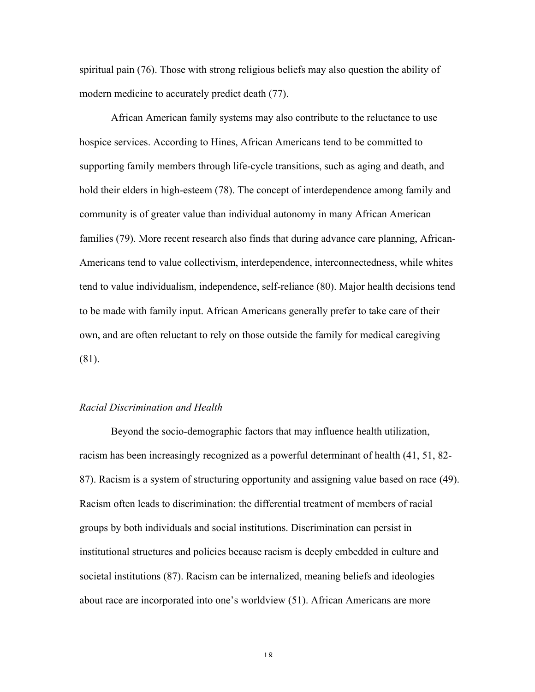spiritual pain (76). Those with strong religious beliefs may also question the ability of modern medicine to accurately predict death (77).

African American family systems may also contribute to the reluctance to use hospice services. According to Hines, African Americans tend to be committed to supporting family members through life-cycle transitions, such as aging and death, and hold their elders in high-esteem (78). The concept of interdependence among family and community is of greater value than individual autonomy in many African American families (79). More recent research also finds that during advance care planning, African-Americans tend to value collectivism, interdependence, interconnectedness, while whites tend to value individualism, independence, self-reliance (80). Major health decisions tend to be made with family input. African Americans generally prefer to take care of their own, and are often reluctant to rely on those outside the family for medical caregiving (81).

### *Racial Discrimination and Health*

Beyond the socio-demographic factors that may influence health utilization, racism has been increasingly recognized as a powerful determinant of health (41, 51, 82- 87). Racism is a system of structuring opportunity and assigning value based on race (49). Racism often leads to discrimination: the differential treatment of members of racial groups by both individuals and social institutions. Discrimination can persist in institutional structures and policies because racism is deeply embedded in culture and societal institutions (87). Racism can be internalized, meaning beliefs and ideologies about race are incorporated into one's worldview (51). African Americans are more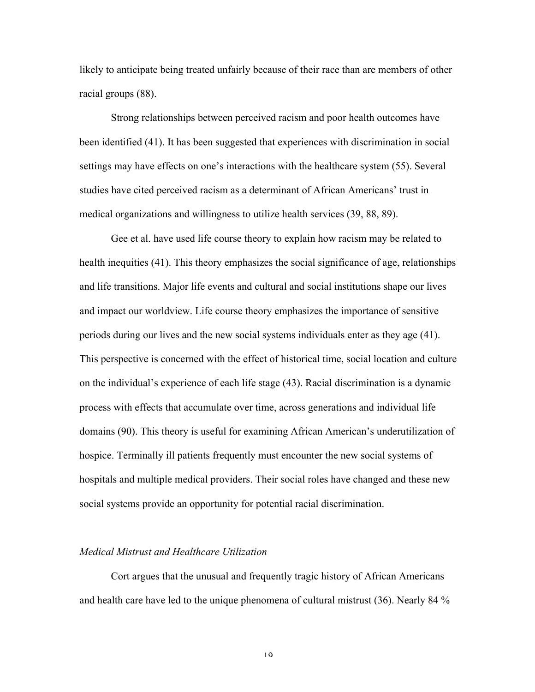likely to anticipate being treated unfairly because of their race than are members of other racial groups (88).

Strong relationships between perceived racism and poor health outcomes have been identified (41). It has been suggested that experiences with discrimination in social settings may have effects on one's interactions with the healthcare system (55). Several studies have cited perceived racism as a determinant of African Americans' trust in medical organizations and willingness to utilize health services (39, 88, 89).

Gee et al. have used life course theory to explain how racism may be related to health inequities (41). This theory emphasizes the social significance of age, relationships and life transitions. Major life events and cultural and social institutions shape our lives and impact our worldview. Life course theory emphasizes the importance of sensitive periods during our lives and the new social systems individuals enter as they age (41). This perspective is concerned with the effect of historical time, social location and culture on the individual's experience of each life stage (43). Racial discrimination is a dynamic process with effects that accumulate over time, across generations and individual life domains (90). This theory is useful for examining African American's underutilization of hospice. Terminally ill patients frequently must encounter the new social systems of hospitals and multiple medical providers. Their social roles have changed and these new social systems provide an opportunity for potential racial discrimination.

#### *Medical Mistrust and Healthcare Utilization*

Cort argues that the unusual and frequently tragic history of African Americans and health care have led to the unique phenomena of cultural mistrust (36). Nearly 84 %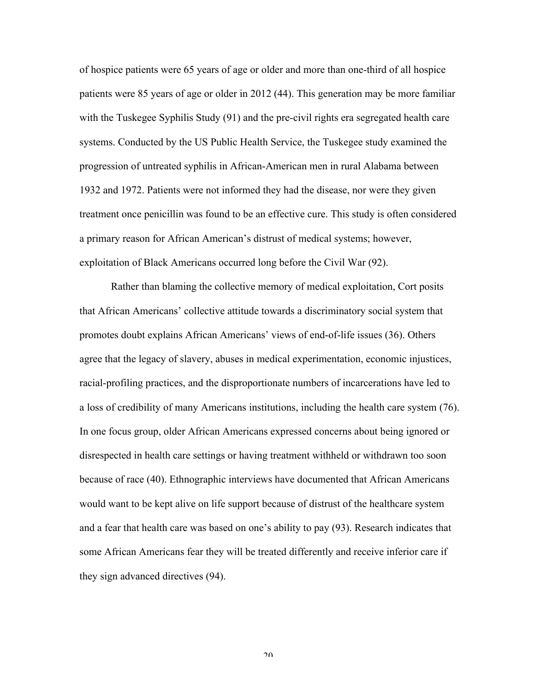of hospice patients were 65 years of age or older and more than one-third of all hospice patients were 85 years of age or older in 2012 (44). This generation may be more familiar with the Tuskegee Syphilis Study (91) and the pre-civil rights era segregated health care systems. Conducted by the US Public Health Service, the Tuskegee study examined the progression of untreated syphilis in African-American men in rural Alabama between 1932 and 1972. Patients were not informed they had the disease, nor were they given treatment once penicillin was found to be an effective cure. This study is often considered a primary reason for African American's distrust of medical systems; however, exploitation of Black Americans occurred long before the Civil War (92).

Rather than blaming the collective memory of medical exploitation, Cort posits that African Americans' collective attitude towards a discriminatory social system that promotes doubt explains African Americans' views of end-of-life issues (36). Others agree that the legacy of slavery, abuses in medical experimentation, economic injustices, racial-profiling practices, and the disproportionate numbers of incarcerations have led to a loss of credibility of many Americans institutions, including the health care system (76). In one focus group, older African Americans expressed concerns about being ignored or disrespected in health care settings or having treatment withheld or withdrawn too soon because of race (40). Ethnographic interviews have documented that African Americans would want to be kept alive on life support because of distrust of the healthcare system and a fear that health care was based on one's ability to pay (93). Research indicates that some African Americans fear they will be treated differently and receive inferior care if they sign advanced directives (94).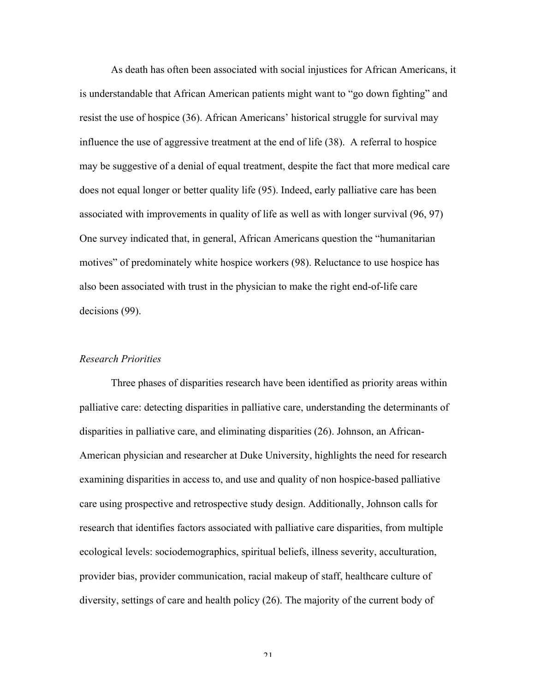As death has often been associated with social injustices for African Americans, it is understandable that African American patients might want to "go down fighting" and resist the use of hospice (36). African Americans' historical struggle for survival may influence the use of aggressive treatment at the end of life (38). A referral to hospice may be suggestive of a denial of equal treatment, despite the fact that more medical care does not equal longer or better quality life (95). Indeed, early palliative care has been associated with improvements in quality of life as well as with longer survival (96, 97) One survey indicated that, in general, African Americans question the "humanitarian motives" of predominately white hospice workers (98). Reluctance to use hospice has also been associated with trust in the physician to make the right end-of-life care decisions (99).

# *Research Priorities*

Three phases of disparities research have been identified as priority areas within palliative care: detecting disparities in palliative care, understanding the determinants of disparities in palliative care, and eliminating disparities (26). Johnson, an African-American physician and researcher at Duke University, highlights the need for research examining disparities in access to, and use and quality of non hospice-based palliative care using prospective and retrospective study design. Additionally, Johnson calls for research that identifies factors associated with palliative care disparities, from multiple ecological levels: sociodemographics, spiritual beliefs, illness severity, acculturation, provider bias, provider communication, racial makeup of staff, healthcare culture of diversity, settings of care and health policy (26). The majority of the current body of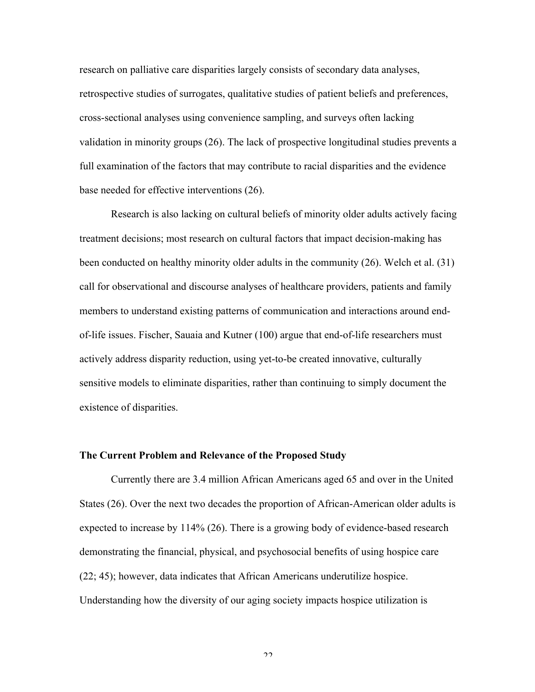research on palliative care disparities largely consists of secondary data analyses, retrospective studies of surrogates, qualitative studies of patient beliefs and preferences, cross-sectional analyses using convenience sampling, and surveys often lacking validation in minority groups (26). The lack of prospective longitudinal studies prevents a full examination of the factors that may contribute to racial disparities and the evidence base needed for effective interventions (26).

Research is also lacking on cultural beliefs of minority older adults actively facing treatment decisions; most research on cultural factors that impact decision-making has been conducted on healthy minority older adults in the community (26). Welch et al. (31) call for observational and discourse analyses of healthcare providers, patients and family members to understand existing patterns of communication and interactions around endof-life issues. Fischer, Sauaia and Kutner (100) argue that end-of-life researchers must actively address disparity reduction, using yet-to-be created innovative, culturally sensitive models to eliminate disparities, rather than continuing to simply document the existence of disparities.

#### **The Current Problem and Relevance of the Proposed Study**

Currently there are 3.4 million African Americans aged 65 and over in the United States (26). Over the next two decades the proportion of African-American older adults is expected to increase by 114% (26). There is a growing body of evidence-based research demonstrating the financial, physical, and psychosocial benefits of using hospice care (22; 45); however, data indicates that African Americans underutilize hospice. Understanding how the diversity of our aging society impacts hospice utilization is

 $\mathfrak{D}$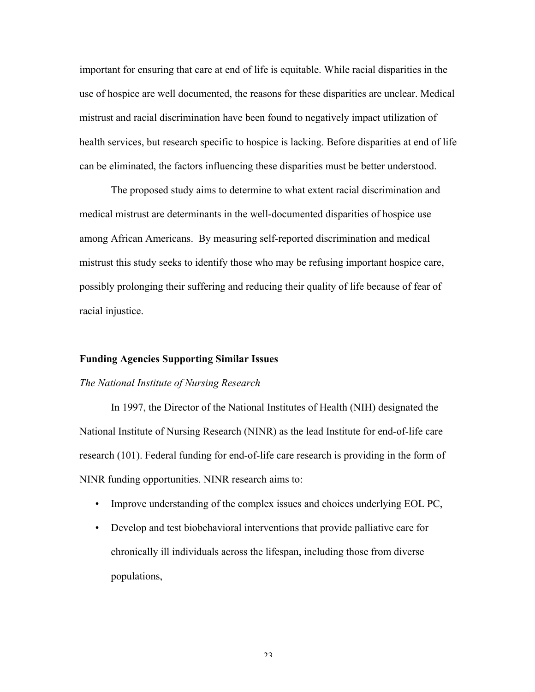important for ensuring that care at end of life is equitable. While racial disparities in the use of hospice are well documented, the reasons for these disparities are unclear. Medical mistrust and racial discrimination have been found to negatively impact utilization of health services, but research specific to hospice is lacking. Before disparities at end of life can be eliminated, the factors influencing these disparities must be better understood.

The proposed study aims to determine to what extent racial discrimination and medical mistrust are determinants in the well-documented disparities of hospice use among African Americans. By measuring self-reported discrimination and medical mistrust this study seeks to identify those who may be refusing important hospice care, possibly prolonging their suffering and reducing their quality of life because of fear of racial injustice.

#### **Funding Agencies Supporting Similar Issues**

#### *The National Institute of Nursing Research*

In 1997, the Director of the National Institutes of Health (NIH) designated the National Institute of Nursing Research (NINR) as the lead Institute for end-of-life care research (101). Federal funding for end-of-life care research is providing in the form of NINR funding opportunities. NINR research aims to:

- Improve understanding of the complex issues and choices underlying EOL PC,
- Develop and test biobehavioral interventions that provide palliative care for chronically ill individuals across the lifespan, including those from diverse populations,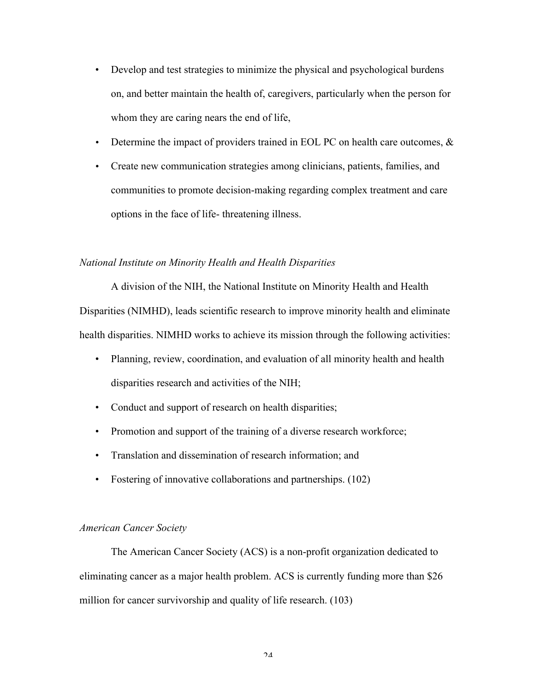- Develop and test strategies to minimize the physical and psychological burdens on, and better maintain the health of, caregivers, particularly when the person for whom they are caring nears the end of life,
- Determine the impact of providers trained in EOL PC on health care outcomes,  $\&$
- Create new communication strategies among clinicians, patients, families, and communities to promote decision-making regarding complex treatment and care options in the face of life- threatening illness.

### *National Institute on Minority Health and Health Disparities*

A division of the NIH, the National Institute on Minority Health and Health Disparities (NIMHD), leads scientific research to improve minority health and eliminate health disparities. NIMHD works to achieve its mission through the following activities:

- Planning, review, coordination, and evaluation of all minority health and health disparities research and activities of the NIH;
- Conduct and support of research on health disparities;
- Promotion and support of the training of a diverse research workforce;
- Translation and dissemination of research information; and
- Fostering of innovative collaborations and partnerships. (102)

# *American Cancer Society*

The American Cancer Society (ACS) is a non-profit organization dedicated to eliminating cancer as a major health problem. ACS is currently funding more than \$26 million for cancer survivorship and quality of life research. (103)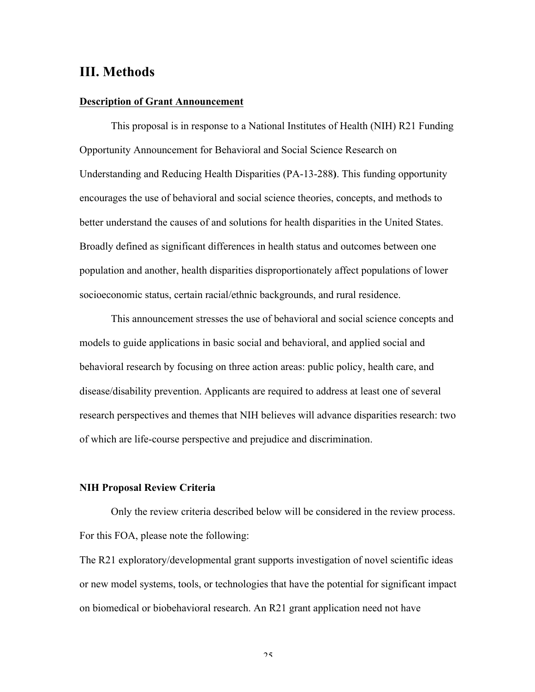# **III. Methods**

## **Description of Grant Announcement**

This proposal is in response to a National Institutes of Health (NIH) R21 Funding Opportunity Announcement for Behavioral and Social Science Research on Understanding and Reducing Health Disparities (PA-13-288**)**. This funding opportunity encourages the use of behavioral and social science theories, concepts, and methods to better understand the causes of and solutions for health disparities in the United States. Broadly defined as significant differences in health status and outcomes between one population and another, health disparities disproportionately affect populations of lower socioeconomic status, certain racial/ethnic backgrounds, and rural residence.

This announcement stresses the use of behavioral and social science concepts and models to guide applications in basic social and behavioral, and applied social and behavioral research by focusing on three action areas: public policy, health care, and disease/disability prevention. Applicants are required to address at least one of several research perspectives and themes that NIH believes will advance disparities research: two of which are life-course perspective and prejudice and discrimination.

# **NIH Proposal Review Criteria**

Only the review criteria described below will be considered in the review process. For this FOA, please note the following:

The R21 exploratory/developmental grant supports investigation of novel scientific ideas or new model systems, tools, or technologies that have the potential for significant impact on biomedical or biobehavioral research. An R21 grant application need not have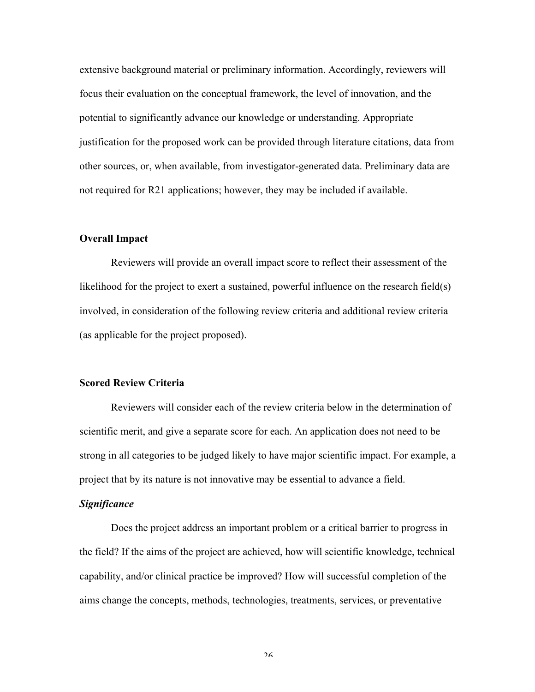extensive background material or preliminary information. Accordingly, reviewers will focus their evaluation on the conceptual framework, the level of innovation, and the potential to significantly advance our knowledge or understanding. Appropriate justification for the proposed work can be provided through literature citations, data from other sources, or, when available, from investigator-generated data. Preliminary data are not required for R21 applications; however, they may be included if available.

# **Overall Impact**

Reviewers will provide an overall impact score to reflect their assessment of the likelihood for the project to exert a sustained, powerful influence on the research field(s) involved, in consideration of the following review criteria and additional review criteria (as applicable for the project proposed).

# **Scored Review Criteria**

Reviewers will consider each of the review criteria below in the determination of scientific merit, and give a separate score for each. An application does not need to be strong in all categories to be judged likely to have major scientific impact. For example, a project that by its nature is not innovative may be essential to advance a field.

#### *Significance*

Does the project address an important problem or a critical barrier to progress in the field? If the aims of the project are achieved, how will scientific knowledge, technical capability, and/or clinical practice be improved? How will successful completion of the aims change the concepts, methods, technologies, treatments, services, or preventative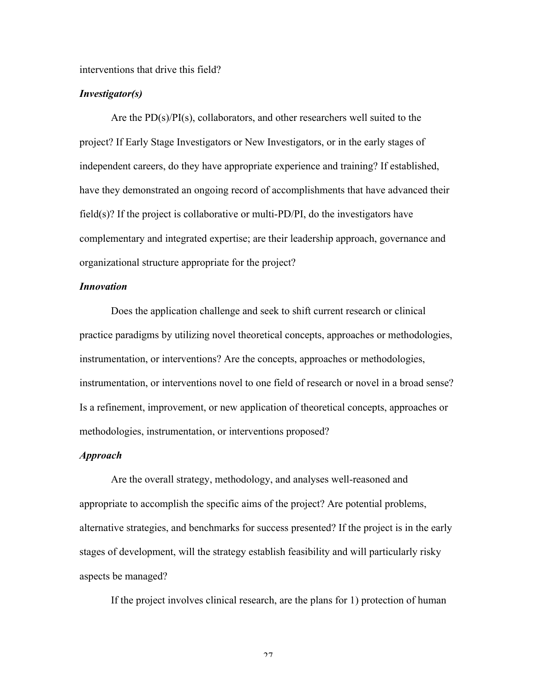#### interventions that drive this field?

# *Investigator(s)*

Are the PD(s)/PI(s), collaborators, and other researchers well suited to the project? If Early Stage Investigators or New Investigators, or in the early stages of independent careers, do they have appropriate experience and training? If established, have they demonstrated an ongoing record of accomplishments that have advanced their field(s)? If the project is collaborative or multi- $PD/PI$ , do the investigators have complementary and integrated expertise; are their leadership approach, governance and organizational structure appropriate for the project?

# *Innovation*

Does the application challenge and seek to shift current research or clinical practice paradigms by utilizing novel theoretical concepts, approaches or methodologies, instrumentation, or interventions? Are the concepts, approaches or methodologies, instrumentation, or interventions novel to one field of research or novel in a broad sense? Is a refinement, improvement, or new application of theoretical concepts, approaches or methodologies, instrumentation, or interventions proposed?

#### *Approach*

Are the overall strategy, methodology, and analyses well-reasoned and appropriate to accomplish the specific aims of the project? Are potential problems, alternative strategies, and benchmarks for success presented? If the project is in the early stages of development, will the strategy establish feasibility and will particularly risky aspects be managed?

If the project involves clinical research, are the plans for 1) protection of human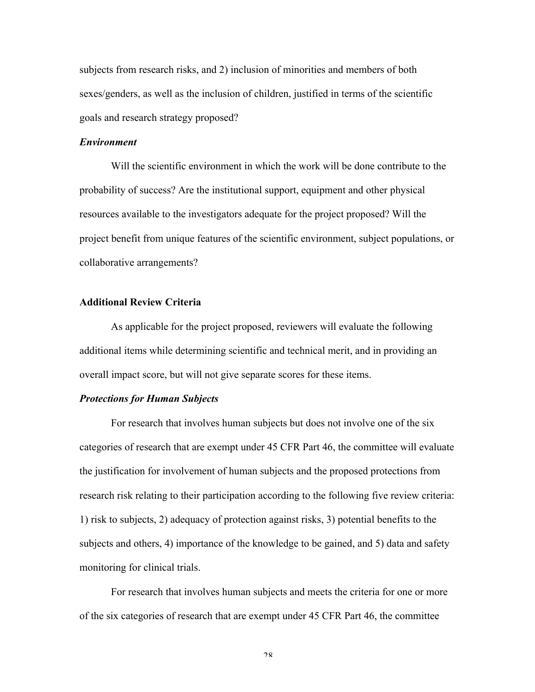subjects from research risks, and 2) inclusion of minorities and members of both sexes/genders, as well as the inclusion of children, justified in terms of the scientific goals and research strategy proposed?

## *Environment*

Will the scientific environment in which the work will be done contribute to the probability of success? Are the institutional support, equipment and other physical resources available to the investigators adequate for the project proposed? Will the project benefit from unique features of the scientific environment, subject populations, or collaborative arrangements?

# **Additional Review Criteria**

As applicable for the project proposed, reviewers will evaluate the following additional items while determining scientific and technical merit, and in providing an overall impact score, but will not give separate scores for these items.

# *Protections for Human Subjects*

For research that involves human subjects but does not involve one of the six categories of research that are exempt under 45 CFR Part 46, the committee will evaluate the justification for involvement of human subjects and the proposed protections from research risk relating to their participation according to the following five review criteria: 1) risk to subjects, 2) adequacy of protection against risks, 3) potential benefits to the subjects and others, 4) importance of the knowledge to be gained, and 5) data and safety monitoring for clinical trials.

For research that involves human subjects and meets the criteria for one or more of the six categories of research that are exempt under 45 CFR Part 46, the committee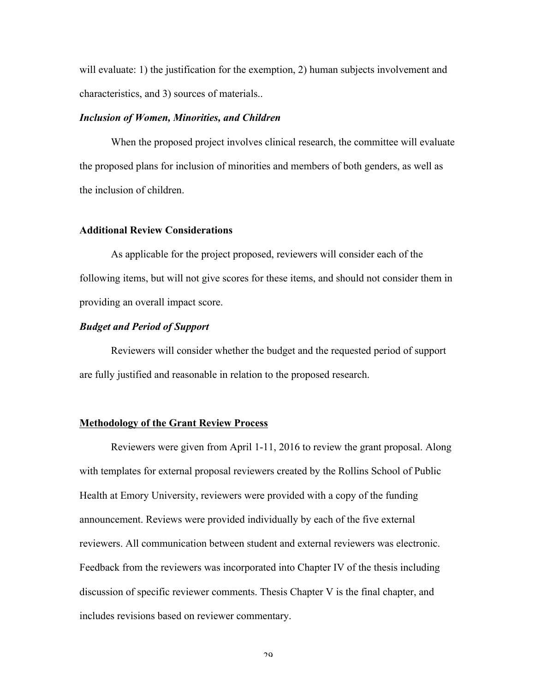will evaluate: 1) the justification for the exemption, 2) human subjects involvement and characteristics, and 3) sources of materials..

#### *Inclusion of Women, Minorities, and Children*

When the proposed project involves clinical research, the committee will evaluate the proposed plans for inclusion of minorities and members of both genders, as well as the inclusion of children.

# **Additional Review Considerations**

As applicable for the project proposed, reviewers will consider each of the following items, but will not give scores for these items, and should not consider them in providing an overall impact score.

# *Budget and Period of Support*

Reviewers will consider whether the budget and the requested period of support are fully justified and reasonable in relation to the proposed research.

# **Methodology of the Grant Review Process**

Reviewers were given from April 1-11, 2016 to review the grant proposal. Along with templates for external proposal reviewers created by the Rollins School of Public Health at Emory University, reviewers were provided with a copy of the funding announcement. Reviews were provided individually by each of the five external reviewers. All communication between student and external reviewers was electronic. Feedback from the reviewers was incorporated into Chapter IV of the thesis including discussion of specific reviewer comments. Thesis Chapter V is the final chapter, and includes revisions based on reviewer commentary.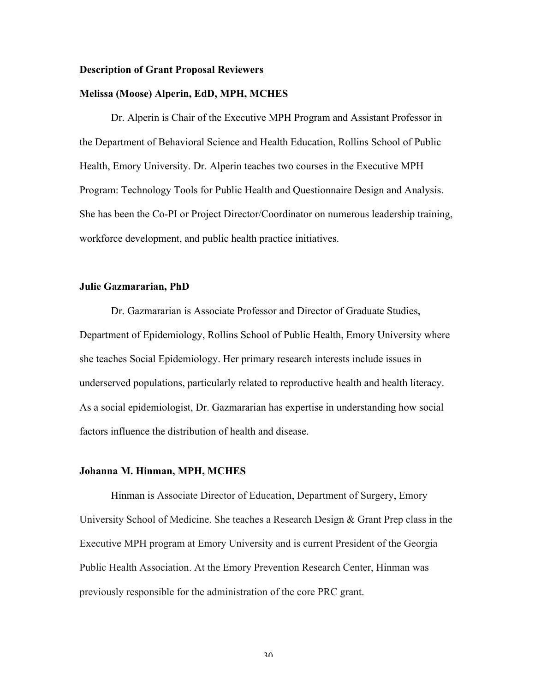#### **Description of Grant Proposal Reviewers**

## **Melissa (Moose) Alperin, EdD, MPH, MCHES**

Dr. Alperin is Chair of the Executive MPH Program and Assistant Professor in the Department of Behavioral Science and Health Education, Rollins School of Public Health, Emory University. Dr. Alperin teaches two courses in the Executive MPH Program: Technology Tools for Public Health and Questionnaire Design and Analysis. She has been the Co-PI or Project Director/Coordinator on numerous leadership training, workforce development, and public health practice initiatives.

# **Julie Gazmararian, PhD**

Dr. Gazmararian is Associate Professor and Director of Graduate Studies, Department of Epidemiology, Rollins School of Public Health, Emory University where she teaches Social Epidemiology. Her primary research interests include issues in underserved populations, particularly related to reproductive health and health literacy. As a social epidemiologist, Dr. Gazmararian has expertise in understanding how social factors influence the distribution of health and disease.

#### **Johanna M. Hinman, MPH, MCHES**

Hinman is Associate Director of Education, Department of Surgery, Emory University School of Medicine. She teaches a Research Design & Grant Prep class in the Executive MPH program at Emory University and is current President of the Georgia Public Health Association. At the Emory Prevention Research Center, Hinman was previously responsible for the administration of the core PRC grant.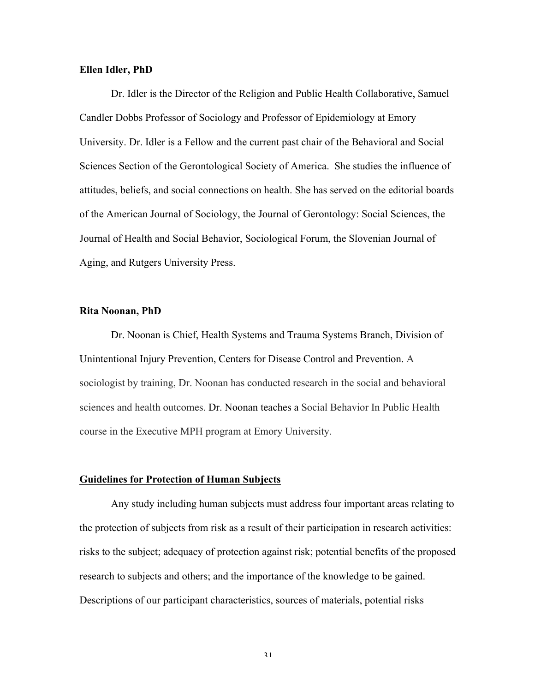# **Ellen Idler, PhD**

Dr. Idler is the Director of the Religion and Public Health Collaborative, Samuel Candler Dobbs Professor of Sociology and Professor of Epidemiology at Emory University. Dr. Idler is a Fellow and the current past chair of the Behavioral and Social Sciences Section of the Gerontological Society of America. She studies the influence of attitudes, beliefs, and social connections on health. She has served on the editorial boards of the American Journal of Sociology, the Journal of Gerontology: Social Sciences, the Journal of Health and Social Behavior, Sociological Forum, the Slovenian Journal of Aging, and Rutgers University Press.

# **Rita Noonan, PhD**

Dr. Noonan is Chief, Health Systems and Trauma Systems Branch, Division of Unintentional Injury Prevention, Centers for Disease Control and Prevention. A sociologist by training, Dr. Noonan has conducted research in the social and behavioral sciences and health outcomes. Dr. Noonan teaches a Social Behavior In Public Health course in the Executive MPH program at Emory University.

#### **Guidelines for Protection of Human Subjects**

Any study including human subjects must address four important areas relating to the protection of subjects from risk as a result of their participation in research activities: risks to the subject; adequacy of protection against risk; potential benefits of the proposed research to subjects and others; and the importance of the knowledge to be gained. Descriptions of our participant characteristics, sources of materials, potential risks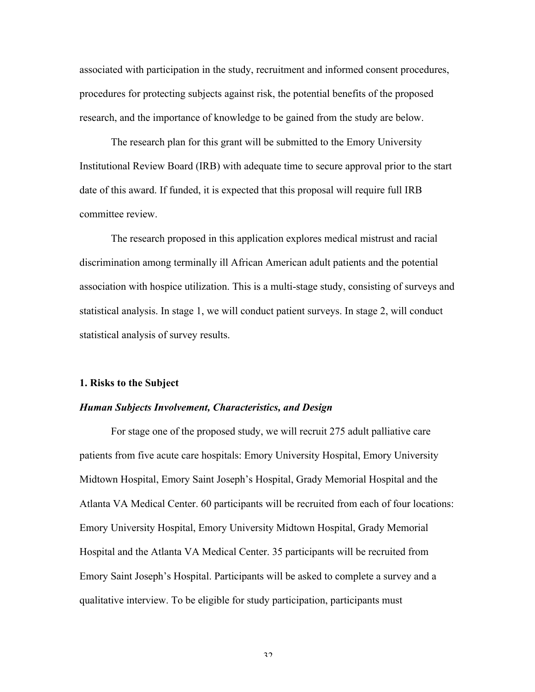associated with participation in the study, recruitment and informed consent procedures, procedures for protecting subjects against risk, the potential benefits of the proposed research, and the importance of knowledge to be gained from the study are below.

The research plan for this grant will be submitted to the Emory University Institutional Review Board (IRB) with adequate time to secure approval prior to the start date of this award. If funded, it is expected that this proposal will require full IRB committee review.

The research proposed in this application explores medical mistrust and racial discrimination among terminally ill African American adult patients and the potential association with hospice utilization. This is a multi-stage study, consisting of surveys and statistical analysis. In stage 1, we will conduct patient surveys. In stage 2, will conduct statistical analysis of survey results.

#### **1. Risks to the Subject**

# *Human Subjects Involvement, Characteristics, and Design*

For stage one of the proposed study, we will recruit 275 adult palliative care patients from five acute care hospitals: Emory University Hospital, Emory University Midtown Hospital, Emory Saint Joseph's Hospital, Grady Memorial Hospital and the Atlanta VA Medical Center. 60 participants will be recruited from each of four locations: Emory University Hospital, Emory University Midtown Hospital, Grady Memorial Hospital and the Atlanta VA Medical Center. 35 participants will be recruited from Emory Saint Joseph's Hospital. Participants will be asked to complete a survey and a qualitative interview. To be eligible for study participation, participants must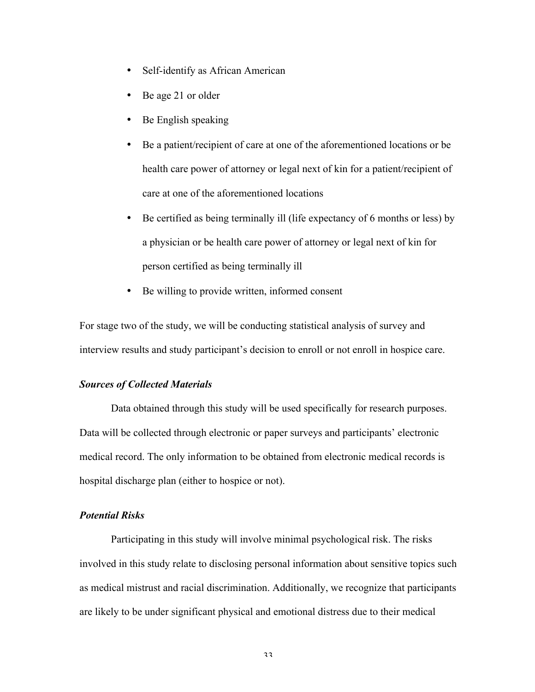- Self-identify as African American
- Be age 21 or older
- Be English speaking
- Be a patient/recipient of care at one of the aforementioned locations or be health care power of attorney or legal next of kin for a patient/recipient of care at one of the aforementioned locations
- Be certified as being terminally ill (life expectancy of 6 months or less) by a physician or be health care power of attorney or legal next of kin for person certified as being terminally ill
- Be willing to provide written, informed consent

For stage two of the study, we will be conducting statistical analysis of survey and interview results and study participant's decision to enroll or not enroll in hospice care.

# *Sources of Collected Materials*

Data obtained through this study will be used specifically for research purposes. Data will be collected through electronic or paper surveys and participants' electronic medical record. The only information to be obtained from electronic medical records is hospital discharge plan (either to hospice or not).

# *Potential Risks*

Participating in this study will involve minimal psychological risk. The risks involved in this study relate to disclosing personal information about sensitive topics such as medical mistrust and racial discrimination. Additionally, we recognize that participants are likely to be under significant physical and emotional distress due to their medical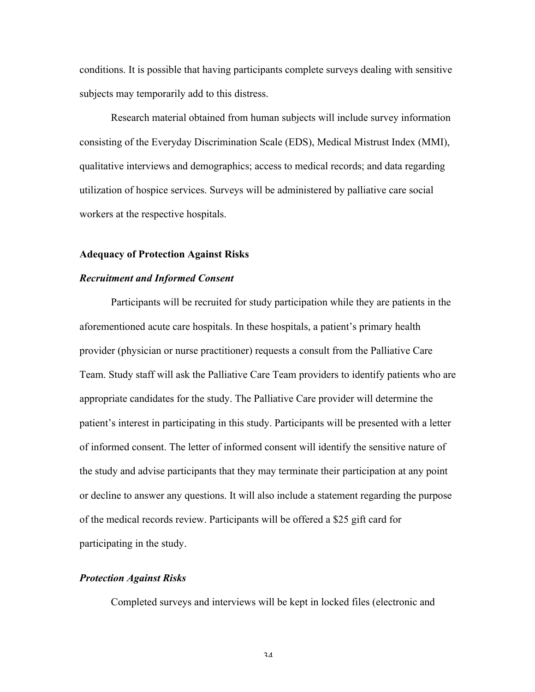conditions. It is possible that having participants complete surveys dealing with sensitive subjects may temporarily add to this distress.

Research material obtained from human subjects will include survey information consisting of the Everyday Discrimination Scale (EDS), Medical Mistrust Index (MMI), qualitative interviews and demographics; access to medical records; and data regarding utilization of hospice services. Surveys will be administered by palliative care social workers at the respective hospitals.

#### **Adequacy of Protection Against Risks**

### *Recruitment and Informed Consent*

Participants will be recruited for study participation while they are patients in the aforementioned acute care hospitals. In these hospitals, a patient's primary health provider (physician or nurse practitioner) requests a consult from the Palliative Care Team. Study staff will ask the Palliative Care Team providers to identify patients who are appropriate candidates for the study. The Palliative Care provider will determine the patient's interest in participating in this study. Participants will be presented with a letter of informed consent. The letter of informed consent will identify the sensitive nature of the study and advise participants that they may terminate their participation at any point or decline to answer any questions. It will also include a statement regarding the purpose of the medical records review. Participants will be offered a \$25 gift card for participating in the study.

# *Protection Against Risks*

Completed surveys and interviews will be kept in locked files (electronic and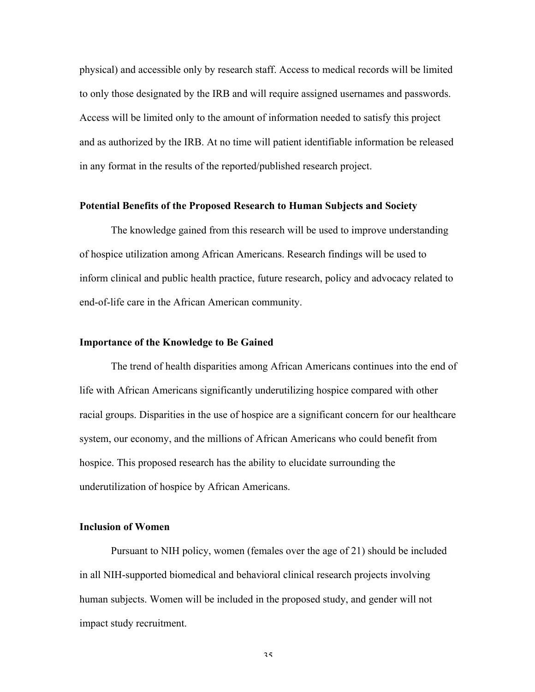physical) and accessible only by research staff. Access to medical records will be limited to only those designated by the IRB and will require assigned usernames and passwords. Access will be limited only to the amount of information needed to satisfy this project and as authorized by the IRB. At no time will patient identifiable information be released in any format in the results of the reported/published research project.

# **Potential Benefits of the Proposed Research to Human Subjects and Society**

The knowledge gained from this research will be used to improve understanding of hospice utilization among African Americans. Research findings will be used to inform clinical and public health practice, future research, policy and advocacy related to end-of-life care in the African American community.

# **Importance of the Knowledge to Be Gained**

The trend of health disparities among African Americans continues into the end of life with African Americans significantly underutilizing hospice compared with other racial groups. Disparities in the use of hospice are a significant concern for our healthcare system, our economy, and the millions of African Americans who could benefit from hospice. This proposed research has the ability to elucidate surrounding the underutilization of hospice by African Americans.

### **Inclusion of Women**

Pursuant to NIH policy, women (females over the age of 21) should be included in all NIH-supported biomedical and behavioral clinical research projects involving human subjects. Women will be included in the proposed study, and gender will not impact study recruitment.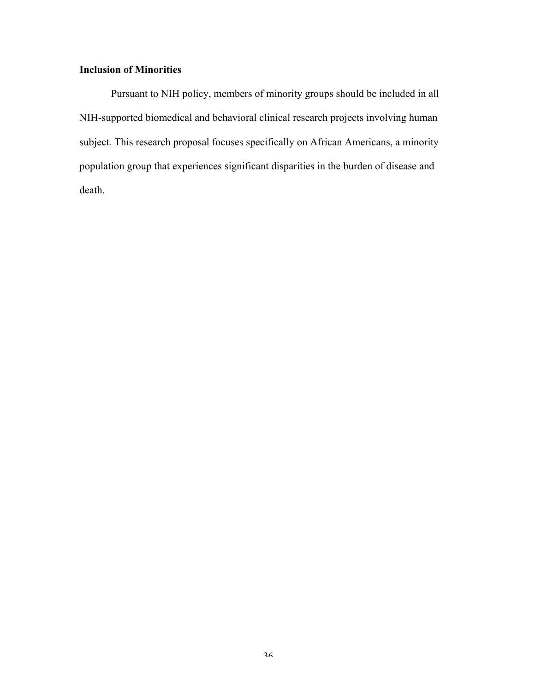# **Inclusion of Minorities**

Pursuant to NIH policy, members of minority groups should be included in all NIH-supported biomedical and behavioral clinical research projects involving human subject. This research proposal focuses specifically on African Americans, a minority population group that experiences significant disparities in the burden of disease and death.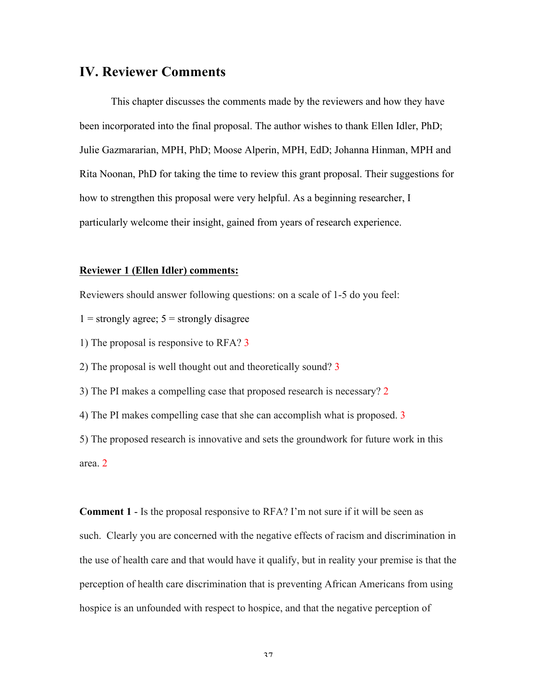## **IV. Reviewer Comments**

This chapter discusses the comments made by the reviewers and how they have been incorporated into the final proposal. The author wishes to thank Ellen Idler, PhD; Julie Gazmararian, MPH, PhD; Moose Alperin, MPH, EdD; Johanna Hinman, MPH and Rita Noonan, PhD for taking the time to review this grant proposal. Their suggestions for how to strengthen this proposal were very helpful. As a beginning researcher, I particularly welcome their insight, gained from years of research experience.

#### **Reviewer 1 (Ellen Idler) comments:**

Reviewers should answer following questions: on a scale of 1-5 do you feel:

- $1 =$  strongly agree;  $5 =$  strongly disagree
- 1) The proposal is responsive to RFA? 3
- 2) The proposal is well thought out and theoretically sound? 3
- 3) The PI makes a compelling case that proposed research is necessary? 2
- 4) The PI makes compelling case that she can accomplish what is proposed. 3

5) The proposed research is innovative and sets the groundwork for future work in this area. 2

**Comment 1** - Is the proposal responsive to RFA? I'm not sure if it will be seen as such. Clearly you are concerned with the negative effects of racism and discrimination in the use of health care and that would have it qualify, but in reality your premise is that the perception of health care discrimination that is preventing African Americans from using hospice is an unfounded with respect to hospice, and that the negative perception of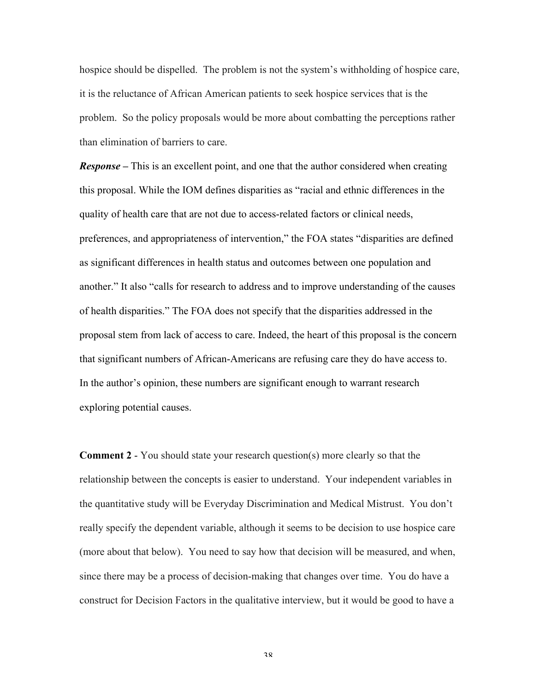hospice should be dispelled. The problem is not the system's withholding of hospice care, it is the reluctance of African American patients to seek hospice services that is the problem. So the policy proposals would be more about combatting the perceptions rather than elimination of barriers to care.

*Response –* This is an excellent point, and one that the author considered when creating this proposal. While the IOM defines disparities as "racial and ethnic differences in the quality of health care that are not due to access-related factors or clinical needs, preferences, and appropriateness of intervention," the FOA states "disparities are defined as significant differences in health status and outcomes between one population and another." It also "calls for research to address and to improve understanding of the causes of health disparities." The FOA does not specify that the disparities addressed in the proposal stem from lack of access to care. Indeed, the heart of this proposal is the concern that significant numbers of African-Americans are refusing care they do have access to. In the author's opinion, these numbers are significant enough to warrant research exploring potential causes.

**Comment 2** - You should state your research question(s) more clearly so that the relationship between the concepts is easier to understand. Your independent variables in the quantitative study will be Everyday Discrimination and Medical Mistrust. You don't really specify the dependent variable, although it seems to be decision to use hospice care (more about that below). You need to say how that decision will be measured, and when, since there may be a process of decision-making that changes over time. You do have a construct for Decision Factors in the qualitative interview, but it would be good to have a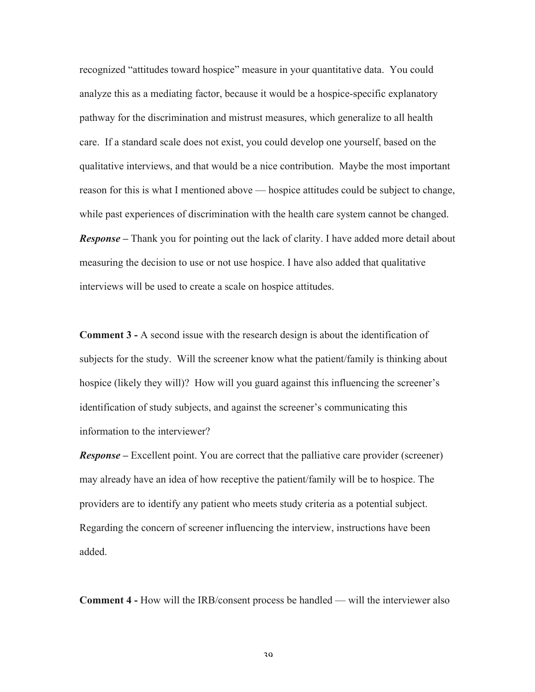recognized "attitudes toward hospice" measure in your quantitative data. You could analyze this as a mediating factor, because it would be a hospice-specific explanatory pathway for the discrimination and mistrust measures, which generalize to all health care. If a standard scale does not exist, you could develop one yourself, based on the qualitative interviews, and that would be a nice contribution. Maybe the most important reason for this is what I mentioned above — hospice attitudes could be subject to change, while past experiences of discrimination with the health care system cannot be changed. *Response –* Thank you for pointing out the lack of clarity. I have added more detail about measuring the decision to use or not use hospice. I have also added that qualitative interviews will be used to create a scale on hospice attitudes.

**Comment 3 -** A second issue with the research design is about the identification of subjects for the study. Will the screener know what the patient/family is thinking about hospice (likely they will)? How will you guard against this influencing the screener's identification of study subjects, and against the screener's communicating this information to the interviewer?

*Response –* Excellent point. You are correct that the palliative care provider (screener) may already have an idea of how receptive the patient/family will be to hospice. The providers are to identify any patient who meets study criteria as a potential subject. Regarding the concern of screener influencing the interview, instructions have been added.

**Comment 4 -** How will the IRB/consent process be handled — will the interviewer also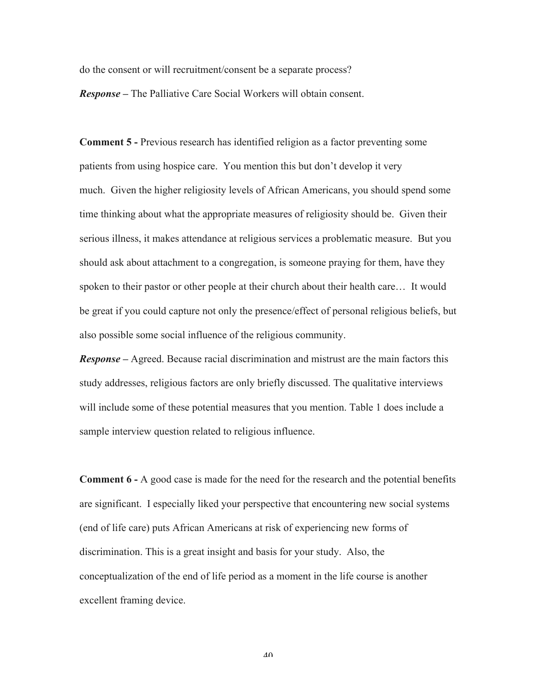do the consent or will recruitment/consent be a separate process?

*Response –* The Palliative Care Social Workers will obtain consent.

**Comment 5 -** Previous research has identified religion as a factor preventing some patients from using hospice care. You mention this but don't develop it very much. Given the higher religiosity levels of African Americans, you should spend some time thinking about what the appropriate measures of religiosity should be. Given their serious illness, it makes attendance at religious services a problematic measure. But you should ask about attachment to a congregation, is someone praying for them, have they spoken to their pastor or other people at their church about their health care… It would be great if you could capture not only the presence/effect of personal religious beliefs, but also possible some social influence of the religious community.

*Response –* Agreed. Because racial discrimination and mistrust are the main factors this study addresses, religious factors are only briefly discussed. The qualitative interviews will include some of these potential measures that you mention. Table 1 does include a sample interview question related to religious influence.

**Comment 6 -** A good case is made for the need for the research and the potential benefits are significant. I especially liked your perspective that encountering new social systems (end of life care) puts African Americans at risk of experiencing new forms of discrimination. This is a great insight and basis for your study. Also, the conceptualization of the end of life period as a moment in the life course is another excellent framing device.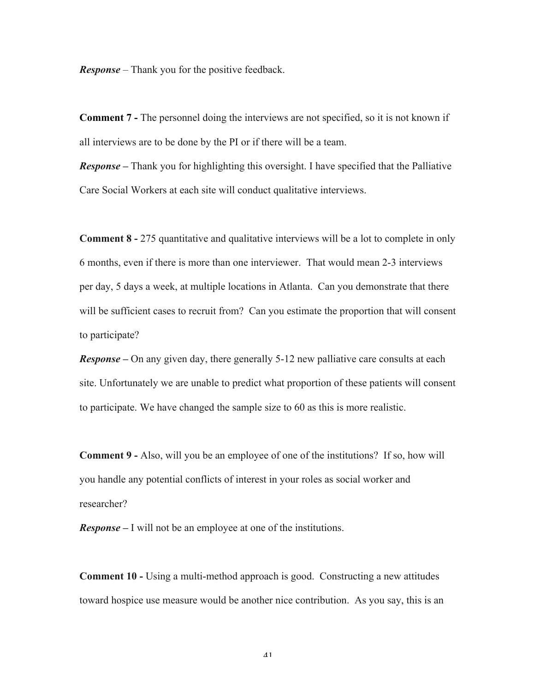*Response* – Thank you for the positive feedback.

**Comment 7 -** The personnel doing the interviews are not specified, so it is not known if all interviews are to be done by the PI or if there will be a team.

*Response –* Thank you for highlighting this oversight. I have specified that the Palliative Care Social Workers at each site will conduct qualitative interviews.

**Comment 8 -** 275 quantitative and qualitative interviews will be a lot to complete in only 6 months, even if there is more than one interviewer. That would mean 2-3 interviews per day, 5 days a week, at multiple locations in Atlanta. Can you demonstrate that there will be sufficient cases to recruit from? Can you estimate the proportion that will consent to participate?

*Response –* On any given day, there generally 5-12 new palliative care consults at each site. Unfortunately we are unable to predict what proportion of these patients will consent to participate. We have changed the sample size to 60 as this is more realistic.

**Comment 9 -** Also, will you be an employee of one of the institutions? If so, how will you handle any potential conflicts of interest in your roles as social worker and researcher?

*Response –* I will not be an employee at one of the institutions.

**Comment 10 -** Using a multi-method approach is good. Constructing a new attitudes toward hospice use measure would be another nice contribution. As you say, this is an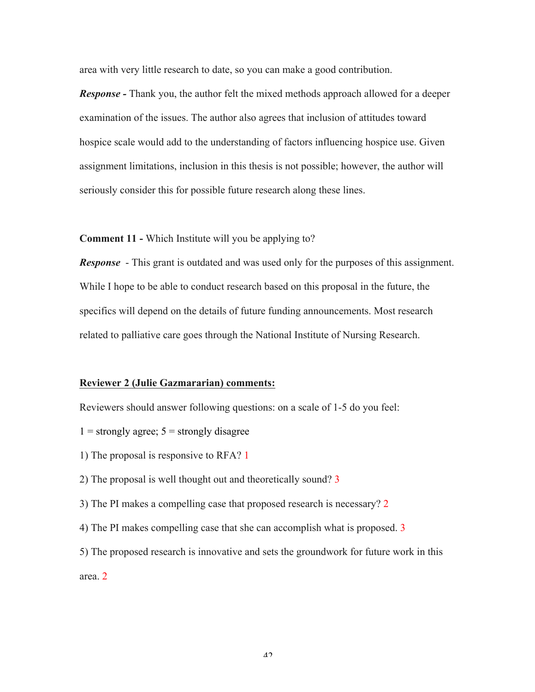area with very little research to date, so you can make a good contribution.

*Response -* Thank you, the author felt the mixed methods approach allowed for a deeper examination of the issues. The author also agrees that inclusion of attitudes toward hospice scale would add to the understanding of factors influencing hospice use. Given assignment limitations, inclusion in this thesis is not possible; however, the author will seriously consider this for possible future research along these lines.

**Comment 11 -** Which Institute will you be applying to?

*Response* - This grant is outdated and was used only for the purposes of this assignment. While I hope to be able to conduct research based on this proposal in the future, the specifics will depend on the details of future funding announcements. Most research related to palliative care goes through the National Institute of Nursing Research.

#### **Reviewer 2 (Julie Gazmararian) comments:**

Reviewers should answer following questions: on a scale of 1-5 do you feel:

- $1 =$  strongly agree;  $5 =$  strongly disagree
- 1) The proposal is responsive to RFA? 1
- 2) The proposal is well thought out and theoretically sound? 3
- 3) The PI makes a compelling case that proposed research is necessary? 2
- 4) The PI makes compelling case that she can accomplish what is proposed. 3

5) The proposed research is innovative and sets the groundwork for future work in this area. 2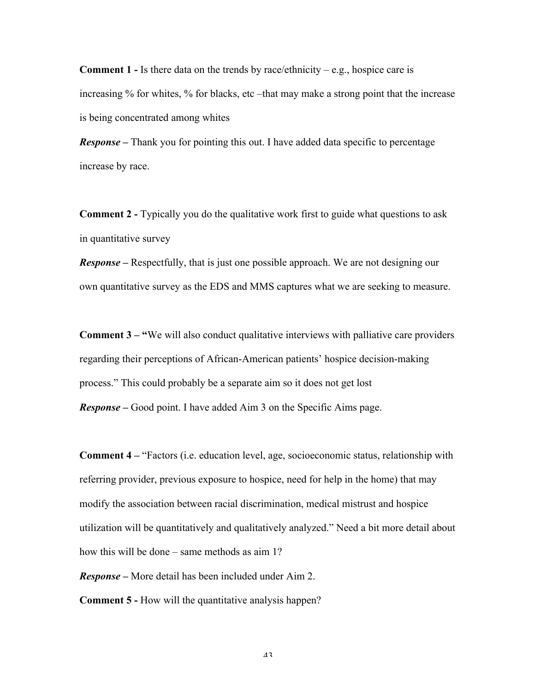**Comment 1 -** Is there data on the trends by race/ethnicity – e.g., hospice care is increasing % for whites, % for blacks, etc –that may make a strong point that the increase is being concentrated among whites

*Response –* Thank you for pointing this out. I have added data specific to percentage increase by race.

**Comment 2 -** Typically you do the qualitative work first to guide what questions to ask in quantitative survey

*Response* – Respectfully, that is just one possible approach. We are not designing our own quantitative survey as the EDS and MMS captures what we are seeking to measure.

**Comment 3 – "**We will also conduct qualitative interviews with palliative care providers regarding their perceptions of African-American patients' hospice decision-making process." This could probably be a separate aim so it does not get lost *Response –* Good point. I have added Aim 3 on the Specific Aims page.

**Comment 4 –** "Factors (i.e. education level, age, socioeconomic status, relationship with referring provider, previous exposure to hospice, need for help in the home) that may modify the association between racial discrimination, medical mistrust and hospice utilization will be quantitatively and qualitatively analyzed." Need a bit more detail about how this will be done – same methods as aim 1?

*Response –* More detail has been included under Aim 2.

**Comment 5 -** How will the quantitative analysis happen?

 $\lambda$ 3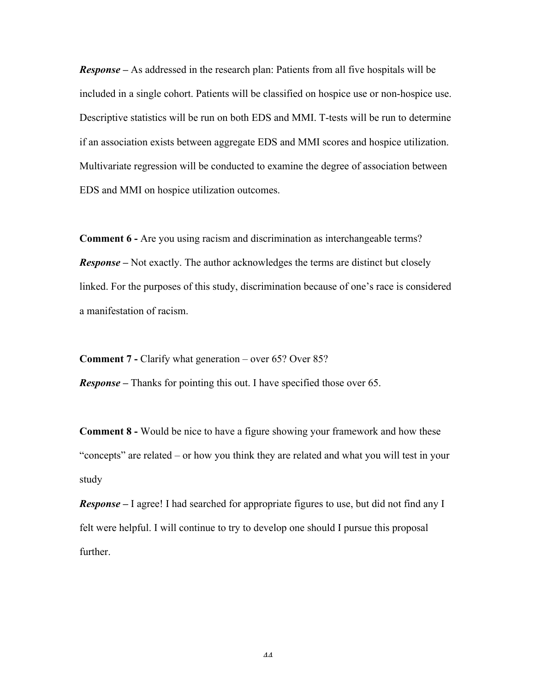*Response –* As addressed in the research plan: Patients from all five hospitals will be included in a single cohort. Patients will be classified on hospice use or non-hospice use. Descriptive statistics will be run on both EDS and MMI. T-tests will be run to determine if an association exists between aggregate EDS and MMI scores and hospice utilization. Multivariate regression will be conducted to examine the degree of association between EDS and MMI on hospice utilization outcomes.

**Comment 6 -** Are you using racism and discrimination as interchangeable terms? *Response –* Not exactly. The author acknowledges the terms are distinct but closely linked. For the purposes of this study, discrimination because of one's race is considered a manifestation of racism.

**Comment 7 -** Clarify what generation – over 65? Over 85? *Response –* Thanks for pointing this out. I have specified those over 65.

**Comment 8 -** Would be nice to have a figure showing your framework and how these "concepts" are related – or how you think they are related and what you will test in your study

*Response –* I agree! I had searched for appropriate figures to use, but did not find any I felt were helpful. I will continue to try to develop one should I pursue this proposal further.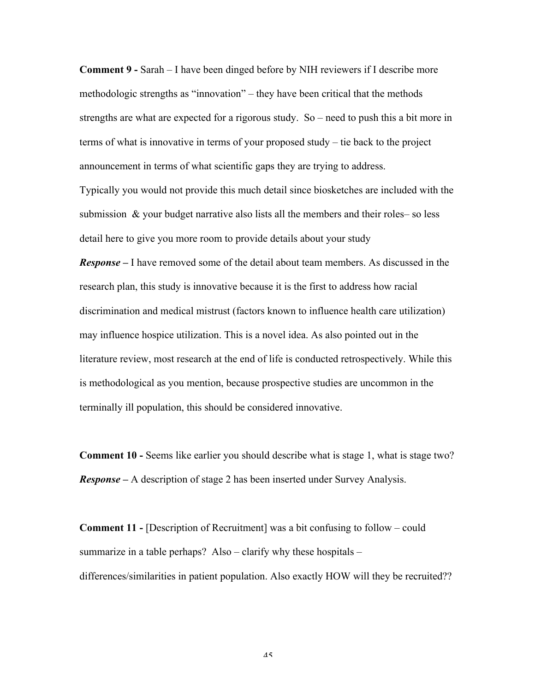**Comment 9 -** Sarah – I have been dinged before by NIH reviewers if I describe more methodologic strengths as "innovation" – they have been critical that the methods strengths are what are expected for a rigorous study. So – need to push this a bit more in terms of what is innovative in terms of your proposed study – tie back to the project announcement in terms of what scientific gaps they are trying to address.

Typically you would not provide this much detail since biosketches are included with the submission & your budget narrative also lists all the members and their roles– so less detail here to give you more room to provide details about your study

*Response –* I have removed some of the detail about team members. As discussed in the research plan, this study is innovative because it is the first to address how racial discrimination and medical mistrust (factors known to influence health care utilization) may influence hospice utilization. This is a novel idea. As also pointed out in the literature review, most research at the end of life is conducted retrospectively. While this is methodological as you mention, because prospective studies are uncommon in the terminally ill population, this should be considered innovative.

**Comment 10 -** Seems like earlier you should describe what is stage 1, what is stage two? *Response –* A description of stage 2 has been inserted under Survey Analysis.

**Comment 11 -** [Description of Recruitment] was a bit confusing to follow – could summarize in a table perhaps? Also – clarify why these hospitals – differences/similarities in patient population. Also exactly HOW will they be recruited??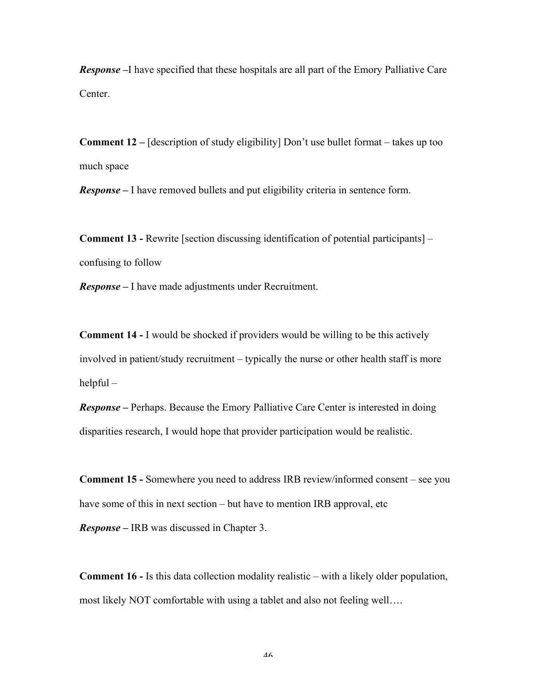*Response –*I have specified that these hospitals are all part of the Emory Palliative Care Center.

**Comment 12 –** [description of study eligibility] Don't use bullet format – takes up too much space

*Response –* I have removed bullets and put eligibility criteria in sentence form.

**Comment 13 -** Rewrite [section discussing identification of potential participants] – confusing to follow

*Response –* I have made adjustments under Recruitment.

**Comment 14 -** I would be shocked if providers would be willing to be this actively involved in patient/study recruitment – typically the nurse or other health staff is more helpful –

*Response –* Perhaps. Because the Emory Palliative Care Center is interested in doing disparities research, I would hope that provider participation would be realistic.

**Comment 15 -** Somewhere you need to address IRB review/informed consent – see you have some of this in next section – but have to mention IRB approval, etc

*Response –* IRB was discussed in Chapter 3.

**Comment 16 -** Is this data collection modality realistic – with a likely older population, most likely NOT comfortable with using a tablet and also not feeling well….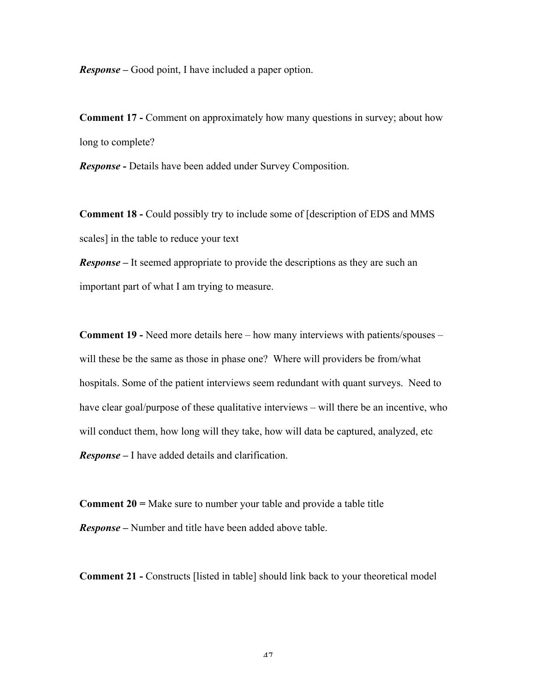*Response –* Good point, I have included a paper option.

**Comment 17 -** Comment on approximately how many questions in survey; about how long to complete?

*Response -* Details have been added under Survey Composition.

**Comment 18 -** Could possibly try to include some of [description of EDS and MMS scales] in the table to reduce your text

*Response* – It seemed appropriate to provide the descriptions as they are such an important part of what I am trying to measure.

**Comment 19 -** Need more details here – how many interviews with patients/spouses – will these be the same as those in phase one? Where will providers be from/what hospitals. Some of the patient interviews seem redundant with quant surveys. Need to have clear goal/purpose of these qualitative interviews – will there be an incentive, who will conduct them, how long will they take, how will data be captured, analyzed, etc *Response –* I have added details and clarification.

**Comment 20 =** Make sure to number your table and provide a table title *Response –* Number and title have been added above table.

**Comment 21 -** Constructs [listed in table] should link back to your theoretical model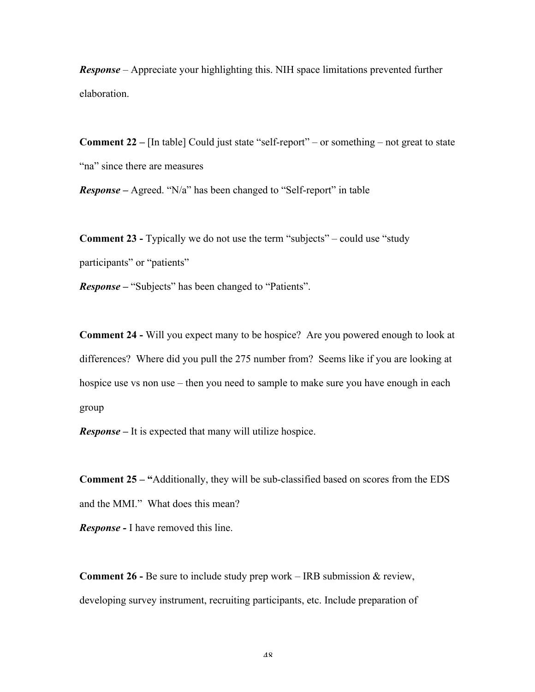*Response* – Appreciate your highlighting this. NIH space limitations prevented further elaboration.

**Comment 22 –** [In table] Could just state "self-report" – or something – not great to state "na" since there are measures

*Response –* Agreed. "N/a" has been changed to "Self-report" in table

**Comment 23 -** Typically we do not use the term "subjects" – could use "study participants" or "patients"

*Response –* "Subjects" has been changed to "Patients".

**Comment 24 -** Will you expect many to be hospice? Are you powered enough to look at differences? Where did you pull the 275 number from? Seems like if you are looking at hospice use vs non use – then you need to sample to make sure you have enough in each group

*Response –* It is expected that many will utilize hospice.

**Comment 25 – "**Additionally, they will be sub-classified based on scores from the EDS and the MMI." What does this mean?

*Response -* I have removed this line.

**Comment 26 -** Be sure to include study prep work – IRB submission & review, developing survey instrument, recruiting participants, etc. Include preparation of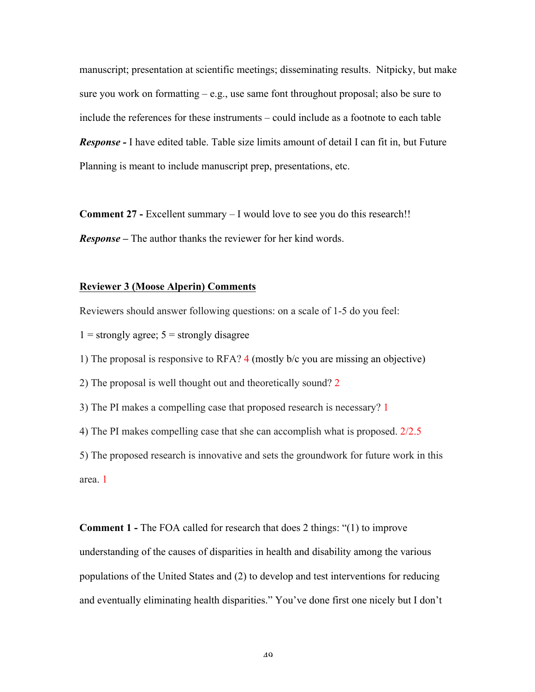manuscript; presentation at scientific meetings; disseminating results. Nitpicky, but make sure you work on formatting  $-e.g.,$  use same font throughout proposal; also be sure to include the references for these instruments – could include as a footnote to each table *Response -* I have edited table. Table size limits amount of detail I can fit in, but Future Planning is meant to include manuscript prep, presentations, etc.

**Comment 27 -** Excellent summary – I would love to see you do this research!! *Response –* The author thanks the reviewer for her kind words.

#### **Reviewer 3 (Moose Alperin) Comments**

Reviewers should answer following questions: on a scale of 1-5 do you feel:

 $1 =$  strongly agree;  $5 =$  strongly disagree

1) The proposal is responsive to RFA? 4 (mostly b/c you are missing an objective)

2) The proposal is well thought out and theoretically sound? 2

3) The PI makes a compelling case that proposed research is necessary? 1

4) The PI makes compelling case that she can accomplish what is proposed. 2/2.5

5) The proposed research is innovative and sets the groundwork for future work in this area. 1

**Comment 1 -** The FOA called for research that does 2 things: "(1) to improve understanding of the causes of disparities in health and disability among the various populations of the United States and (2) to develop and test interventions for reducing and eventually eliminating health disparities." You've done first one nicely but I don't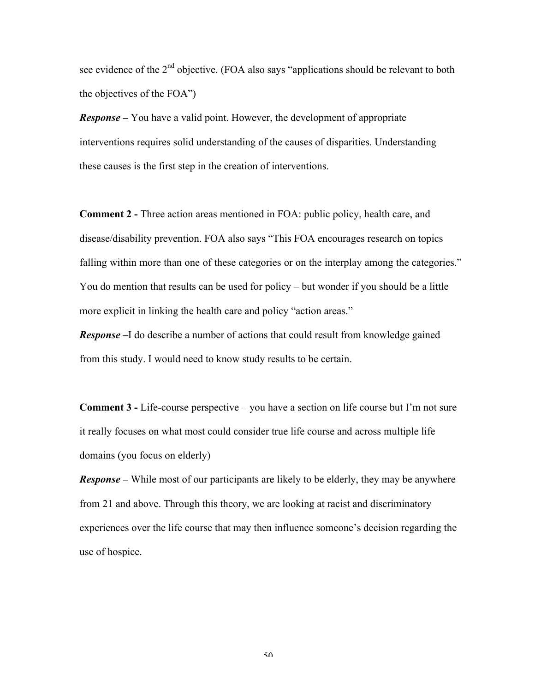see evidence of the  $2<sup>nd</sup>$  objective. (FOA also says "applications should be relevant to both the objectives of the FOA")

*Response –* You have a valid point. However, the development of appropriate interventions requires solid understanding of the causes of disparities. Understanding these causes is the first step in the creation of interventions.

**Comment 2 -** Three action areas mentioned in FOA: public policy, health care, and disease/disability prevention. FOA also says "This FOA encourages research on topics falling within more than one of these categories or on the interplay among the categories." You do mention that results can be used for policy – but wonder if you should be a little more explicit in linking the health care and policy "action areas."

*Response* –I do describe a number of actions that could result from knowledge gained from this study. I would need to know study results to be certain.

**Comment 3 -** Life-course perspective – you have a section on life course but I'm not sure it really focuses on what most could consider true life course and across multiple life domains (you focus on elderly)

*Response –* While most of our participants are likely to be elderly, they may be anywhere from 21 and above. Through this theory, we are looking at racist and discriminatory experiences over the life course that may then influence someone's decision regarding the use of hospice.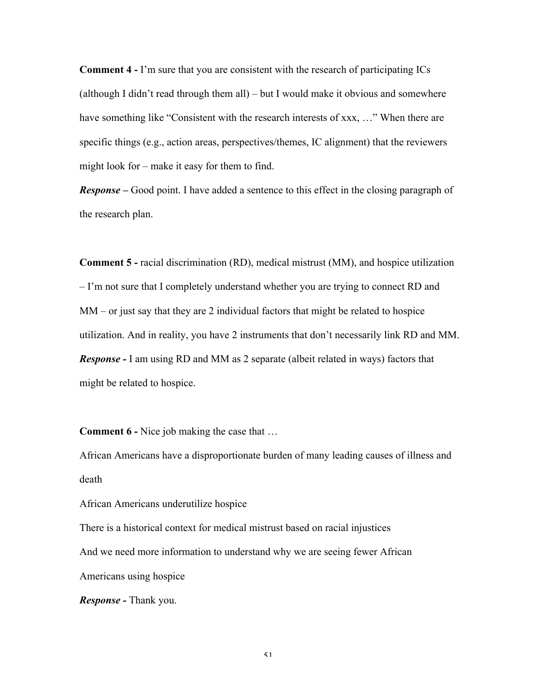**Comment 4 -** I'm sure that you are consistent with the research of participating ICs (although I didn't read through them all) – but I would make it obvious and somewhere have something like "Consistent with the research interests of xxx, ..." When there are specific things (e.g., action areas, perspectives/themes, IC alignment) that the reviewers might look for – make it easy for them to find.

*Response –* Good point. I have added a sentence to this effect in the closing paragraph of the research plan.

**Comment 5 -** racial discrimination (RD), medical mistrust (MM), and hospice utilization – I'm not sure that I completely understand whether you are trying to connect RD and MM – or just say that they are 2 individual factors that might be related to hospice utilization. And in reality, you have 2 instruments that don't necessarily link RD and MM. *Response -* I am using RD and MM as 2 separate (albeit related in ways) factors that might be related to hospice.

**Comment 6 -** Nice job making the case that …

African Americans have a disproportionate burden of many leading causes of illness and death

African Americans underutilize hospice

There is a historical context for medical mistrust based on racial injustices And we need more information to understand why we are seeing fewer African Americans using hospice

*Response -* Thank you.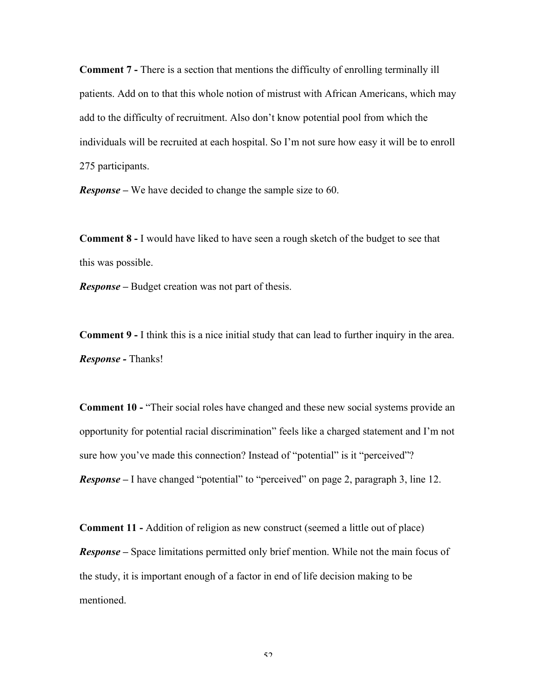**Comment 7 -** There is a section that mentions the difficulty of enrolling terminally ill patients. Add on to that this whole notion of mistrust with African Americans, which may add to the difficulty of recruitment. Also don't know potential pool from which the individuals will be recruited at each hospital. So I'm not sure how easy it will be to enroll 275 participants.

*Response –* We have decided to change the sample size to 60.

**Comment 8 -** I would have liked to have seen a rough sketch of the budget to see that this was possible.

*Response –* Budget creation was not part of thesis.

**Comment 9 -** I think this is a nice initial study that can lead to further inquiry in the area. *Response -* Thanks!

**Comment 10 -** "Their social roles have changed and these new social systems provide an opportunity for potential racial discrimination" feels like a charged statement and I'm not sure how you've made this connection? Instead of "potential" is it "perceived"? *Response –* I have changed "potential" to "perceived" on page 2, paragraph 3, line 12.

**Comment 11 -** Addition of religion as new construct (seemed a little out of place) *Response –* Space limitations permitted only brief mention. While not the main focus of the study, it is important enough of a factor in end of life decision making to be mentioned.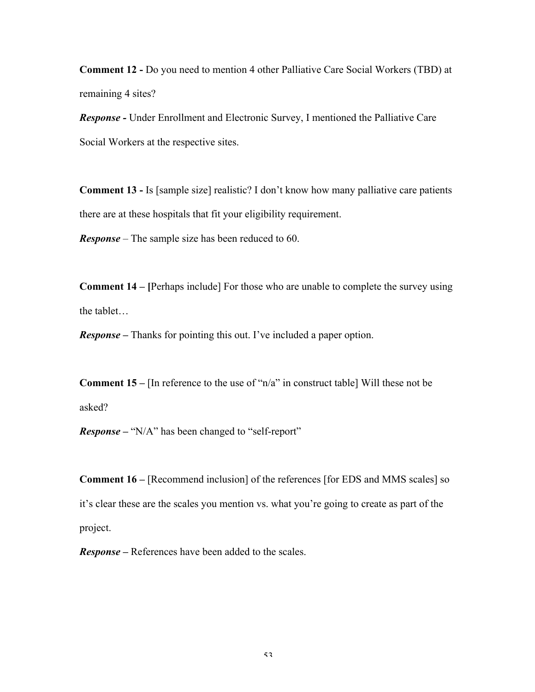**Comment 12 -** Do you need to mention 4 other Palliative Care Social Workers (TBD) at remaining 4 sites?

*Response -* Under Enrollment and Electronic Survey, I mentioned the Palliative Care Social Workers at the respective sites.

**Comment 13 -** Is [sample size] realistic? I don't know how many palliative care patients there are at these hospitals that fit your eligibility requirement.

*Response –* The sample size has been reduced to 60.

**Comment 14 – [**Perhaps include] For those who are unable to complete the survey using the tablet…

*Response –* Thanks for pointing this out. I've included a paper option.

**Comment 15 –** [In reference to the use of "n/a" in construct table] Will these not be asked?

*Response –* "N/A" has been changed to "self-report"

**Comment 16 –** [Recommend inclusion] of the references [for EDS and MMS scales] so it's clear these are the scales you mention vs. what you're going to create as part of the project.

*Response –* References have been added to the scales.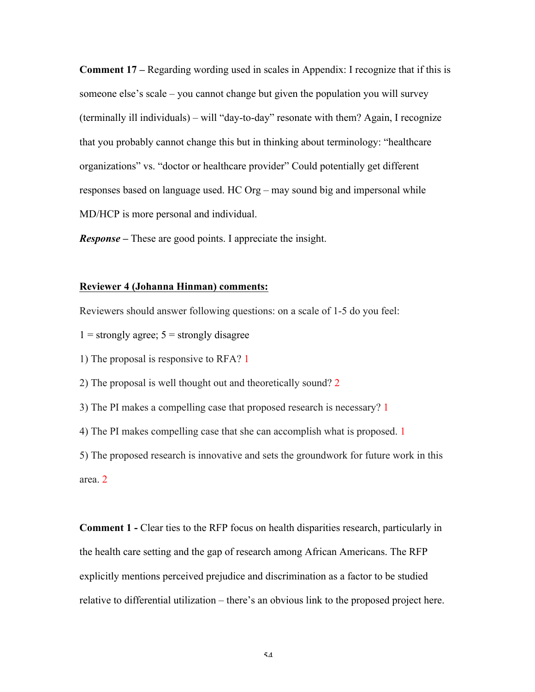**Comment 17 –** Regarding wording used in scales in Appendix: I recognize that if this is someone else's scale – you cannot change but given the population you will survey (terminally ill individuals) – will "day-to-day" resonate with them? Again, I recognize that you probably cannot change this but in thinking about terminology: "healthcare organizations" vs. "doctor or healthcare provider" Could potentially get different responses based on language used. HC Org – may sound big and impersonal while MD/HCP is more personal and individual.

*Response –* These are good points. I appreciate the insight.

#### **Reviewer 4 (Johanna Hinman) comments:**

Reviewers should answer following questions: on a scale of 1-5 do you feel:

 $1 =$  strongly agree;  $5 =$  strongly disagree

1) The proposal is responsive to RFA? 1

2) The proposal is well thought out and theoretically sound? 2

3) The PI makes a compelling case that proposed research is necessary? 1

4) The PI makes compelling case that she can accomplish what is proposed. 1

5) The proposed research is innovative and sets the groundwork for future work in this area. 2

**Comment 1 -** Clear ties to the RFP focus on health disparities research, particularly in the health care setting and the gap of research among African Americans. The RFP explicitly mentions perceived prejudice and discrimination as a factor to be studied relative to differential utilization – there's an obvious link to the proposed project here.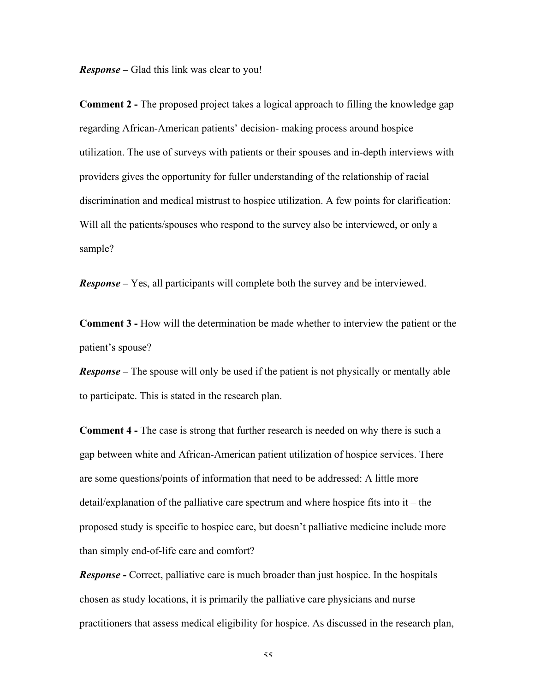*Response –* Glad this link was clear to you!

**Comment 2 -** The proposed project takes a logical approach to filling the knowledge gap regarding African-American patients' decision- making process around hospice utilization. The use of surveys with patients or their spouses and in-depth interviews with providers gives the opportunity for fuller understanding of the relationship of racial discrimination and medical mistrust to hospice utilization. A few points for clarification: Will all the patients/spouses who respond to the survey also be interviewed, or only a sample?

*Response –* Yes, all participants will complete both the survey and be interviewed.

**Comment 3 -** How will the determination be made whether to interview the patient or the patient's spouse?

*Response –* The spouse will only be used if the patient is not physically or mentally able to participate. This is stated in the research plan.

**Comment 4 -** The case is strong that further research is needed on why there is such a gap between white and African-American patient utilization of hospice services. There are some questions/points of information that need to be addressed: A little more detail/explanation of the palliative care spectrum and where hospice fits into it – the proposed study is specific to hospice care, but doesn't palliative medicine include more than simply end-of-life care and comfort?

*Response -* Correct, palliative care is much broader than just hospice. In the hospitals chosen as study locations, it is primarily the palliative care physicians and nurse practitioners that assess medical eligibility for hospice. As discussed in the research plan,

 $\leq$   $\leq$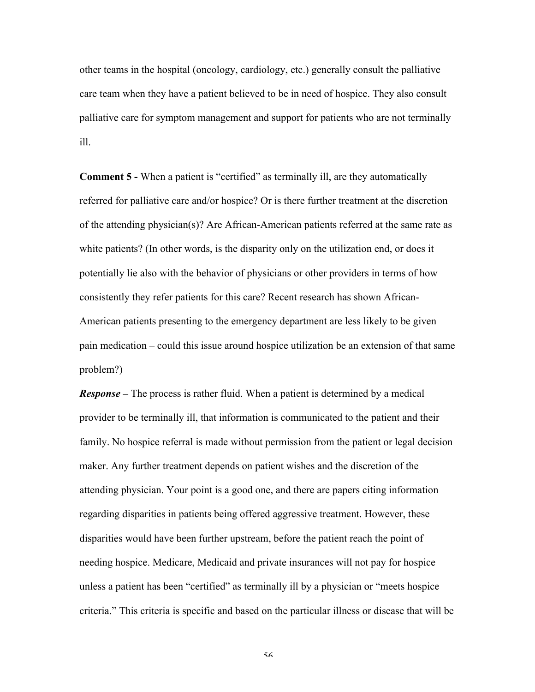other teams in the hospital (oncology, cardiology, etc.) generally consult the palliative care team when they have a patient believed to be in need of hospice. They also consult palliative care for symptom management and support for patients who are not terminally ill.

**Comment 5 -** When a patient is "certified" as terminally ill, are they automatically referred for palliative care and/or hospice? Or is there further treatment at the discretion of the attending physician(s)? Are African-American patients referred at the same rate as white patients? (In other words, is the disparity only on the utilization end, or does it potentially lie also with the behavior of physicians or other providers in terms of how consistently they refer patients for this care? Recent research has shown African-American patients presenting to the emergency department are less likely to be given pain medication – could this issue around hospice utilization be an extension of that same problem?)

*Response –* The process is rather fluid. When a patient is determined by a medical provider to be terminally ill, that information is communicated to the patient and their family. No hospice referral is made without permission from the patient or legal decision maker. Any further treatment depends on patient wishes and the discretion of the attending physician. Your point is a good one, and there are papers citing information regarding disparities in patients being offered aggressive treatment. However, these disparities would have been further upstream, before the patient reach the point of needing hospice. Medicare, Medicaid and private insurances will not pay for hospice unless a patient has been "certified" as terminally ill by a physician or "meets hospice criteria." This criteria is specific and based on the particular illness or disease that will be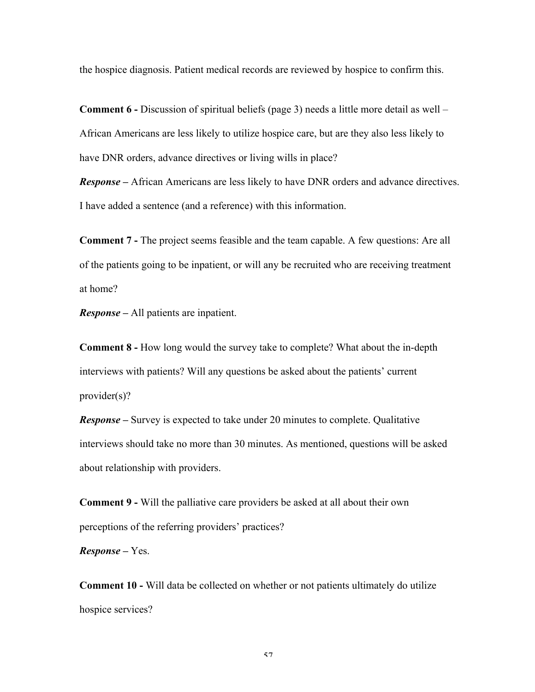the hospice diagnosis. Patient medical records are reviewed by hospice to confirm this.

**Comment 6 -** Discussion of spiritual beliefs (page 3) needs a little more detail as well – African Americans are less likely to utilize hospice care, but are they also less likely to have DNR orders, advance directives or living wills in place?

*Response –* African Americans are less likely to have DNR orders and advance directives. I have added a sentence (and a reference) with this information.

**Comment 7 -** The project seems feasible and the team capable. A few questions: Are all of the patients going to be inpatient, or will any be recruited who are receiving treatment at home?

*Response –* All patients are inpatient.

**Comment 8 -** How long would the survey take to complete? What about the in-depth interviews with patients? Will any questions be asked about the patients' current provider(s)?

*Response –* Survey is expected to take under 20 minutes to complete. Qualitative interviews should take no more than 30 minutes. As mentioned, questions will be asked about relationship with providers.

**Comment 9 -** Will the palliative care providers be asked at all about their own perceptions of the referring providers' practices?

*Response –* Yes.

**Comment 10 -** Will data be collected on whether or not patients ultimately do utilize hospice services?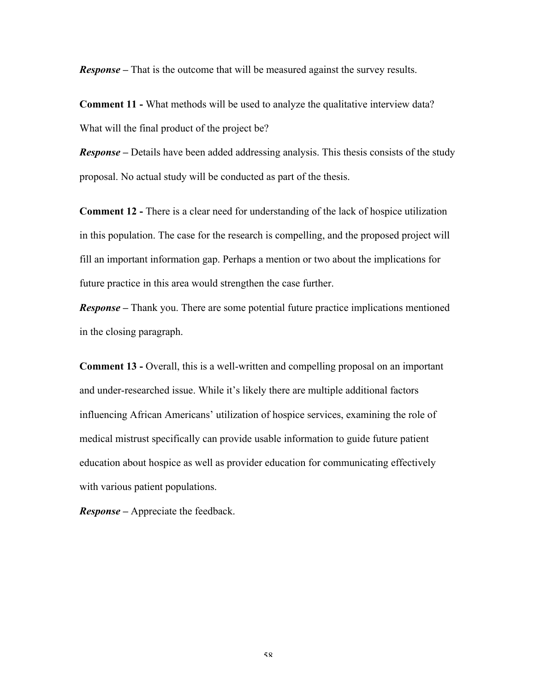*Response –* That is the outcome that will be measured against the survey results.

**Comment 11 -** What methods will be used to analyze the qualitative interview data? What will the final product of the project be?

*Response –* Details have been added addressing analysis. This thesis consists of the study proposal. No actual study will be conducted as part of the thesis.

**Comment 12 -** There is a clear need for understanding of the lack of hospice utilization in this population. The case for the research is compelling, and the proposed project will fill an important information gap. Perhaps a mention or two about the implications for future practice in this area would strengthen the case further.

*Response –* Thank you. There are some potential future practice implications mentioned in the closing paragraph.

**Comment 13 -** Overall, this is a well-written and compelling proposal on an important and under-researched issue. While it's likely there are multiple additional factors influencing African Americans' utilization of hospice services, examining the role of medical mistrust specifically can provide usable information to guide future patient education about hospice as well as provider education for communicating effectively with various patient populations.

*Response –* Appreciate the feedback.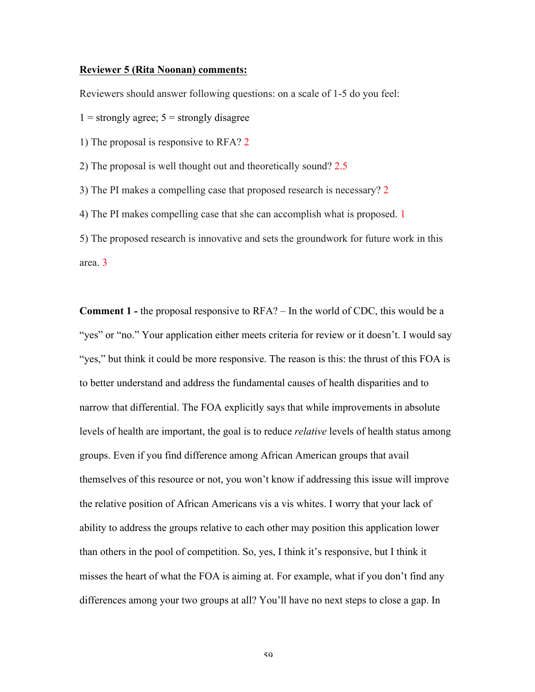#### **Reviewer 5 (Rita Noonan) comments:**

Reviewers should answer following questions: on a scale of 1-5 do you feel:

 $1 =$  strongly agree;  $5 =$  strongly disagree

1) The proposal is responsive to RFA? 2

2) The proposal is well thought out and theoretically sound? 2.5

3) The PI makes a compelling case that proposed research is necessary? 2

4) The PI makes compelling case that she can accomplish what is proposed. 1

5) The proposed research is innovative and sets the groundwork for future work in this area. 3

**Comment 1** *-* the proposal responsive to RFA? – In the world of CDC, this would be a "yes" or "no." Your application either meets criteria for review or it doesn't. I would say "yes," but think it could be more responsive. The reason is this: the thrust of this FOA is to better understand and address the fundamental causes of health disparities and to narrow that differential. The FOA explicitly says that while improvements in absolute levels of health are important, the goal is to reduce *relative* levels of health status among groups. Even if you find difference among African American groups that avail themselves of this resource or not, you won't know if addressing this issue will improve the relative position of African Americans vis a vis whites. I worry that your lack of ability to address the groups relative to each other may position this application lower than others in the pool of competition. So, yes, I think it's responsive, but I think it misses the heart of what the FOA is aiming at. For example, what if you don't find any differences among your two groups at all? You'll have no next steps to close a gap. In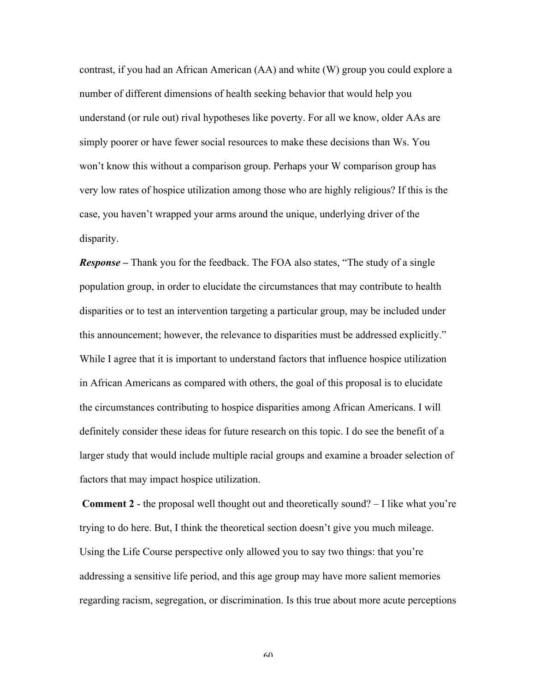contrast, if you had an African American (AA) and white (W) group you could explore a number of different dimensions of health seeking behavior that would help you understand (or rule out) rival hypotheses like poverty. For all we know, older AAs are simply poorer or have fewer social resources to make these decisions than Ws. You won't know this without a comparison group. Perhaps your W comparison group has very low rates of hospice utilization among those who are highly religious? If this is the case, you haven't wrapped your arms around the unique, underlying driver of the disparity.

*Response –* Thank you for the feedback. The FOA also states, "The study of a single population group, in order to elucidate the circumstances that may contribute to health disparities or to test an intervention targeting a particular group, may be included under this announcement; however, the relevance to disparities must be addressed explicitly." While I agree that it is important to understand factors that influence hospice utilization in African Americans as compared with others, the goal of this proposal is to elucidate the circumstances contributing to hospice disparities among African Americans. I will definitely consider these ideas for future research on this topic. I do see the benefit of a larger study that would include multiple racial groups and examine a broader selection of factors that may impact hospice utilization.

**Comment 2** - the proposal well thought out and theoretically sound? – I like what you're trying to do here. But, I think the theoretical section doesn't give you much mileage. Using the Life Course perspective only allowed you to say two things: that you're addressing a sensitive life period, and this age group may have more salient memories regarding racism, segregation, or discrimination. Is this true about more acute perceptions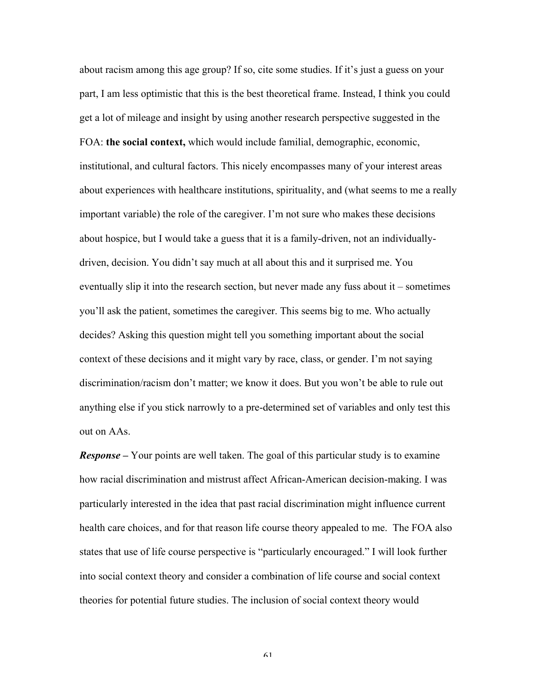about racism among this age group? If so, cite some studies. If it's just a guess on your part, I am less optimistic that this is the best theoretical frame. Instead, I think you could get a lot of mileage and insight by using another research perspective suggested in the FOA: **the social context,** which would include familial, demographic, economic, institutional, and cultural factors. This nicely encompasses many of your interest areas about experiences with healthcare institutions, spirituality, and (what seems to me a really important variable) the role of the caregiver. I'm not sure who makes these decisions about hospice, but I would take a guess that it is a family-driven, not an individuallydriven, decision. You didn't say much at all about this and it surprised me. You eventually slip it into the research section, but never made any fuss about it – sometimes you'll ask the patient, sometimes the caregiver. This seems big to me. Who actually decides? Asking this question might tell you something important about the social context of these decisions and it might vary by race, class, or gender. I'm not saying discrimination/racism don't matter; we know it does. But you won't be able to rule out anything else if you stick narrowly to a pre-determined set of variables and only test this out on AAs.

*Response* – Your points are well taken. The goal of this particular study is to examine how racial discrimination and mistrust affect African-American decision-making. I was particularly interested in the idea that past racial discrimination might influence current health care choices, and for that reason life course theory appealed to me. The FOA also states that use of life course perspective is "particularly encouraged." I will look further into social context theory and consider a combination of life course and social context theories for potential future studies. The inclusion of social context theory would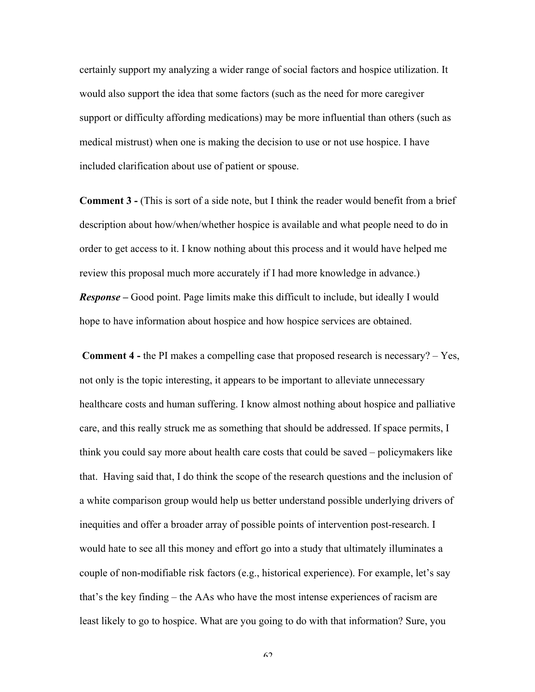certainly support my analyzing a wider range of social factors and hospice utilization. It would also support the idea that some factors (such as the need for more caregiver support or difficulty affording medications) may be more influential than others (such as medical mistrust) when one is making the decision to use or not use hospice. I have included clarification about use of patient or spouse.

**Comment 3 -** (This is sort of a side note, but I think the reader would benefit from a brief description about how/when/whether hospice is available and what people need to do in order to get access to it. I know nothing about this process and it would have helped me review this proposal much more accurately if I had more knowledge in advance.) *Response –* Good point. Page limits make this difficult to include, but ideally I would hope to have information about hospice and how hospice services are obtained.

**Comment 4 -** the PI makes a compelling case that proposed research is necessary? – Yes, not only is the topic interesting, it appears to be important to alleviate unnecessary healthcare costs and human suffering. I know almost nothing about hospice and palliative care, and this really struck me as something that should be addressed. If space permits, I think you could say more about health care costs that could be saved – policymakers like that. Having said that, I do think the scope of the research questions and the inclusion of a white comparison group would help us better understand possible underlying drivers of inequities and offer a broader array of possible points of intervention post-research. I would hate to see all this money and effort go into a study that ultimately illuminates a couple of non-modifiable risk factors (e.g., historical experience). For example, let's say that's the key finding – the AAs who have the most intense experiences of racism are least likely to go to hospice. What are you going to do with that information? Sure, you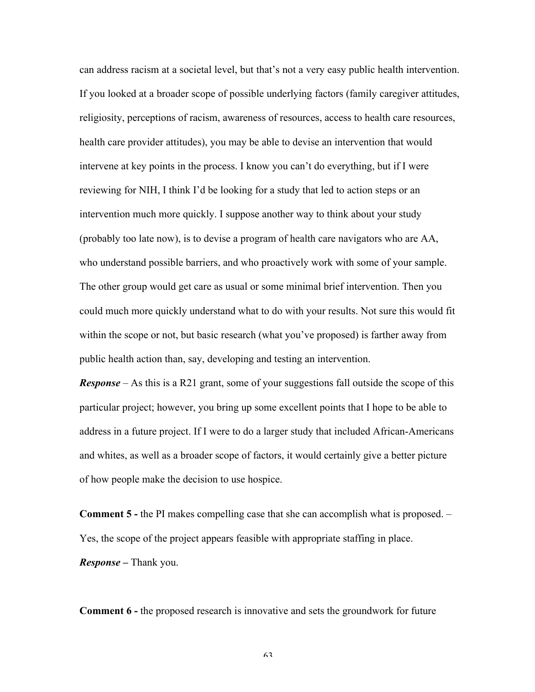can address racism at a societal level, but that's not a very easy public health intervention. If you looked at a broader scope of possible underlying factors (family caregiver attitudes, religiosity, perceptions of racism, awareness of resources, access to health care resources, health care provider attitudes), you may be able to devise an intervention that would intervene at key points in the process. I know you can't do everything, but if I were reviewing for NIH, I think I'd be looking for a study that led to action steps or an intervention much more quickly. I suppose another way to think about your study (probably too late now), is to devise a program of health care navigators who are AA, who understand possible barriers, and who proactively work with some of your sample. The other group would get care as usual or some minimal brief intervention. Then you could much more quickly understand what to do with your results. Not sure this would fit within the scope or not, but basic research (what you've proposed) is farther away from public health action than, say, developing and testing an intervention.

*Response* – As this is a R21 grant, some of your suggestions fall outside the scope of this particular project; however, you bring up some excellent points that I hope to be able to address in a future project. If I were to do a larger study that included African-Americans and whites, as well as a broader scope of factors, it would certainly give a better picture of how people make the decision to use hospice.

**Comment 5 -** the PI makes compelling case that she can accomplish what is proposed. – Yes, the scope of the project appears feasible with appropriate staffing in place. *Response –* Thank you.

**Comment 6 -** the proposed research is innovative and sets the groundwork for future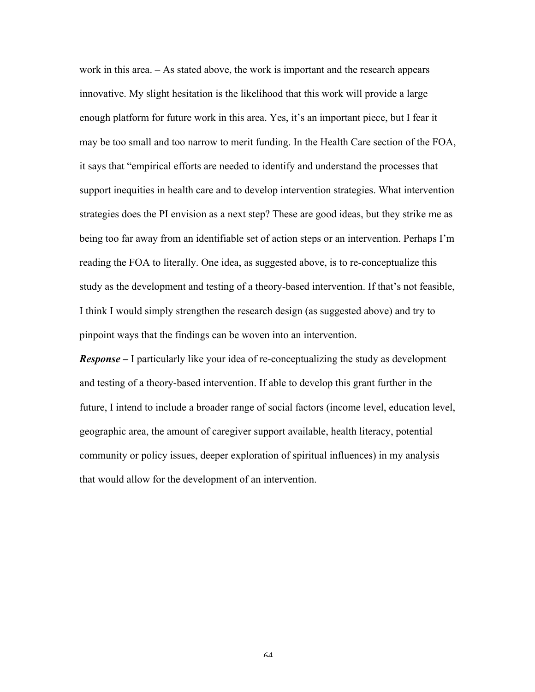work in this area. – As stated above, the work is important and the research appears innovative. My slight hesitation is the likelihood that this work will provide a large enough platform for future work in this area. Yes, it's an important piece, but I fear it may be too small and too narrow to merit funding. In the Health Care section of the FOA, it says that "empirical efforts are needed to identify and understand the processes that support inequities in health care and to develop intervention strategies. What intervention strategies does the PI envision as a next step? These are good ideas, but they strike me as being too far away from an identifiable set of action steps or an intervention. Perhaps I'm reading the FOA to literally. One idea, as suggested above, is to re-conceptualize this study as the development and testing of a theory-based intervention. If that's not feasible, I think I would simply strengthen the research design (as suggested above) and try to pinpoint ways that the findings can be woven into an intervention.

*Response –* I particularly like your idea of re-conceptualizing the study as development and testing of a theory-based intervention. If able to develop this grant further in the future, I intend to include a broader range of social factors (income level, education level, geographic area, the amount of caregiver support available, health literacy, potential community or policy issues, deeper exploration of spiritual influences) in my analysis that would allow for the development of an intervention.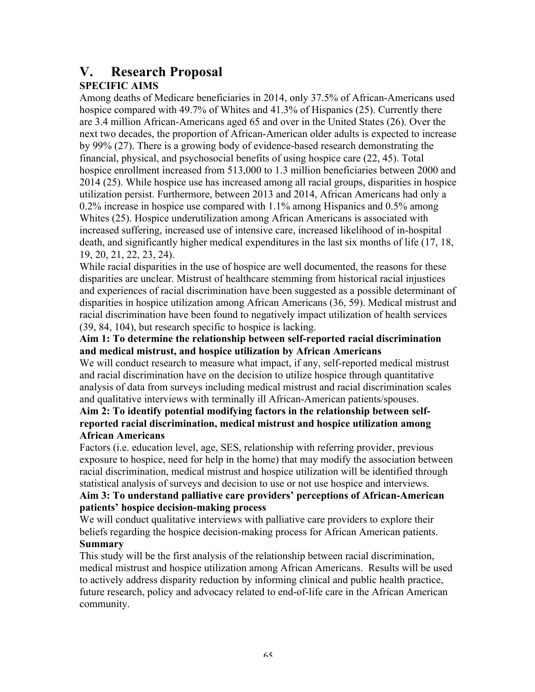# **V. Research Proposal**

## **SPECIFIC AIMS**

Among deaths of Medicare beneficiaries in 2014, only 37.5% of African-Americans used hospice compared with 49.7% of Whites and 41.3% of Hispanics (25). Currently there are 3.4 million African-Americans aged 65 and over in the United States (26). Over the next two decades, the proportion of African-American older adults is expected to increase by 99% (27). There is a growing body of evidence-based research demonstrating the financial, physical, and psychosocial benefits of using hospice care (22, 45). Total hospice enrollment increased from 513,000 to 1.3 million beneficiaries between 2000 and 2014 (25). While hospice use has increased among all racial groups, disparities in hospice utilization persist. Furthermore, between 2013 and 2014, African Americans had only a 0.2% increase in hospice use compared with 1.1% among Hispanics and 0.5% among Whites (25). Hospice underutilization among African Americans is associated with increased suffering, increased use of intensive care, increased likelihood of in-hospital death, and significantly higher medical expenditures in the last six months of life (17, 18, 19, 20, 21, 22, 23, 24).

While racial disparities in the use of hospice are well documented, the reasons for these disparities are unclear. Mistrust of healthcare stemming from historical racial injustices and experiences of racial discrimination have been suggested as a possible determinant of disparities in hospice utilization among African Americans (36, 59). Medical mistrust and racial discrimination have been found to negatively impact utilization of health services (39, 84, 104), but research specific to hospice is lacking.

## **Aim 1: To determine the relationship between self-reported racial discrimination and medical mistrust, and hospice utilization by African Americans**

We will conduct research to measure what impact, if any, self-reported medical mistrust and racial discrimination have on the decision to utilize hospice through quantitative analysis of data from surveys including medical mistrust and racial discrimination scales and qualitative interviews with terminally ill African-American patients/spouses.

## **Aim 2: To identify potential modifying factors in the relationship between selfreported racial discrimination, medical mistrust and hospice utilization among African Americans**

Factors (i.e. education level, age, SES, relationship with referring provider, previous exposure to hospice, need for help in the home) that may modify the association between racial discrimination, medical mistrust and hospice utilization will be identified through statistical analysis of surveys and decision to use or not use hospice and interviews.

### **Aim 3: To understand palliative care providers' perceptions of African-American patients' hospice decision-making process**

We will conduct qualitative interviews with palliative care providers to explore their beliefs regarding the hospice decision-making process for African American patients. **Summary**

This study will be the first analysis of the relationship between racial discrimination, medical mistrust and hospice utilization among African Americans. Results will be used to actively address disparity reduction by informing clinical and public health practice, future research, policy and advocacy related to end-of-life care in the African American community.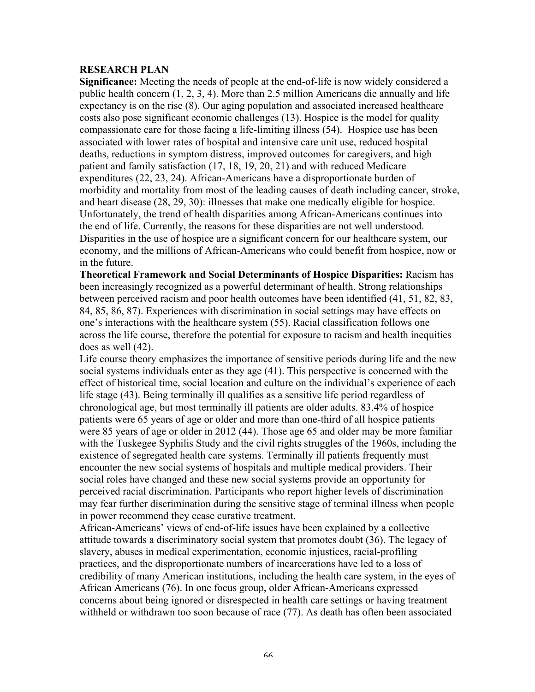#### **RESEARCH PLAN**

**Significance:** Meeting the needs of people at the end-of-life is now widely considered a public health concern (1, 2, 3, 4). More than 2.5 million Americans die annually and life expectancy is on the rise (8). Our aging population and associated increased healthcare costs also pose significant economic challenges (13). Hospice is the model for quality compassionate care for those facing a life-limiting illness (54). Hospice use has been associated with lower rates of hospital and intensive care unit use, reduced hospital deaths, reductions in symptom distress, improved outcomes for caregivers, and high patient and family satisfaction (17, 18, 19, 20, 21) and with reduced Medicare expenditures (22, 23, 24). African-Americans have a disproportionate burden of morbidity and mortality from most of the leading causes of death including cancer, stroke, and heart disease (28, 29, 30): illnesses that make one medically eligible for hospice. Unfortunately, the trend of health disparities among African-Americans continues into the end of life. Currently, the reasons for these disparities are not well understood. Disparities in the use of hospice are a significant concern for our healthcare system, our economy, and the millions of African-Americans who could benefit from hospice, now or in the future.

**Theoretical Framework and Social Determinants of Hospice Disparities:** Racism has been increasingly recognized as a powerful determinant of health. Strong relationships between perceived racism and poor health outcomes have been identified (41, 51, 82, 83, 84, 85, 86, 87). Experiences with discrimination in social settings may have effects on one's interactions with the healthcare system (55). Racial classification follows one across the life course, therefore the potential for exposure to racism and health inequities does as well (42).

Life course theory emphasizes the importance of sensitive periods during life and the new social systems individuals enter as they age (41). This perspective is concerned with the effect of historical time, social location and culture on the individual's experience of each life stage (43). Being terminally ill qualifies as a sensitive life period regardless of chronological age, but most terminally ill patients are older adults. 83.4% of hospice patients were 65 years of age or older and more than one-third of all hospice patients were 85 years of age or older in 2012 (44). Those age 65 and older may be more familiar with the Tuskegee Syphilis Study and the civil rights struggles of the 1960s, including the existence of segregated health care systems. Terminally ill patients frequently must encounter the new social systems of hospitals and multiple medical providers. Their social roles have changed and these new social systems provide an opportunity for perceived racial discrimination. Participants who report higher levels of discrimination may fear further discrimination during the sensitive stage of terminal illness when people in power recommend they cease curative treatment.

African-Americans' views of end-of-life issues have been explained by a collective attitude towards a discriminatory social system that promotes doubt (36). The legacy of slavery, abuses in medical experimentation, economic injustices, racial-profiling practices, and the disproportionate numbers of incarcerations have led to a loss of credibility of many American institutions, including the health care system, in the eyes of African Americans (76). In one focus group, older African-Americans expressed concerns about being ignored or disrespected in health care settings or having treatment withheld or withdrawn too soon because of race (77). As death has often been associated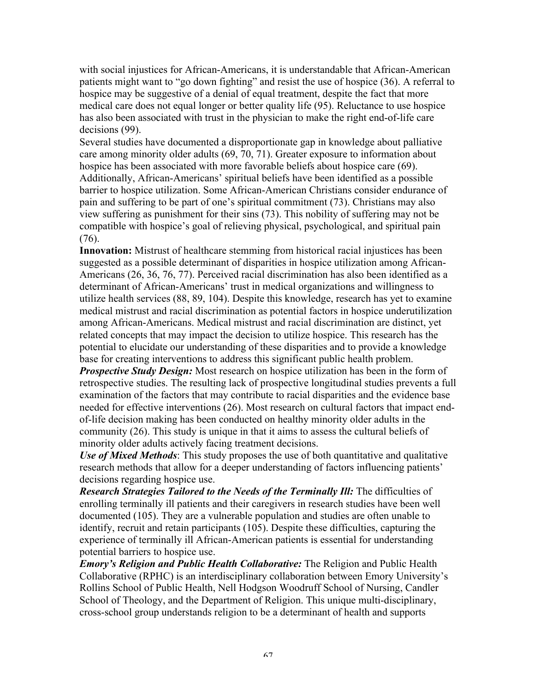with social injustices for African-Americans, it is understandable that African-American patients might want to "go down fighting" and resist the use of hospice (36). A referral to hospice may be suggestive of a denial of equal treatment, despite the fact that more medical care does not equal longer or better quality life (95). Reluctance to use hospice has also been associated with trust in the physician to make the right end-of-life care decisions (99).

Several studies have documented a disproportionate gap in knowledge about palliative care among minority older adults (69, 70, 71). Greater exposure to information about hospice has been associated with more favorable beliefs about hospice care (69). Additionally, African-Americans' spiritual beliefs have been identified as a possible barrier to hospice utilization. Some African-American Christians consider endurance of pain and suffering to be part of one's spiritual commitment (73). Christians may also view suffering as punishment for their sins (73). This nobility of suffering may not be compatible with hospice's goal of relieving physical, psychological, and spiritual pain (76).

**Innovation:** Mistrust of healthcare stemming from historical racial injustices has been suggested as a possible determinant of disparities in hospice utilization among African-Americans (26, 36, 76, 77). Perceived racial discrimination has also been identified as a determinant of African-Americans' trust in medical organizations and willingness to utilize health services (88, 89, 104). Despite this knowledge, research has yet to examine medical mistrust and racial discrimination as potential factors in hospice underutilization among African-Americans. Medical mistrust and racial discrimination are distinct, yet related concepts that may impact the decision to utilize hospice. This research has the potential to elucidate our understanding of these disparities and to provide a knowledge base for creating interventions to address this significant public health problem.

*Prospective Study Design:* Most research on hospice utilization has been in the form of retrospective studies. The resulting lack of prospective longitudinal studies prevents a full examination of the factors that may contribute to racial disparities and the evidence base needed for effective interventions (26). Most research on cultural factors that impact endof-life decision making has been conducted on healthy minority older adults in the community (26). This study is unique in that it aims to assess the cultural beliefs of minority older adults actively facing treatment decisions.

*Use of Mixed Methods*: This study proposes the use of both quantitative and qualitative research methods that allow for a deeper understanding of factors influencing patients' decisions regarding hospice use.

*Research Strategies Tailored to the Needs of the Terminally III:* The difficulties of enrolling terminally ill patients and their caregivers in research studies have been well documented (105). They are a vulnerable population and studies are often unable to identify, recruit and retain participants (105). Despite these difficulties, capturing the experience of terminally ill African-American patients is essential for understanding potential barriers to hospice use.

*Emory's Religion and Public Health Collaborative:* The Religion and Public Health Collaborative (RPHC) is an interdisciplinary collaboration between Emory University's Rollins School of Public Health, Nell Hodgson Woodruff School of Nursing, Candler School of Theology, and the Department of Religion. This unique multi-disciplinary, cross-school group understands religion to be a determinant of health and supports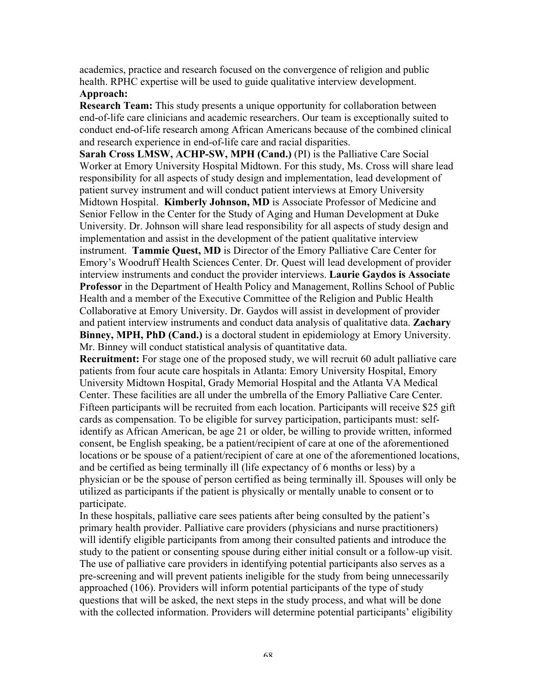academics, practice and research focused on the convergence of religion and public health. RPHC expertise will be used to guide qualitative interview development.

## **Approach:**

**Research Team:** This study presents a unique opportunity for collaboration between end-of-life care clinicians and academic researchers. Our team is exceptionally suited to conduct end-of-life research among African Americans because of the combined clinical and research experience in end-of-life care and racial disparities.

**Sarah Cross LMSW, ACHP-SW, MPH (Cand.)** (PI) is the Palliative Care Social Worker at Emory University Hospital Midtown. For this study, Ms. Cross will share lead responsibility for all aspects of study design and implementation, lead development of patient survey instrument and will conduct patient interviews at Emory University Midtown Hospital. **Kimberly Johnson, MD** is Associate Professor of Medicine and Senior Fellow in the Center for the Study of Aging and Human Development at Duke University. Dr. Johnson will share lead responsibility for all aspects of study design and implementation and assist in the development of the patient qualitative interview instrument. **Tammie Quest, MD** is Director of the Emory Palliative Care Center for Emory's Woodruff Health Sciences Center. Dr. Quest will lead development of provider interview instruments and conduct the provider interviews. **Laurie Gaydos is Associate Professor** in the Department of Health Policy and Management, Rollins School of Public Health and a member of the Executive Committee of the Religion and Public Health Collaborative at Emory University. Dr. Gaydos will assist in development of provider and patient interview instruments and conduct data analysis of qualitative data. **Zachary Binney, MPH, PhD (Cand.)** is a doctoral student in epidemiology at Emory University. Mr. Binney will conduct statistical analysis of quantitative data.

**Recruitment:** For stage one of the proposed study, we will recruit 60 adult palliative care patients from four acute care hospitals in Atlanta: Emory University Hospital, Emory University Midtown Hospital, Grady Memorial Hospital and the Atlanta VA Medical Center. These facilities are all under the umbrella of the Emory Palliative Care Center. Fifteen participants will be recruited from each location. Participants will receive \$25 gift cards as compensation. To be eligible for survey participation, participants must: selfidentify as African American, be age 21 or older, be willing to provide written, informed consent, be English speaking, be a patient/recipient of care at one of the aforementioned locations or be spouse of a patient/recipient of care at one of the aforementioned locations, and be certified as being terminally ill (life expectancy of 6 months or less) by a physician or be the spouse of person certified as being terminally ill. Spouses will only be utilized as participants if the patient is physically or mentally unable to consent or to participate.

In these hospitals, palliative care sees patients after being consulted by the patient's primary health provider. Palliative care providers (physicians and nurse practitioners) will identify eligible participants from among their consulted patients and introduce the study to the patient or consenting spouse during either initial consult or a follow-up visit. The use of palliative care providers in identifying potential participants also serves as a pre-screening and will prevent patients ineligible for the study from being unnecessarily approached (106). Providers will inform potential participants of the type of study questions that will be asked, the next steps in the study process, and what will be done with the collected information. Providers will determine potential participants' eligibility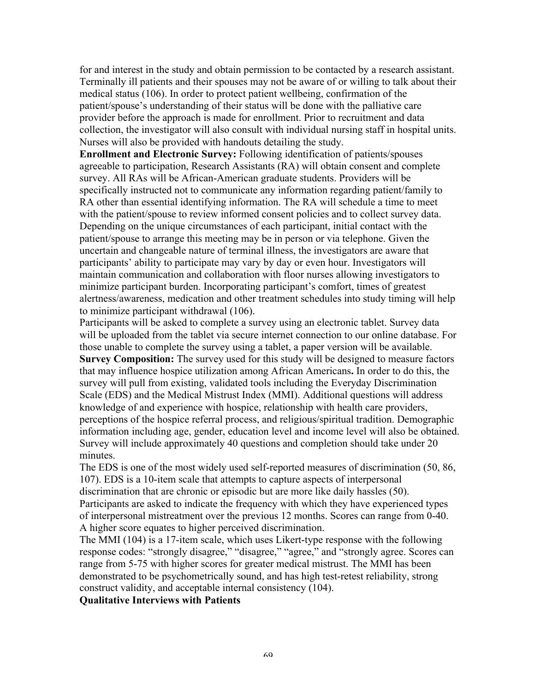for and interest in the study and obtain permission to be contacted by a research assistant. Terminally ill patients and their spouses may not be aware of or willing to talk about their medical status (106). In order to protect patient wellbeing, confirmation of the patient/spouse's understanding of their status will be done with the palliative care provider before the approach is made for enrollment. Prior to recruitment and data collection, the investigator will also consult with individual nursing staff in hospital units. Nurses will also be provided with handouts detailing the study.

**Enrollment and Electronic Survey:** Following identification of patients/spouses agreeable to participation, Research Assistants (RA) will obtain consent and complete survey. All RAs will be African-American graduate students. Providers will be specifically instructed not to communicate any information regarding patient/family to RA other than essential identifying information. The RA will schedule a time to meet with the patient/spouse to review informed consent policies and to collect survey data. Depending on the unique circumstances of each participant, initial contact with the patient/spouse to arrange this meeting may be in person or via telephone. Given the uncertain and changeable nature of terminal illness, the investigators are aware that participants' ability to participate may vary by day or even hour. Investigators will maintain communication and collaboration with floor nurses allowing investigators to minimize participant burden. Incorporating participant's comfort, times of greatest alertness/awareness, medication and other treatment schedules into study timing will help to minimize participant withdrawal (106).

Participants will be asked to complete a survey using an electronic tablet. Survey data will be uploaded from the tablet via secure internet connection to our online database. For those unable to complete the survey using a tablet, a paper version will be available. **Survey Composition:** The survey used for this study will be designed to measure factors that may influence hospice utilization among African Americans**.** In order to do this, the survey will pull from existing, validated tools including the Everyday Discrimination Scale (EDS) and the Medical Mistrust Index (MMI). Additional questions will address knowledge of and experience with hospice, relationship with health care providers, perceptions of the hospice referral process, and religious/spiritual tradition. Demographic information including age, gender, education level and income level will also be obtained. Survey will include approximately 40 questions and completion should take under 20 minutes.

The EDS is one of the most widely used self-reported measures of discrimination (50, 86, 107). EDS is a 10-item scale that attempts to capture aspects of interpersonal discrimination that are chronic or episodic but are more like daily hassles (50). Participants are asked to indicate the frequency with which they have experienced types of interpersonal mistreatment over the previous 12 months. Scores can range from 0-40. A higher score equates to higher perceived discrimination.

The MMI (104) is a 17-item scale, which uses Likert-type response with the following response codes: "strongly disagree," "disagree," "agree," and "strongly agree. Scores can range from 5-75 with higher scores for greater medical mistrust. The MMI has been demonstrated to be psychometrically sound, and has high test-retest reliability, strong construct validity, and acceptable internal consistency (104).

**Qualitative Interviews with Patients**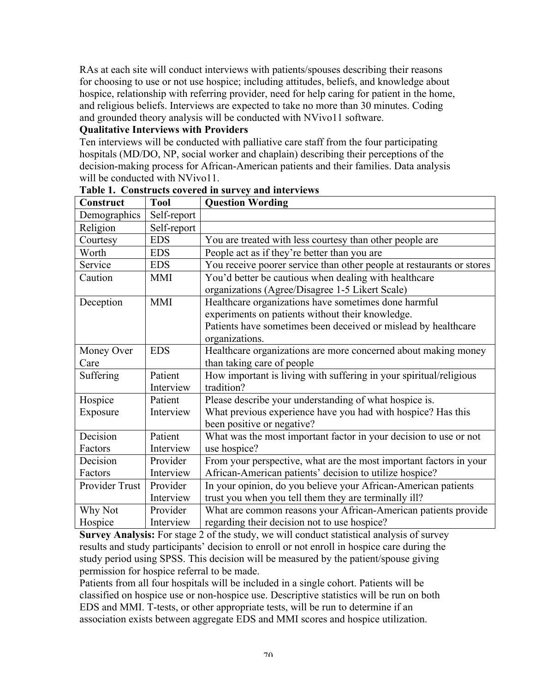RAs at each site will conduct interviews with patients/spouses describing their reasons for choosing to use or not use hospice; including attitudes, beliefs, and knowledge about hospice, relationship with referring provider, need for help caring for patient in the home, and religious beliefs. Interviews are expected to take no more than 30 minutes. Coding and grounded theory analysis will be conducted with NVivo11 software.

#### **Qualitative Interviews with Providers**

Ten interviews will be conducted with palliative care staff from the four participating hospitals (MD/DO, NP, social worker and chaplain) describing their perceptions of the decision-making process for African-American patients and their families. Data analysis will be conducted with NVivo11.

| <b>Construct</b> | <b>Tool</b> | <b>Question Wording</b>                                               |
|------------------|-------------|-----------------------------------------------------------------------|
| Demographics     | Self-report |                                                                       |
| Religion         | Self-report |                                                                       |
| Courtesy         | <b>EDS</b>  | You are treated with less courtesy than other people are              |
| Worth            | <b>EDS</b>  | People act as if they're better than you are                          |
| Service          | <b>EDS</b>  | You receive poorer service than other people at restaurants or stores |
| Caution          | <b>MMI</b>  | You'd better be cautious when dealing with healthcare                 |
|                  |             | organizations (Agree/Disagree 1-5 Likert Scale)                       |
| Deception        | <b>MMI</b>  | Healthcare organizations have sometimes done harmful                  |
|                  |             | experiments on patients without their knowledge.                      |
|                  |             | Patients have sometimes been deceived or mislead by healthcare        |
|                  |             | organizations.                                                        |
| Money Over       | <b>EDS</b>  | Healthcare organizations are more concerned about making money        |
| Care             |             | than taking care of people                                            |
| Suffering        | Patient     | How important is living with suffering in your spiritual/religious    |
|                  | Interview   | tradition?                                                            |
| Hospice          | Patient     | Please describe your understanding of what hospice is.                |
| Exposure         | Interview   | What previous experience have you had with hospice? Has this          |
|                  |             | been positive or negative?                                            |
| Decision         | Patient     | What was the most important factor in your decision to use or not     |
| Factors          | Interview   | use hospice?                                                          |
| Decision         | Provider    | From your perspective, what are the most important factors in your    |
| Factors          | Interview   | African-American patients' decision to utilize hospice?               |
| Provider Trust   | Provider    | In your opinion, do you believe your African-American patients        |
|                  | Interview   | trust you when you tell them they are terminally ill?                 |
| Why Not          | Provider    | What are common reasons your African-American patients provide        |
| Hospice          | Interview   | regarding their decision not to use hospice?                          |

**Table 1. Constructs covered in survey and interviews**

**Survey Analysis:** For stage 2 of the study, we will conduct statistical analysis of survey results and study participants' decision to enroll or not enroll in hospice care during the study period using SPSS. This decision will be measured by the patient/spouse giving permission for hospice referral to be made.

Patients from all four hospitals will be included in a single cohort. Patients will be classified on hospice use or non-hospice use. Descriptive statistics will be run on both EDS and MMI. T-tests, or other appropriate tests, will be run to determine if an association exists between aggregate EDS and MMI scores and hospice utilization.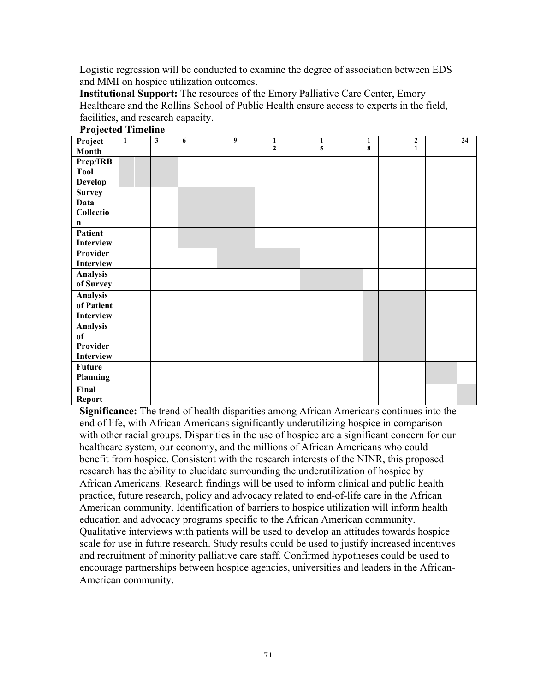Logistic regression will be conducted to examine the degree of association between EDS and MMI on hospice utilization outcomes.

**Institutional Support:** The resources of the Emory Palliative Care Center, Emory Healthcare and the Rollins School of Public Health ensure access to experts in the field, facilities, and research capacity.

| Project         | $\mathbf{1}$ | $\mathbf{3}$ | 6 |               | 9 |  | 1            |  | $\mathbf{1}$ |  | 1 |  | $\mathbf{2}$ |  | $\overline{24}$ |
|-----------------|--------------|--------------|---|---------------|---|--|--------------|--|--------------|--|---|--|--------------|--|-----------------|
| Month           |              |              |   |               |   |  | $\mathbf{2}$ |  | 5            |  | 8 |  | $\mathbf{1}$ |  |                 |
| Prep/IRB        |              |              |   |               |   |  |              |  |              |  |   |  |              |  |                 |
| <b>Tool</b>     |              |              |   |               |   |  |              |  |              |  |   |  |              |  |                 |
| <b>Develop</b>  |              |              |   |               |   |  |              |  |              |  |   |  |              |  |                 |
| <b>Survey</b>   |              |              |   |               |   |  |              |  |              |  |   |  |              |  |                 |
| Data            |              |              |   |               |   |  |              |  |              |  |   |  |              |  |                 |
| Collectio       |              |              |   |               |   |  |              |  |              |  |   |  |              |  |                 |
| n               |              |              |   |               |   |  |              |  |              |  |   |  |              |  |                 |
| Patient         |              |              |   |               |   |  |              |  |              |  |   |  |              |  |                 |
| Interview       |              |              |   |               |   |  |              |  |              |  |   |  |              |  |                 |
| Provider        |              |              |   |               |   |  |              |  |              |  |   |  |              |  |                 |
| Interview       |              |              |   |               |   |  |              |  |              |  |   |  |              |  |                 |
| <b>Analysis</b> |              |              |   |               |   |  |              |  |              |  |   |  |              |  |                 |
| of Survey       |              |              |   |               |   |  |              |  |              |  |   |  |              |  |                 |
| <b>Analysis</b> |              |              |   |               |   |  |              |  |              |  |   |  |              |  |                 |
| of Patient      |              |              |   |               |   |  |              |  |              |  |   |  |              |  |                 |
| Interview       |              |              |   |               |   |  |              |  |              |  |   |  |              |  |                 |
| Analysis        |              |              |   |               |   |  |              |  |              |  |   |  |              |  |                 |
| of              |              |              |   |               |   |  |              |  |              |  |   |  |              |  |                 |
| Provider        |              |              |   |               |   |  |              |  |              |  |   |  |              |  |                 |
| Interview       |              |              |   |               |   |  |              |  |              |  |   |  |              |  |                 |
| <b>Future</b>   |              |              |   |               |   |  |              |  |              |  |   |  |              |  |                 |
|                 |              |              |   |               |   |  |              |  |              |  |   |  |              |  |                 |
| Final           |              |              |   |               |   |  |              |  |              |  |   |  |              |  |                 |
| <b>Report</b>   |              |              |   |               |   |  |              |  |              |  |   |  |              |  |                 |
| Planning        |              |              |   | $\sim$ $\sim$ |   |  |              |  |              |  |   |  |              |  |                 |

**Projected Timeline**

**Significance:** The trend of health disparities among African Americans continues into the end of life, with African Americans significantly underutilizing hospice in comparison with other racial groups. Disparities in the use of hospice are a significant concern for our healthcare system, our economy, and the millions of African Americans who could benefit from hospice. Consistent with the research interests of the NINR, this proposed research has the ability to elucidate surrounding the underutilization of hospice by African Americans. Research findings will be used to inform clinical and public health practice, future research, policy and advocacy related to end-of-life care in the African American community. Identification of barriers to hospice utilization will inform health education and advocacy programs specific to the African American community. Qualitative interviews with patients will be used to develop an attitudes towards hospice scale for use in future research. Study results could be used to justify increased incentives and recruitment of minority palliative care staff. Confirmed hypotheses could be used to encourage partnerships between hospice agencies, universities and leaders in the African-American community.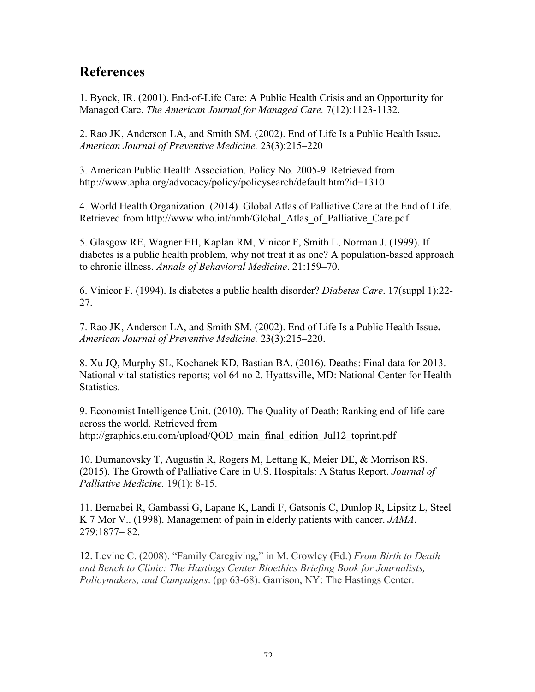## **References**

1. Byock, IR. (2001). End-of-Life Care: A Public Health Crisis and an Opportunity for Managed Care. *The American Journal for Managed Care.* 7(12):1123-1132.

2. Rao JK, Anderson LA, and Smith SM. (2002). End of Life Is a Public Health Issue**.**  *American Journal of Preventive Medicine.* 23(3):215–220

3. American Public Health Association. Policy No. 2005-9. Retrieved from http://www.apha.org/advocacy/policy/policysearch/default.htm?id=1310

4. World Health Organization. (2014). Global Atlas of Palliative Care at the End of Life. Retrieved from http://www.who.int/nmh/Global\_Atlas\_of\_Palliative\_Care.pdf

5. Glasgow RE, Wagner EH, Kaplan RM, Vinicor F, Smith L, Norman J. (1999). If diabetes is a public health problem, why not treat it as one? A population-based approach to chronic illness. *Annals of Behavioral Medicine*. 21:159–70.

6. Vinicor F. (1994). Is diabetes a public health disorder? *Diabetes Care*. 17(suppl 1):22- 27.

7. Rao JK, Anderson LA, and Smith SM. (2002). End of Life Is a Public Health Issue**.** *American Journal of Preventive Medicine.* 23(3):215–220.

8. Xu JQ, Murphy SL, Kochanek KD, Bastian BA. (2016). Deaths: Final data for 2013. National vital statistics reports; vol 64 no 2. Hyattsville, MD: National Center for Health Statistics.

9. Economist Intelligence Unit. (2010). The Quality of Death: Ranking end-of-life care across the world. Retrieved from http://graphics.eiu.com/upload/QOD\_main\_final\_edition\_Jul12\_toprint.pdf

10. Dumanovsky T, Augustin R, Rogers M, Lettang K, Meier DE, & Morrison RS. (2015). The Growth of Palliative Care in U.S. Hospitals: A Status Report. *Journal of Palliative Medicine.* 19(1): 8-15.

11. Bernabei R, Gambassi G, Lapane K, Landi F, Gatsonis C, Dunlop R, Lipsitz L, Steel K 7 Mor V.. (1998). Management of pain in elderly patients with cancer. *JAMA*. 279:1877– 82.

12. Levine C. (2008). "Family Caregiving," in M. Crowley (Ed.) *From Birth to Death and Bench to Clinic: The Hastings Center Bioethics Briefing Book for Journalists, Policymakers, and Campaigns*. (pp 63-68). Garrison, NY: The Hastings Center.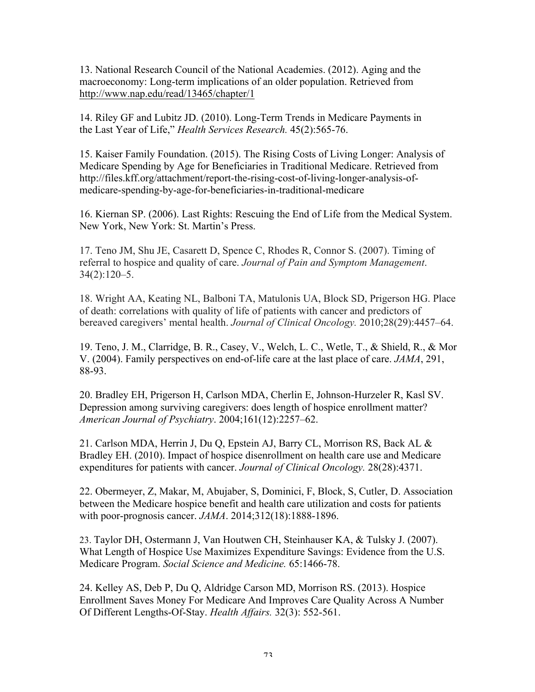13. National Research Council of the National Academies. (2012). Aging and the macroeconomy: Long-term implications of an older population. Retrieved from http://www.nap.edu/read/13465/chapter/1

14. Riley GF and Lubitz JD. (2010). Long-Term Trends in Medicare Payments in the Last Year of Life," *Health Services Research.* 45(2):565-76.

15. Kaiser Family Foundation. (2015). The Rising Costs of Living Longer: Analysis of Medicare Spending by Age for Beneficiaries in Traditional Medicare. Retrieved from http://files.kff.org/attachment/report-the-rising-cost-of-living-longer-analysis-ofmedicare-spending-by-age-for-beneficiaries-in-traditional-medicare

16. Kiernan SP. (2006). Last Rights: Rescuing the End of Life from the Medical System. New York, New York: St. Martin's Press.

17. Teno JM, Shu JE, Casarett D, Spence C, Rhodes R, Connor S. (2007). Timing of referral to hospice and quality of care. *Journal of Pain and Symptom Management*. 34(2):120–5.

18. Wright AA, Keating NL, Balboni TA, Matulonis UA, Block SD, Prigerson HG. Place of death: correlations with quality of life of patients with cancer and predictors of bereaved caregivers' mental health. *Journal of Clinical Oncology.* 2010;28(29):4457–64.

19. Teno, J. M., Clarridge, B. R., Casey, V., Welch, L. C., Wetle, T., & Shield, R., & Mor V. (2004). Family perspectives on end-of-life care at the last place of care. *JAMA*, 291, 88-93.

20. Bradley EH, Prigerson H, Carlson MDA, Cherlin E, Johnson-Hurzeler R, Kasl SV. Depression among surviving caregivers: does length of hospice enrollment matter? *American Journal of Psychiatry*. 2004;161(12):2257–62.

21. Carlson MDA, Herrin J, Du Q, Epstein AJ, Barry CL, Morrison RS, Back AL & Bradley EH. (2010). Impact of hospice disenrollment on health care use and Medicare expenditures for patients with cancer. *Journal of Clinical Oncology.* 28(28):4371.

22. Obermeyer, Z, Makar, M, Abujaber, S, Dominici, F, Block, S, Cutler, D. Association between the Medicare hospice benefit and health care utilization and costs for patients with poor-prognosis cancer. *JAMA*. 2014;312(18):1888-1896.

23. Taylor DH, Ostermann J, Van Houtwen CH, Steinhauser KA, & Tulsky J. (2007). What Length of Hospice Use Maximizes Expenditure Savings: Evidence from the U.S. Medicare Program. *Social Science and Medicine.* 65:1466-78.

24. Kelley AS, Deb P, Du Q, Aldridge Carson MD, Morrison RS. (2013). Hospice Enrollment Saves Money For Medicare And Improves Care Quality Across A Number Of Different Lengths-Of-Stay. *Health Affairs.* 32(3): 552-561.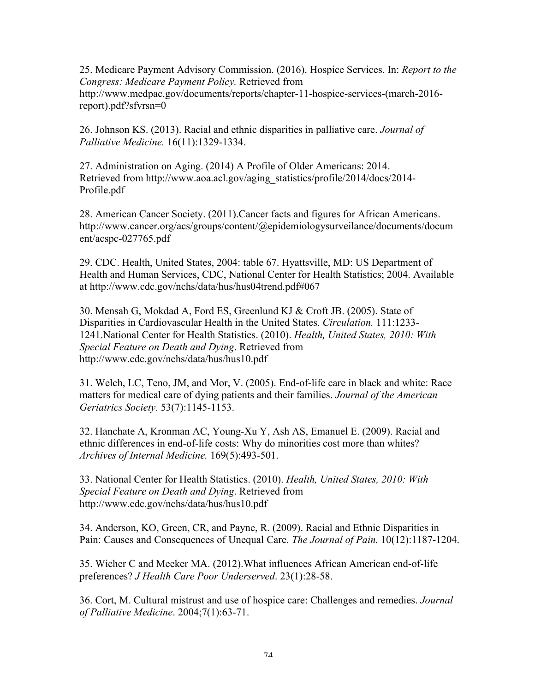25. Medicare Payment Advisory Commission. (2016). Hospice Services. In: *Report to the Congress: Medicare Payment Policy.* Retrieved from http://www.medpac.gov/documents/reports/chapter-11-hospice-services-(march-2016 report).pdf?sfvrsn=0

26. Johnson KS. (2013). Racial and ethnic disparities in palliative care. *Journal of Palliative Medicine.* 16(11):1329-1334.

27. Administration on Aging. (2014) A Profile of Older Americans: 2014. Retrieved from http://www.aoa.acl.gov/aging\_statistics/profile/2014/docs/2014- Profile.pdf

28. American Cancer Society. (2011).Cancer facts and figures for African Americans. http://www.cancer.org/acs/groups/content/@epidemiologysurveilance/documents/docum ent/acspc-027765.pdf

29. CDC. Health, United States, 2004: table 67. Hyattsville, MD: US Department of Health and Human Services, CDC, National Center for Health Statistics; 2004. Available at http://www.cdc.gov/nchs/data/hus/hus04trend.pdf#067

30. Mensah G, Mokdad A, Ford ES, Greenlund KJ & Croft JB. (2005). State of Disparities in Cardiovascular Health in the United States. *Circulation.* 111:1233- 1241.National Center for Health Statistics. (2010). *Health, United States, 2010: With Special Feature on Death and Dying*. Retrieved from http://www.cdc.gov/nchs/data/hus/hus10.pdf

31. Welch, LC, Teno, JM, and Mor, V. (2005). End-of-life care in black and white: Race matters for medical care of dying patients and their families. *Journal of the American Geriatrics Society.* 53(7):1145-1153.

32. Hanchate A, Kronman AC, Young-Xu Y, Ash AS, Emanuel E. (2009). Racial and ethnic differences in end-of-life costs: Why do minorities cost more than whites? *Archives of Internal Medicine.* 169(5):493-501.

33. National Center for Health Statistics. (2010). *Health, United States, 2010: With Special Feature on Death and Dying*. Retrieved from http://www.cdc.gov/nchs/data/hus/hus10.pdf

34. Anderson, KO, Green, CR, and Payne, R. (2009). Racial and Ethnic Disparities in Pain: Causes and Consequences of Unequal Care. *The Journal of Pain.* 10(12):1187-1204.

35. Wicher C and Meeker MA. (2012).What influences African American end-of-life preferences? *J Health Care Poor Underserved*. 23(1):28-58.

36. Cort, M. Cultural mistrust and use of hospice care: Challenges and remedies. *Journal of Palliative Medicine*. 2004;7(1):63-71.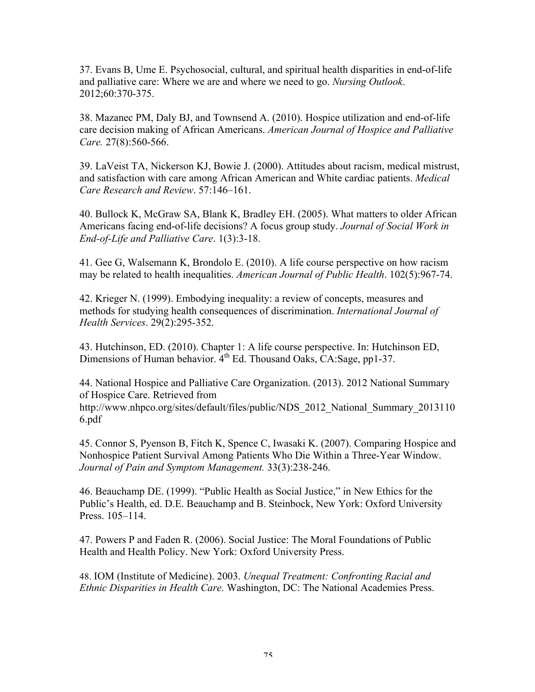37. Evans B, Ume E. Psychosocial, cultural, and spiritual health disparities in end-of-life and palliative care: Where we are and where we need to go. *Nursing Outlook*. 2012;60:370-375.

38. Mazanec PM, Daly BJ, and Townsend A. (2010). Hospice utilization and end-of-life care decision making of African Americans. *American Journal of Hospice and Palliative Care.* 27(8):560-566.

39. LaVeist TA, Nickerson KJ, Bowie J. (2000). Attitudes about racism, medical mistrust, and satisfaction with care among African American and White cardiac patients. *Medical Care Research and Review*. 57:146–161.

40. Bullock K, McGraw SA, Blank K, Bradley EH. (2005). What matters to older African Americans facing end-of-life decisions? A focus group study. *Journal of Social Work in End-of-Life and Palliative Care*. 1(3):3-18.

41. Gee G, Walsemann K, Brondolo E. (2010). A life course perspective on how racism may be related to health inequalities. *American Journal of Public Health*. 102(5):967-74.

42. Krieger N. (1999). Embodying inequality: a review of concepts, measures and methods for studying health consequences of discrimination. *International Journal of Health Services*. 29(2):295-352.

43. Hutchinson, ED. (2010). Chapter 1: A life course perspective. In: Hutchinson ED, Dimensions of Human behavior.  $4^{th}$  Ed. Thousand Oaks, CA:Sage, pp1-37.

44. National Hospice and Palliative Care Organization. (2013). 2012 National Summary of Hospice Care. Retrieved from http://www.nhpco.org/sites/default/files/public/NDS\_2012\_National\_Summary\_2013110 6.pdf

45. Connor S, Pyenson B, Fitch K, Spence C, Iwasaki K. (2007). Comparing Hospice and Nonhospice Patient Survival Among Patients Who Die Within a Three-Year Window. *Journal of Pain and Symptom Management.* 33(3):238-246.

46. Beauchamp DE. (1999). "Public Health as Social Justice," in New Ethics for the Public's Health, ed. D.E. Beauchamp and B. Steinbock, New York: Oxford University Press. 105–114.

47. Powers P and Faden R. (2006). Social Justice: The Moral Foundations of Public Health and Health Policy. New York: Oxford University Press.

48. IOM (Institute of Medicine). 2003. *Unequal Treatment: Confronting Racial and Ethnic Disparities in Health Care.* Washington, DC: The National Academies Press.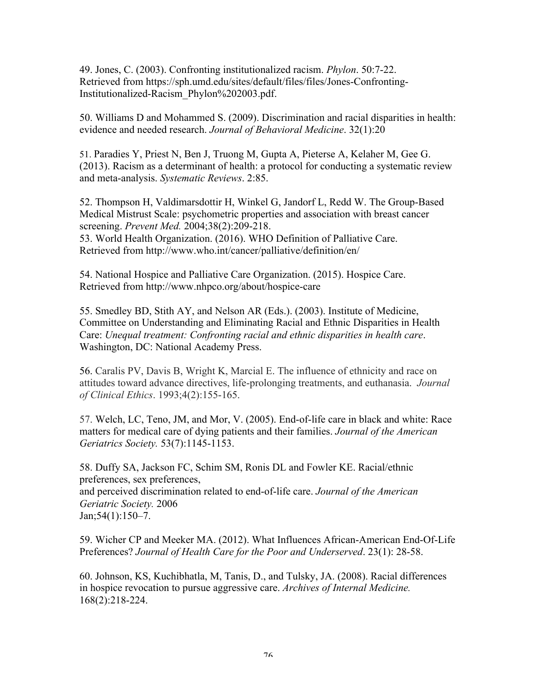49. Jones, C. (2003). Confronting institutionalized racism. *Phylon*. 50:7-22. Retrieved from https://sph.umd.edu/sites/default/files/files/Jones-Confronting-Institutionalized-Racism\_Phylon%202003.pdf.

50. Williams D and Mohammed S. (2009). Discrimination and racial disparities in health: evidence and needed research. *Journal of Behavioral Medicine*. 32(1):20

51. Paradies Y, Priest N, Ben J, Truong M, Gupta A, Pieterse A, Kelaher M, Gee G. (2013). Racism as a determinant of health: a protocol for conducting a systematic review and meta-analysis. *Systematic Reviews*. 2:85.

52. Thompson H, Valdimarsdottir H, Winkel G, Jandorf L, Redd W. The Group-Based Medical Mistrust Scale: psychometric properties and association with breast cancer screening. *Prevent Med.* 2004;38(2):209-218. 53. World Health Organization. (2016). WHO Definition of Palliative Care.

Retrieved from http://www.who.int/cancer/palliative/definition/en/

54. National Hospice and Palliative Care Organization. (2015). Hospice Care. Retrieved from http://www.nhpco.org/about/hospice-care

55. Smedley BD, Stith AY, and Nelson AR (Eds.). (2003). Institute of Medicine, Committee on Understanding and Eliminating Racial and Ethnic Disparities in Health Care: *Unequal treatment: Confronting racial and ethnic disparities in health care*. Washington, DC: National Academy Press.

56. Caralis PV, Davis B, Wright K, Marcial E. The influence of ethnicity and race on attitudes toward advance directives, life-prolonging treatments, and euthanasia. *Journal of Clinical Ethics*. 1993;4(2):155-165.

57. Welch, LC, Teno, JM, and Mor, V. (2005). End-of-life care in black and white: Race matters for medical care of dying patients and their families. *Journal of the American Geriatrics Society.* 53(7):1145-1153.

58. Duffy SA, Jackson FC, Schim SM, Ronis DL and Fowler KE. Racial/ethnic preferences, sex preferences, and perceived discrimination related to end-of-life care. *Journal of the American Geriatric Society.* 2006 Jan;54(1):150–7.

59. Wicher CP and Meeker MA. (2012). What Influences African-American End-Of-Life Preferences? *Journal of Health Care for the Poor and Underserved*. 23(1): 28-58.

60. Johnson, KS, Kuchibhatla, M, Tanis, D., and Tulsky, JA. (2008). Racial differences in hospice revocation to pursue aggressive care. *Archives of Internal Medicine.*  168(2):218-224.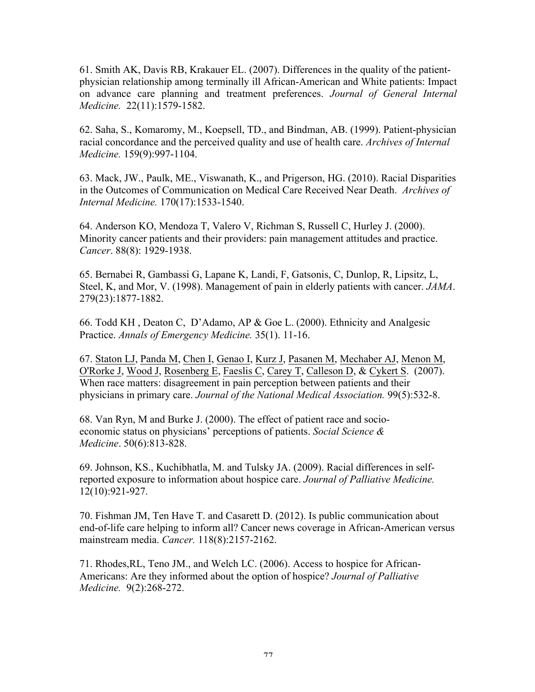61. Smith AK, Davis RB, Krakauer EL. (2007). Differences in the quality of the patientphysician relationship among terminally ill African-American and White patients: Impact on advance care planning and treatment preferences. *Journal of General Internal Medicine.* 22(11):1579-1582.

62. Saha, S., Komaromy, M., Koepsell, TD., and Bindman, AB. (1999). Patient-physician racial concordance and the perceived quality and use of health care. *Archives of Internal Medicine.* 159(9):997-1104.

63. Mack, JW., Paulk, ME., Viswanath, K., and Prigerson, HG. (2010). Racial Disparities in the Outcomes of Communication on Medical Care Received Near Death. *Archives of Internal Medicine.* 170(17):1533-1540.

64. Anderson KO, Mendoza T, Valero V, Richman S, Russell C, Hurley J. (2000). Minority cancer patients and their providers: pain management attitudes and practice. *Cancer*. 88(8): 1929-1938.

65. Bernabei R, Gambassi G, Lapane K, Landi, F, Gatsonis, C, Dunlop, R, Lipsitz, L, Steel, K, and Mor, V. (1998). Management of pain in elderly patients with cancer. *JAMA*. 279(23):1877-1882.

66. Todd KH , Deaton C, D'Adamo, AP & Goe L. (2000). Ethnicity and Analgesic Practice. *Annals of Emergency Medicine.* 35(1). 11-16.

67. Staton LJ, Panda M, Chen I, Genao I, Kurz J, Pasanen M, Mechaber AJ, Menon M, O'Rorke J, Wood J, Rosenberg E, Faeslis C, Carey T, Calleson D, & Cykert S. (2007). When race matters: disagreement in pain perception between patients and their physicians in primary care. *Journal of the National Medical Association.* 99(5):532-8.

68. Van Ryn, M and Burke J. (2000). The effect of patient race and socioeconomic status on physicians' perceptions of patients. *Social Science & Medicine*. 50(6):813-828.

69. Johnson, KS., Kuchibhatla, M. and Tulsky JA. (2009). Racial differences in selfreported exposure to information about hospice care. *Journal of Palliative Medicine.*  12(10):921-927.

70. Fishman JM, Ten Have T. and Casarett D. (2012). Is public communication about end-of-life care helping to inform all? Cancer news coverage in African-American versus mainstream media. *Cancer.* 118(8):2157-2162.

71. Rhodes,RL, Teno JM., and Welch LC. (2006). Access to hospice for African-Americans: Are they informed about the option of hospice? *Journal of Palliative Medicine.* 9(2):268-272.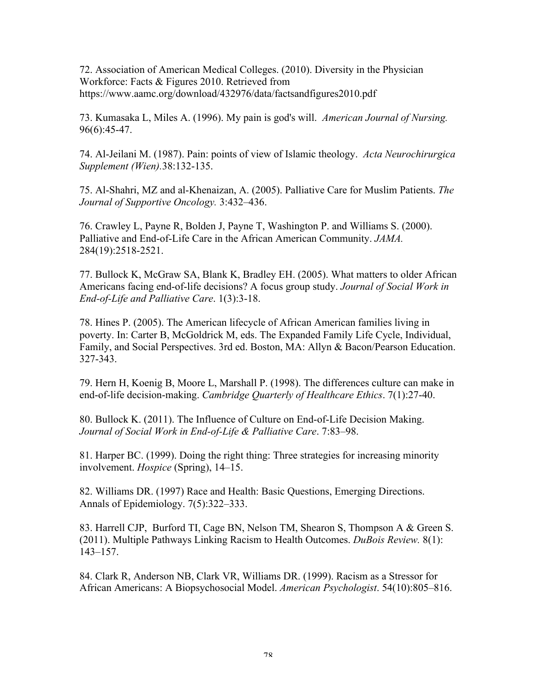72. Association of American Medical Colleges. (2010). Diversity in the Physician Workforce: Facts & Figures 2010. Retrieved from https://www.aamc.org/download/432976/data/factsandfigures2010.pdf

73. Kumasaka L, Miles A. (1996). My pain is god's will. *American Journal of Nursing.*  96(6):45-47.

74. Al-Jeilani M. (1987). Pain: points of view of Islamic theology. *Acta Neurochirurgica Supplement (Wien).*38:132-135.

75. Al-Shahri, MZ and al-Khenaizan, A. (2005). Palliative Care for Muslim Patients. *The Journal of Supportive Oncology.* 3:432–436.

76. Crawley L, Payne R, Bolden J, Payne T, Washington P. and Williams S. (2000). Palliative and End-of-Life Care in the African American Community. *JAMA.* 284(19):2518-2521.

77. Bullock K, McGraw SA, Blank K, Bradley EH. (2005). What matters to older African Americans facing end-of-life decisions? A focus group study. *Journal of Social Work in End-of-Life and Palliative Care*. 1(3):3-18.

78. Hines P. (2005). The American lifecycle of African American families living in poverty. In: Carter B, McGoldrick M, eds. The Expanded Family Life Cycle, Individual, Family, and Social Perspectives. 3rd ed. Boston, MA: Allyn & Bacon/Pearson Education. 327-343.

79. Hern H, Koenig B, Moore L, Marshall P. (1998). The differences culture can make in end-of-life decision-making. *Cambridge Quarterly of Healthcare Ethics*. 7(1):27-40.

80. Bullock K. (2011). The Influence of Culture on End-of-Life Decision Making. *Journal of Social Work in End-of-Life & Palliative Care*. 7:83–98.

81. Harper BC. (1999). Doing the right thing: Three strategies for increasing minority involvement. *Hospice* (Spring), 14–15.

82. Williams DR. (1997) Race and Health: Basic Questions, Emerging Directions. Annals of Epidemiology. 7(5):322–333.

83. Harrell CJP, Burford TI, Cage BN, Nelson TM, Shearon S, Thompson A & Green S. (2011). Multiple Pathways Linking Racism to Health Outcomes. *DuBois Review.* 8(1): 143–157.

84. Clark R, Anderson NB, Clark VR, Williams DR. (1999). Racism as a Stressor for African Americans: A Biopsychosocial Model. *American Psychologist*. 54(10):805–816.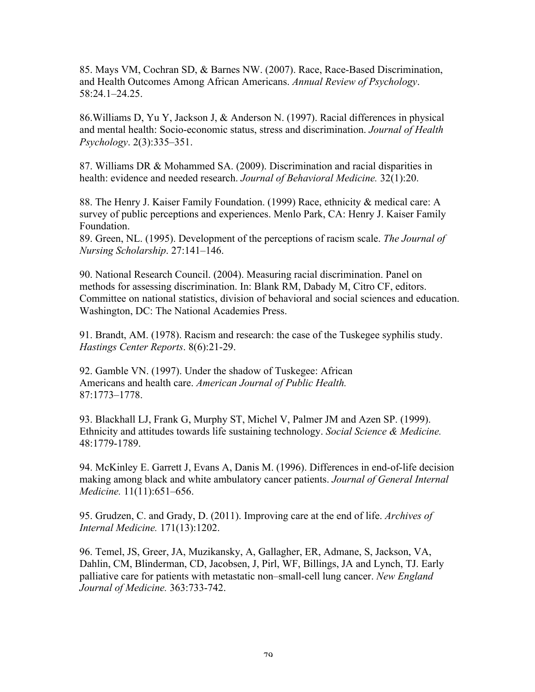85. Mays VM, Cochran SD, & Barnes NW. (2007). Race, Race-Based Discrimination, and Health Outcomes Among African Americans. *Annual Review of Psychology*. 58:24.1–24.25.

86.Williams D, Yu Y, Jackson J, & Anderson N. (1997). Racial differences in physical and mental health: Socio-economic status, stress and discrimination. *Journal of Health Psychology*. 2(3):335–351.

87. Williams DR & Mohammed SA. (2009). Discrimination and racial disparities in health: evidence and needed research. *Journal of Behavioral Medicine.* 32(1):20.

88. The Henry J. Kaiser Family Foundation. (1999) Race, ethnicity & medical care: A survey of public perceptions and experiences. Menlo Park, CA: Henry J. Kaiser Family Foundation.

89. Green, NL. (1995). Development of the perceptions of racism scale. *The Journal of Nursing Scholarship*. 27:141–146.

90. National Research Council. (2004). Measuring racial discrimination. Panel on methods for assessing discrimination. In: Blank RM, Dabady M, Citro CF, editors. Committee on national statistics, division of behavioral and social sciences and education. Washington, DC: The National Academies Press.

91. Brandt, AM. (1978). Racism and research: the case of the Tuskegee syphilis study. *Hastings Center Reports*. 8(6):21-29.

92. Gamble VN. (1997). Under the shadow of Tuskegee: African Americans and health care. *American Journal of Public Health.* 87:1773–1778.

93. Blackhall LJ, Frank G, Murphy ST, Michel V, Palmer JM and Azen SP. (1999). Ethnicity and attitudes towards life sustaining technology. *Social Science & Medicine.* 48:1779-1789.

94. McKinley E. Garrett J, Evans A, Danis M. (1996). Differences in end-of-life decision making among black and white ambulatory cancer patients. *Journal of General Internal Medicine.* 11(11):651–656.

95. Grudzen, C. and Grady, D. (2011). Improving care at the end of life. *Archives of Internal Medicine.* 171(13):1202.

96. Temel, JS, Greer, JA, Muzikansky, A, Gallagher, ER, Admane, S, Jackson, VA, Dahlin, CM, Blinderman, CD, Jacobsen, J, Pirl, WF, Billings, JA and Lynch, TJ. Early palliative care for patients with metastatic non–small-cell lung cancer. *New England Journal of Medicine.* 363:733-742.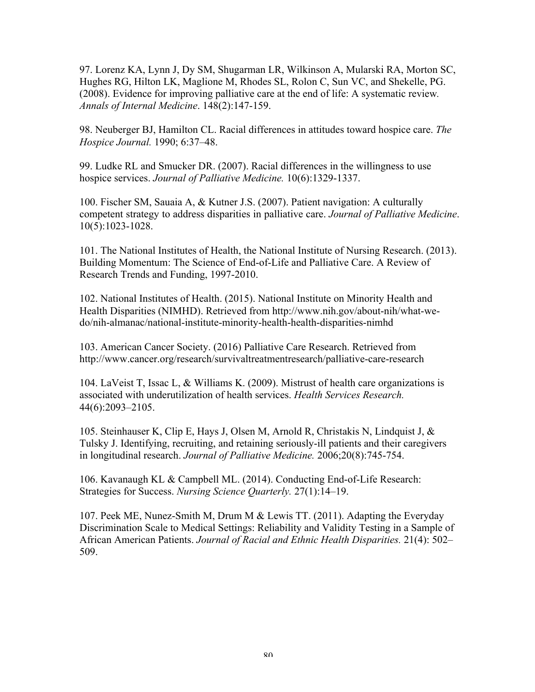97. Lorenz KA, Lynn J, Dy SM, Shugarman LR, Wilkinson A, Mularski RA, Morton SC, Hughes RG, Hilton LK, Maglione M, Rhodes SL, Rolon C, Sun VC, and Shekelle, PG. (2008). Evidence for improving palliative care at the end of life: A systematic review*. Annals of Internal Medicine*. 148(2):147-159.

98. Neuberger BJ, Hamilton CL. Racial differences in attitudes toward hospice care. *The Hospice Journal.* 1990; 6:37–48.

99. Ludke RL and Smucker DR. (2007). Racial differences in the willingness to use hospice services. *Journal of Palliative Medicine.* 10(6):1329-1337.

100. Fischer SM, Sauaia A, & Kutner J.S. (2007). Patient navigation: A culturally competent strategy to address disparities in palliative care. *Journal of Palliative Medicine*. 10(5):1023-1028.

101. The National Institutes of Health, the National Institute of Nursing Research. (2013). Building Momentum: The Science of End-of-Life and Palliative Care. A Review of Research Trends and Funding, 1997-2010.

102. National Institutes of Health. (2015). National Institute on Minority Health and Health Disparities (NIMHD). Retrieved from http://www.nih.gov/about-nih/what-wedo/nih-almanac/national-institute-minority-health-health-disparities-nimhd

103. American Cancer Society. (2016) Palliative Care Research. Retrieved from http://www.cancer.org/research/survivaltreatmentresearch/palliative-care-research

104. LaVeist T, Issac L, & Williams K. (2009). Mistrust of health care organizations is associated with underutilization of health services. *Health Services Research.* 44(6):2093–2105.

105. Steinhauser K, Clip E, Hays J, Olsen M, Arnold R, Christakis N, Lindquist J, & Tulsky J. Identifying, recruiting, and retaining seriously-ill patients and their caregivers in longitudinal research. *Journal of Palliative Medicine.* 2006;20(8):745-754.

106. Kavanaugh KL & Campbell ML. (2014). Conducting End-of-Life Research: Strategies for Success. *Nursing Science Quarterly.* 27(1):14–19.

107. Peek ME, Nunez-Smith M, Drum M & Lewis TT. (2011). Adapting the Everyday Discrimination Scale to Medical Settings: Reliability and Validity Testing in a Sample of African American Patients. *Journal of Racial and Ethnic Health Disparities.* 21(4): 502– 509.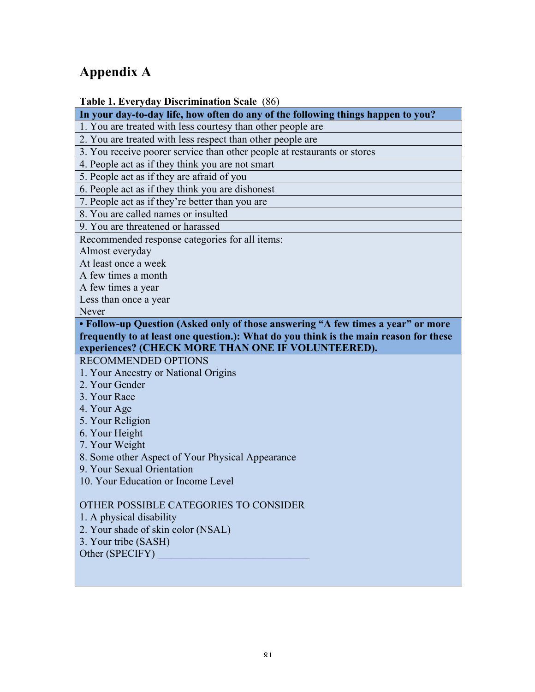# **Appendix A**

# **Table 1. Everyday Discrimination Scale** (86)

**In your day-to-day life, how often do any of the following things happen to you?**

1. You are treated with less courtesy than other people are

2. You are treated with less respect than other people are

3. You receive poorer service than other people at restaurants or stores

4. People act as if they think you are not smart

5. People act as if they are afraid of you

6. People act as if they think you are dishonest

7. People act as if they're better than you are

8. You are called names or insulted

9. You are threatened or harassed

Recommended response categories for all items:

Almost everyday

At least once a week

A few times a month

A few times a year

Less than once a year

Never

**• Follow-up Question (Asked only of those answering "A few times a year" or more frequently to at least one question.): What do you think is the main reason for these experiences? (CHECK MORE THAN ONE IF VOLUNTEERED).**

RECOMMENDED OPTIONS

- 1. Your Ancestry or National Origins
- 2. Your Gender
- 3. Your Race
- 4. Your Age
- 5. Your Religion
- 6. Your Height
- 7. Your Weight

8. Some other Aspect of Your Physical Appearance

9. Your Sexual Orientation

10. Your Education or Income Level

# OTHER POSSIBLE CATEGORIES TO CONSIDER

1. A physical disability

2. Your shade of skin color (NSAL)

3. Your tribe (SASH)

Other (SPECIFY)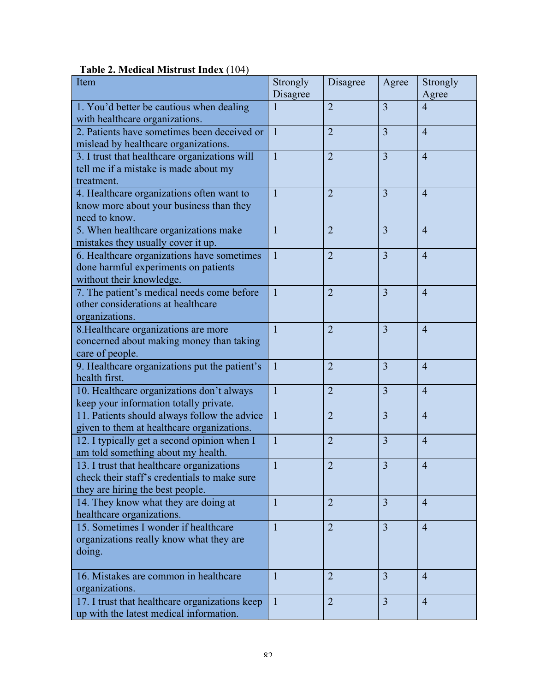| Item                                                                                       | Strongly<br>Disagree | Disagree       | Agree          | Strongly<br>Agree |
|--------------------------------------------------------------------------------------------|----------------------|----------------|----------------|-------------------|
|                                                                                            |                      | $\overline{2}$ | $\overline{3}$ | $\overline{4}$    |
| 1. You'd better be cautious when dealing<br>with healthcare organizations.                 |                      |                |                |                   |
| 2. Patients have sometimes been deceived or<br>mislead by healthcare organizations.        | $\mathbf{1}$         | $\overline{2}$ | 3              | $\overline{4}$    |
|                                                                                            | $\overline{1}$       |                | $\overline{3}$ |                   |
| 3. I trust that healthcare organizations will                                              |                      | $\overline{2}$ |                | $\overline{4}$    |
| tell me if a mistake is made about my                                                      |                      |                |                |                   |
| treatment.                                                                                 | $\mathbf{1}$         | $\overline{2}$ | $\overline{3}$ |                   |
| 4. Healthcare organizations often want to                                                  |                      |                |                | $\overline{4}$    |
| know more about your business than they                                                    |                      |                |                |                   |
| need to know.                                                                              |                      |                |                |                   |
| 5. When healthcare organizations make                                                      | $\mathbf{1}$         | $\overline{2}$ | $\overline{3}$ | $\overline{4}$    |
| mistakes they usually cover it up.                                                         |                      |                | $\overline{3}$ |                   |
| 6. Healthcare organizations have sometimes                                                 | $\mathbf{1}$         | $\overline{2}$ |                | $\overline{4}$    |
| done harmful experiments on patients                                                       |                      |                |                |                   |
| without their knowledge.                                                                   |                      |                | $\overline{3}$ |                   |
| 7. The patient's medical needs come before<br>other considerations at healthcare           | $\mathbf{1}$         | $\overline{2}$ |                | $\overline{4}$    |
|                                                                                            |                      |                |                |                   |
| organizations.                                                                             | $\mathbf{1}$         | $\overline{2}$ | $\overline{3}$ | $\overline{4}$    |
| 8. Healthcare organizations are more                                                       |                      |                |                |                   |
| concerned about making money than taking                                                   |                      |                |                |                   |
| care of people.                                                                            |                      | $\overline{2}$ | $\overline{3}$ |                   |
| 9. Healthcare organizations put the patient's<br>health first.                             | $\mathbf{1}$         |                |                | $\overline{4}$    |
|                                                                                            | $\mathbf{1}$         | $\overline{2}$ | $\overline{3}$ | $\overline{4}$    |
| 10. Healthcare organizations don't always                                                  |                      |                |                |                   |
| keep your information totally private.                                                     | $\mathbf{1}$         | $\overline{2}$ | 3              | $\overline{4}$    |
| 11. Patients should always follow the advice<br>given to them at healthcare organizations. |                      |                |                |                   |
|                                                                                            | $\mathbf{1}$         | $\overline{2}$ | $\overline{3}$ | $\overline{4}$    |
| 12. I typically get a second opinion when I<br>am told something about my health.          |                      |                |                |                   |
| 13. I trust that healthcare organizations                                                  |                      | $\overline{2}$ | 3              | $\overline{4}$    |
| check their staff's credentials to make sure                                               |                      |                |                |                   |
| they are hiring the best people.                                                           |                      |                |                |                   |
| 14. They know what they are doing at                                                       | $\mathbf{1}$         | $\overline{2}$ | 3              | $\overline{4}$    |
| healthcare organizations.                                                                  |                      |                |                |                   |
| 15. Sometimes I wonder if healthcare                                                       | $\mathbf{1}$         | $\overline{2}$ | $\overline{3}$ | $\overline{4}$    |
| organizations really know what they are                                                    |                      |                |                |                   |
| doing.                                                                                     |                      |                |                |                   |
|                                                                                            |                      |                |                |                   |
| 16. Mistakes are common in healthcare                                                      | $\mathbf{1}$         | $\overline{2}$ | $\overline{3}$ | $\overline{4}$    |
| organizations.                                                                             |                      |                |                |                   |
| 17. I trust that healthcare organizations keep                                             | $\mathbf{1}$         | $\overline{2}$ | $\overline{3}$ | $\overline{4}$    |
| up with the latest medical information.                                                    |                      |                |                |                   |

# **Table 2. Medical Mistrust Index** (104)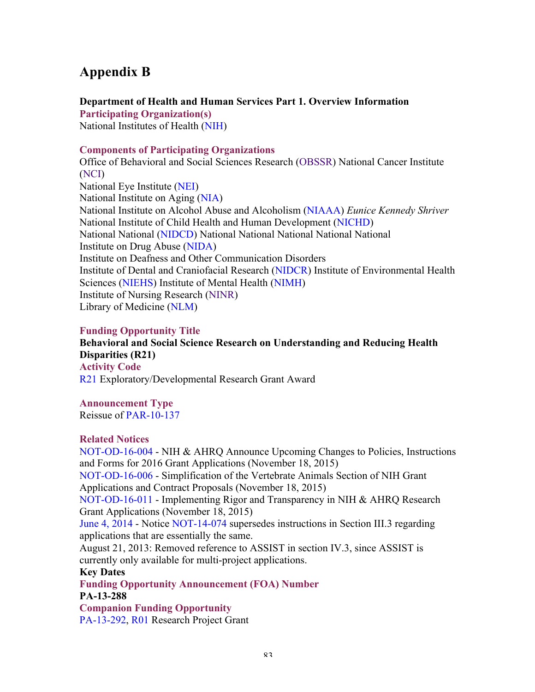# **Appendix B**

# **Department of Health and Human Services Part 1. Overview Information**

**Participating Organization(s)** National Institutes of Health (NIH)

# **Components of Participating Organizations**

Office of Behavioral and Social Sciences Research (OBSSR) National Cancer Institute (NCI) National Eye Institute (NEI) National Institute on Aging (NIA) National Institute on Alcohol Abuse and Alcoholism (NIAAA) *Eunice Kennedy Shriver*  National Institute of Child Health and Human Development (NICHD) National National (NIDCD) National National National National National Institute on Drug Abuse (NIDA) Institute on Deafness and Other Communication Disorders Institute of Dental and Craniofacial Research (NIDCR) Institute of Environmental Health Sciences (NIEHS) Institute of Mental Health (NIMH) Institute of Nursing Research (NINR) Library of Medicine (NLM)

# **Funding Opportunity Title**

**Behavioral and Social Science Research on Understanding and Reducing Health Disparities (R21) Activity Code** R21 Exploratory/Developmental Research Grant Award

**Announcement Type**

Reissue of PAR-10-137

# **Related Notices**

NOT-OD-16-004 - NIH & AHRQ Announce Upcoming Changes to Policies, Instructions and Forms for 2016 Grant Applications (November 18, 2015) NOT-OD-16-006 - Simplification of the Vertebrate Animals Section of NIH Grant Applications and Contract Proposals (November 18, 2015) NOT-OD-16-011 - Implementing Rigor and Transparency in NIH & AHRQ Research Grant Applications (November 18, 2015) June 4, 2014 - Notice NOT-14-074 supersedes instructions in Section III.3 regarding applications that are essentially the same. August 21, 2013: Removed reference to ASSIST in section IV.3, since ASSIST is currently only available for multi-project applications. **Key Dates Funding Opportunity Announcement (FOA) Number PA-13-288 Companion Funding Opportunity** PA-13-292, R01 Research Project Grant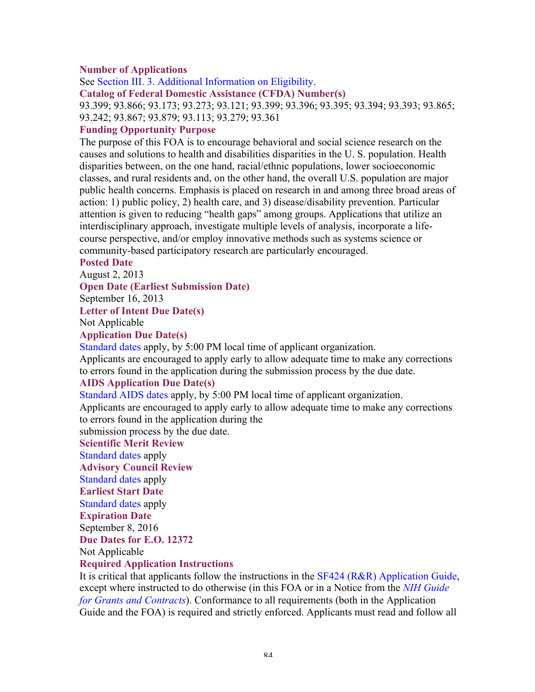## **Number of Applications**

See Section III. 3. Additional Information on Eligibility.

**Catalog of Federal Domestic Assistance (CFDA) Number(s)**

93.399; 93.866; 93.173; 93.273; 93.121; 93.399; 93.396; 93.395; 93.394; 93.393; 93.865; 93.242; 93.867; 93.879; 93.113; 93.279; 93.361

#### **Funding Opportunity Purpose**

The purpose of this FOA is to encourage behavioral and social science research on the causes and solutions to health and disabilities disparities in the U. S. population. Health disparities between, on the one hand, racial/ethnic populations, lower socioeconomic classes, and rural residents and, on the other hand, the overall U.S. population are major public health concerns. Emphasis is placed on research in and among three broad areas of action: 1) public policy, 2) health care, and 3) disease/disability prevention. Particular attention is given to reducing "health gaps" among groups. Applications that utilize an interdisciplinary approach, investigate multiple levels of analysis, incorporate a lifecourse perspective, and/or employ innovative methods such as systems science or community-based participatory research are particularly encouraged.

#### **Posted Date**

August 2, 2013

**Open Date (Earliest Submission Date)**

September 16, 2013

#### **Letter of Intent Due Date(s)**

Not Applicable

#### **Application Due Date(s)**

Standard dates apply, by 5:00 PM local time of applicant organization.

Applicants are encouraged to apply early to allow adequate time to make any corrections to errors found in the application during the submission process by the due date.

#### **AIDS Application Due Date(s)**

Standard AIDS dates apply, by 5:00 PM local time of applicant organization.

Applicants are encouraged to apply early to allow adequate time to make any corrections to errors found in the application during the

submission process by the due date.

#### **Scientific Merit Review**

Standard dates apply

**Advisory Council Review**

Standard dates apply

**Earliest Start Date**

Standard dates apply

**Expiration Date** September 8, 2016

**Due Dates for E.O. 12372**

Not Applicable

#### **Required Application Instructions**

It is critical that applicants follow the instructions in the SF424 (R&R) Application Guide, except where instructed to do otherwise (in this FOA or in a Notice from the *NIH Guide for Grants and Contracts*). Conformance to all requirements (both in the Application Guide and the FOA) is required and strictly enforced. Applicants must read and follow all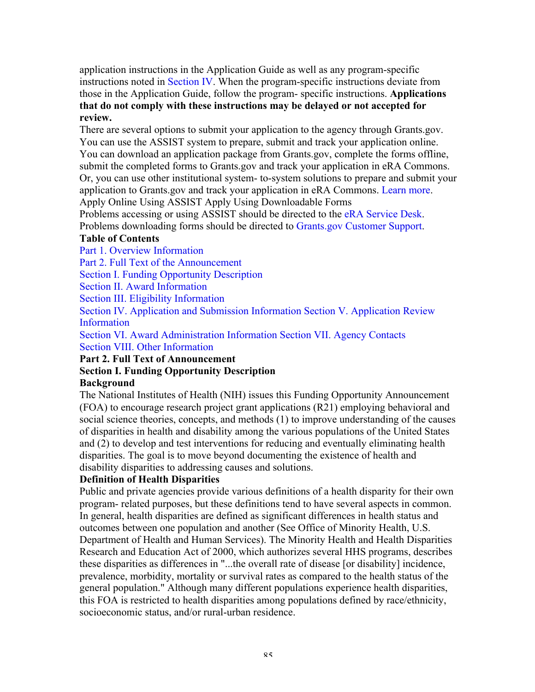application instructions in the Application Guide as well as any program-specific instructions noted in Section IV. When the program-specific instructions deviate from those in the Application Guide, follow the program- specific instructions. **Applications that do not comply with these instructions may be delayed or not accepted for review.**

There are several options to submit your application to the agency through Grants.gov. You can use the ASSIST system to prepare, submit and track your application online. You can download an application package from Grants.gov, complete the forms offline, submit the completed forms to Grants.gov and track your application in eRA Commons. Or, you can use other institutional system- to-system solutions to prepare and submit your application to Grants.gov and track your application in eRA Commons. Learn more. Apply Online Using ASSIST Apply Using Downloadable Forms

Problems accessing or using ASSIST should be directed to the eRA Service Desk. Problems downloading forms should be directed to Grants.gov Customer Support.

## **Table of Contents**

Part 1. Overview Information

Part 2. Full Text of the Announcement

Section I. Funding Opportunity Description

Section II. Award Information

Section III. Eligibility Information

Section IV. Application and Submission Information Section V. Application Review Information

Section VI. Award Administration Information Section VII. Agency Contacts Section VIII. Other Information

**Part 2. Full Text of Announcement Section I. Funding Opportunity Description**

# **Background**

The National Institutes of Health (NIH) issues this Funding Opportunity Announcement (FOA) to encourage research project grant applications (R21) employing behavioral and social science theories, concepts, and methods (1) to improve understanding of the causes of disparities in health and disability among the various populations of the United States and (2) to develop and test interventions for reducing and eventually eliminating health disparities. The goal is to move beyond documenting the existence of health and disability disparities to addressing causes and solutions.

# **Definition of Health Disparities**

Public and private agencies provide various definitions of a health disparity for their own program- related purposes, but these definitions tend to have several aspects in common. In general, health disparities are defined as significant differences in health status and outcomes between one population and another (See Office of Minority Health, U.S. Department of Health and Human Services). The Minority Health and Health Disparities Research and Education Act of 2000, which authorizes several HHS programs, describes these disparities as differences in "...the overall rate of disease [or disability] incidence, prevalence, morbidity, mortality or survival rates as compared to the health status of the general population." Although many different populations experience health disparities, this FOA is restricted to health disparities among populations defined by race/ethnicity, socioeconomic status, and/or rural-urban residence.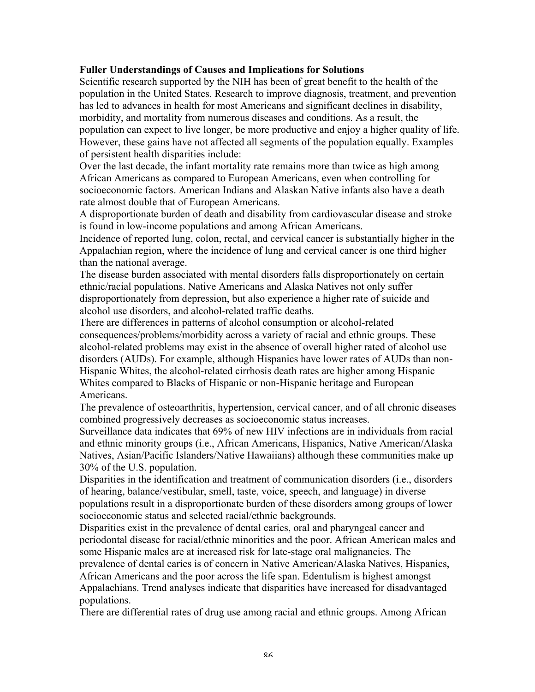## **Fuller Understandings of Causes and Implications for Solutions**

Scientific research supported by the NIH has been of great benefit to the health of the population in the United States. Research to improve diagnosis, treatment, and prevention has led to advances in health for most Americans and significant declines in disability, morbidity, and mortality from numerous diseases and conditions. As a result, the population can expect to live longer, be more productive and enjoy a higher quality of life. However, these gains have not affected all segments of the population equally. Examples of persistent health disparities include:

Over the last decade, the infant mortality rate remains more than twice as high among African Americans as compared to European Americans, even when controlling for socioeconomic factors. American Indians and Alaskan Native infants also have a death rate almost double that of European Americans.

A disproportionate burden of death and disability from cardiovascular disease and stroke is found in low-income populations and among African Americans.

Incidence of reported lung, colon, rectal, and cervical cancer is substantially higher in the Appalachian region, where the incidence of lung and cervical cancer is one third higher than the national average.

The disease burden associated with mental disorders falls disproportionately on certain ethnic/racial populations. Native Americans and Alaska Natives not only suffer disproportionately from depression, but also experience a higher rate of suicide and alcohol use disorders, and alcohol-related traffic deaths.

There are differences in patterns of alcohol consumption or alcohol-related consequences/problems/morbidity across a variety of racial and ethnic groups. These alcohol-related problems may exist in the absence of overall higher rated of alcohol use disorders (AUDs). For example, although Hispanics have lower rates of AUDs than non-Hispanic Whites, the alcohol-related cirrhosis death rates are higher among Hispanic Whites compared to Blacks of Hispanic or non-Hispanic heritage and European Americans.

The prevalence of osteoarthritis, hypertension, cervical cancer, and of all chronic diseases combined progressively decreases as socioeconomic status increases.

Surveillance data indicates that 69% of new HIV infections are in individuals from racial and ethnic minority groups (i.e., African Americans, Hispanics, Native American/Alaska Natives, Asian/Pacific Islanders/Native Hawaiians) although these communities make up 30% of the U.S. population.

Disparities in the identification and treatment of communication disorders (i.e., disorders of hearing, balance/vestibular, smell, taste, voice, speech, and language) in diverse populations result in a disproportionate burden of these disorders among groups of lower socioeconomic status and selected racial/ethnic backgrounds.

Disparities exist in the prevalence of dental caries, oral and pharyngeal cancer and periodontal disease for racial/ethnic minorities and the poor. African American males and some Hispanic males are at increased risk for late-stage oral malignancies. The

prevalence of dental caries is of concern in Native American/Alaska Natives, Hispanics, African Americans and the poor across the life span. Edentulism is highest amongst Appalachians. Trend analyses indicate that disparities have increased for disadvantaged populations.

There are differential rates of drug use among racial and ethnic groups. Among African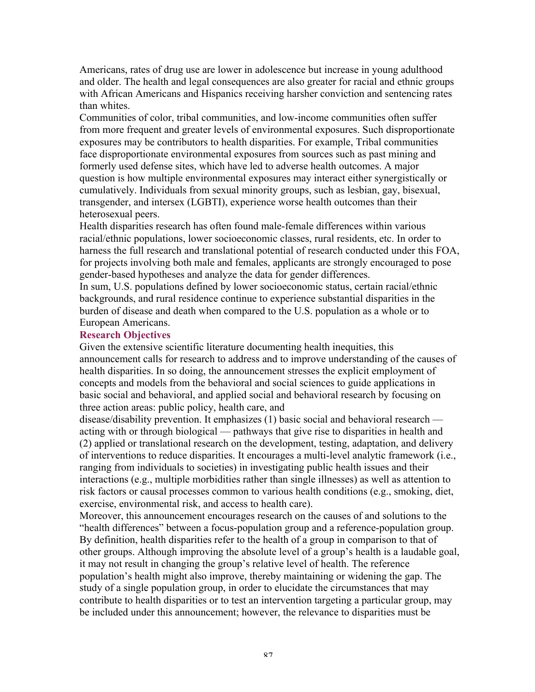Americans, rates of drug use are lower in adolescence but increase in young adulthood and older. The health and legal consequences are also greater for racial and ethnic groups with African Americans and Hispanics receiving harsher conviction and sentencing rates than whites.

Communities of color, tribal communities, and low-income communities often suffer from more frequent and greater levels of environmental exposures. Such disproportionate exposures may be contributors to health disparities. For example, Tribal communities face disproportionate environmental exposures from sources such as past mining and formerly used defense sites, which have led to adverse health outcomes. A major question is how multiple environmental exposures may interact either synergistically or cumulatively. Individuals from sexual minority groups, such as lesbian, gay, bisexual, transgender, and intersex (LGBTI), experience worse health outcomes than their heterosexual peers.

Health disparities research has often found male-female differences within various racial/ethnic populations, lower socioeconomic classes, rural residents, etc. In order to harness the full research and translational potential of research conducted under this FOA, for projects involving both male and females, applicants are strongly encouraged to pose gender-based hypotheses and analyze the data for gender differences.

In sum, U.S. populations defined by lower socioeconomic status, certain racial/ethnic backgrounds, and rural residence continue to experience substantial disparities in the burden of disease and death when compared to the U.S. population as a whole or to European Americans.

#### **Research Objectives**

Given the extensive scientific literature documenting health inequities, this announcement calls for research to address and to improve understanding of the causes of health disparities. In so doing, the announcement stresses the explicit employment of concepts and models from the behavioral and social sciences to guide applications in basic social and behavioral, and applied social and behavioral research by focusing on three action areas: public policy, health care, and

disease/disability prevention. It emphasizes (1) basic social and behavioral research acting with or through biological — pathways that give rise to disparities in health and (2) applied or translational research on the development, testing, adaptation, and delivery of interventions to reduce disparities. It encourages a multi-level analytic framework (i.e., ranging from individuals to societies) in investigating public health issues and their interactions (e.g., multiple morbidities rather than single illnesses) as well as attention to risk factors or causal processes common to various health conditions (e.g., smoking, diet, exercise, environmental risk, and access to health care).

Moreover, this announcement encourages research on the causes of and solutions to the "health differences" between a focus-population group and a reference-population group. By definition, health disparities refer to the health of a group in comparison to that of other groups. Although improving the absolute level of a group's health is a laudable goal, it may not result in changing the group's relative level of health. The reference population's health might also improve, thereby maintaining or widening the gap. The study of a single population group, in order to elucidate the circumstances that may contribute to health disparities or to test an intervention targeting a particular group, may be included under this announcement; however, the relevance to disparities must be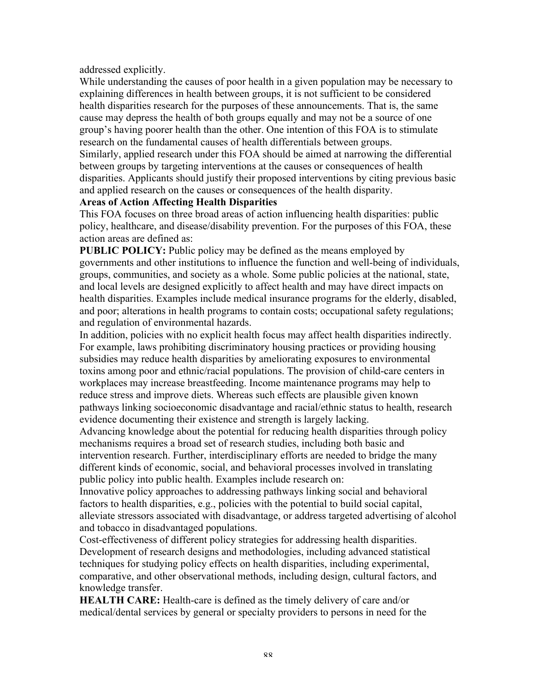addressed explicitly.

While understanding the causes of poor health in a given population may be necessary to explaining differences in health between groups, it is not sufficient to be considered health disparities research for the purposes of these announcements. That is, the same cause may depress the health of both groups equally and may not be a source of one group's having poorer health than the other. One intention of this FOA is to stimulate research on the fundamental causes of health differentials between groups. Similarly, applied research under this FOA should be aimed at narrowing the differential between groups by targeting interventions at the causes or consequences of health disparities. Applicants should justify their proposed interventions by citing previous basic and applied research on the causes or consequences of the health disparity.

## **Areas of Action Affecting Health Disparities**

This FOA focuses on three broad areas of action influencing health disparities: public policy, healthcare, and disease/disability prevention. For the purposes of this FOA, these action areas are defined as:

**PUBLIC POLICY:** Public policy may be defined as the means employed by governments and other institutions to influence the function and well-being of individuals, groups, communities, and society as a whole. Some public policies at the national, state, and local levels are designed explicitly to affect health and may have direct impacts on health disparities. Examples include medical insurance programs for the elderly, disabled, and poor; alterations in health programs to contain costs; occupational safety regulations; and regulation of environmental hazards.

In addition, policies with no explicit health focus may affect health disparities indirectly. For example, laws prohibiting discriminatory housing practices or providing housing subsidies may reduce health disparities by ameliorating exposures to environmental toxins among poor and ethnic/racial populations. The provision of child-care centers in workplaces may increase breastfeeding. Income maintenance programs may help to reduce stress and improve diets. Whereas such effects are plausible given known pathways linking socioeconomic disadvantage and racial/ethnic status to health, research evidence documenting their existence and strength is largely lacking.

Advancing knowledge about the potential for reducing health disparities through policy mechanisms requires a broad set of research studies, including both basic and intervention research. Further, interdisciplinary efforts are needed to bridge the many different kinds of economic, social, and behavioral processes involved in translating public policy into public health. Examples include research on:

Innovative policy approaches to addressing pathways linking social and behavioral factors to health disparities, e.g., policies with the potential to build social capital, alleviate stressors associated with disadvantage, or address targeted advertising of alcohol and tobacco in disadvantaged populations.

Cost-effectiveness of different policy strategies for addressing health disparities. Development of research designs and methodologies, including advanced statistical techniques for studying policy effects on health disparities, including experimental, comparative, and other observational methods, including design, cultural factors, and knowledge transfer.

**HEALTH CARE:** Health-care is defined as the timely delivery of care and/or medical/dental services by general or specialty providers to persons in need for the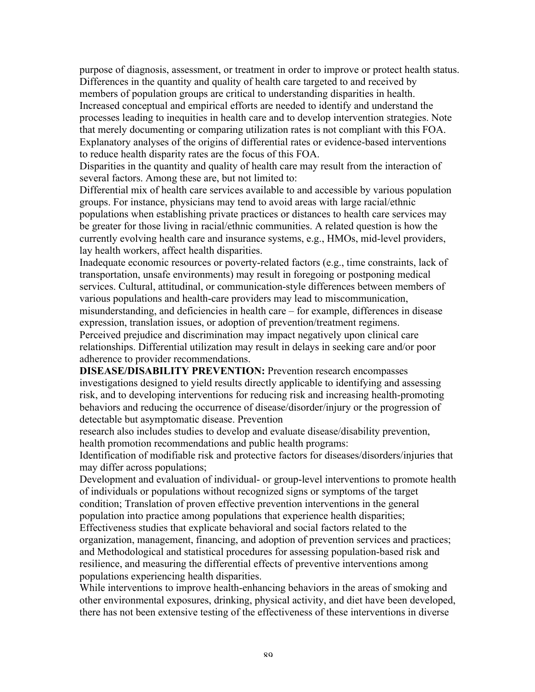purpose of diagnosis, assessment, or treatment in order to improve or protect health status. Differences in the quantity and quality of health care targeted to and received by members of population groups are critical to understanding disparities in health. Increased conceptual and empirical efforts are needed to identify and understand the processes leading to inequities in health care and to develop intervention strategies. Note that merely documenting or comparing utilization rates is not compliant with this FOA. Explanatory analyses of the origins of differential rates or evidence-based interventions to reduce health disparity rates are the focus of this FOA.

Disparities in the quantity and quality of health care may result from the interaction of several factors. Among these are, but not limited to:

Differential mix of health care services available to and accessible by various population groups. For instance, physicians may tend to avoid areas with large racial/ethnic populations when establishing private practices or distances to health care services may be greater for those living in racial/ethnic communities. A related question is how the currently evolving health care and insurance systems, e.g., HMOs, mid-level providers, lay health workers, affect health disparities.

Inadequate economic resources or poverty-related factors (e.g., time constraints, lack of transportation, unsafe environments) may result in foregoing or postponing medical services. Cultural, attitudinal, or communication-style differences between members of various populations and health-care providers may lead to miscommunication, misunderstanding, and deficiencies in health care – for example, differences in disease

expression, translation issues, or adoption of prevention/treatment regimens.

Perceived prejudice and discrimination may impact negatively upon clinical care relationships. Differential utilization may result in delays in seeking care and/or poor adherence to provider recommendations.

**DISEASE/DISABILITY PREVENTION:** Prevention research encompasses investigations designed to yield results directly applicable to identifying and assessing risk, and to developing interventions for reducing risk and increasing health-promoting behaviors and reducing the occurrence of disease/disorder/injury or the progression of detectable but asymptomatic disease. Prevention

research also includes studies to develop and evaluate disease/disability prevention, health promotion recommendations and public health programs:

Identification of modifiable risk and protective factors for diseases/disorders/injuries that may differ across populations;

Development and evaluation of individual- or group-level interventions to promote health of individuals or populations without recognized signs or symptoms of the target condition; Translation of proven effective prevention interventions in the general population into practice among populations that experience health disparities; Effectiveness studies that explicate behavioral and social factors related to the organization, management, financing, and adoption of prevention services and practices; and Methodological and statistical procedures for assessing population-based risk and resilience, and measuring the differential effects of preventive interventions among populations experiencing health disparities.

While interventions to improve health-enhancing behaviors in the areas of smoking and other environmental exposures, drinking, physical activity, and diet have been developed, there has not been extensive testing of the effectiveness of these interventions in diverse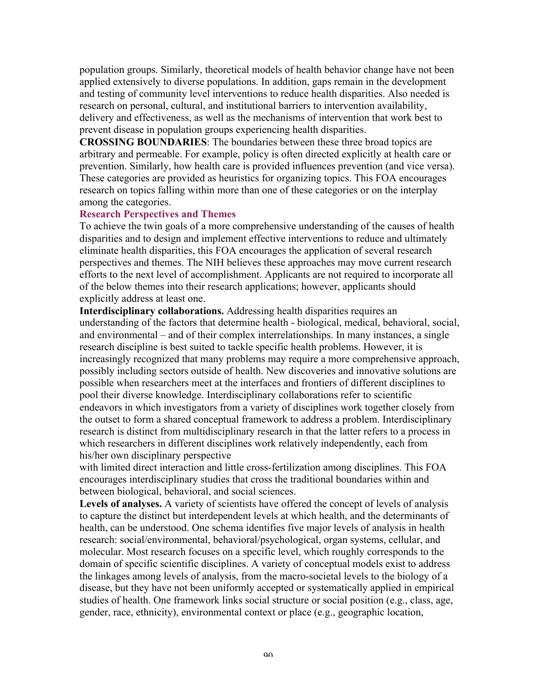population groups. Similarly, theoretical models of health behavior change have not been applied extensively to diverse populations. In addition, gaps remain in the development and testing of community level interventions to reduce health disparities. Also needed is research on personal, cultural, and institutional barriers to intervention availability, delivery and effectiveness, as well as the mechanisms of intervention that work best to prevent disease in population groups experiencing health disparities.

**CROSSING BOUNDARIES**: The boundaries between these three broad topics are arbitrary and permeable. For example, policy is often directed explicitly at health care or prevention. Similarly, how health care is provided influences prevention (and vice versa). These categories are provided as heuristics for organizing topics. This FOA encourages research on topics falling within more than one of these categories or on the interplay among the categories.

#### **Research Perspectives and Themes**

To achieve the twin goals of a more comprehensive understanding of the causes of health disparities and to design and implement effective interventions to reduce and ultimately eliminate health disparities, this FOA encourages the application of several research perspectives and themes. The NIH believes these approaches may move current research efforts to the next level of accomplishment. Applicants are not required to incorporate all of the below themes into their research applications; however, applicants should explicitly address at least one.

**Interdisciplinary collaborations.** Addressing health disparities requires an understanding of the factors that determine health - biological, medical, behavioral, social, and environmental – and of their complex interrelationships. In many instances, a single research discipline is best suited to tackle specific health problems. However, it is increasingly recognized that many problems may require a more comprehensive approach, possibly including sectors outside of health. New discoveries and innovative solutions are possible when researchers meet at the interfaces and frontiers of different disciplines to pool their diverse knowledge. Interdisciplinary collaborations refer to scientific endeavors in which investigators from a variety of disciplines work together closely from the outset to form a shared conceptual framework to address a problem. Interdisciplinary research is distinct from multidisciplinary research in that the latter refers to a process in which researchers in different disciplines work relatively independently, each from his/her own disciplinary perspective

with limited direct interaction and little cross-fertilization among disciplines. This FOA encourages interdisciplinary studies that cross the traditional boundaries within and between biological, behavioral, and social sciences.

**Levels of analyses.** A variety of scientists have offered the concept of levels of analysis to capture the distinct but interdependent levels at which health, and the determinants of health, can be understood. One schema identifies five major levels of analysis in health research: social/environmental, behavioral/psychological, organ systems, cellular, and molecular. Most research focuses on a specific level, which roughly corresponds to the domain of specific scientific disciplines. A variety of conceptual models exist to address the linkages among levels of analysis, from the macro-societal levels to the biology of a disease, but they have not been uniformly accepted or systematically applied in empirical studies of health. One framework links social structure or social position (e.g., class, age, gender, race, ethnicity), environmental context or place (e.g., geographic location,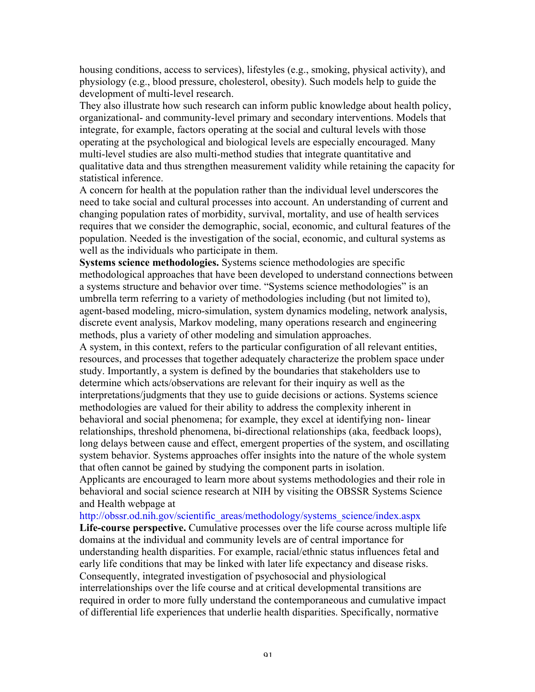housing conditions, access to services), lifestyles (e.g., smoking, physical activity), and physiology (e.g., blood pressure, cholesterol, obesity). Such models help to guide the development of multi-level research.

They also illustrate how such research can inform public knowledge about health policy, organizational- and community-level primary and secondary interventions. Models that integrate, for example, factors operating at the social and cultural levels with those operating at the psychological and biological levels are especially encouraged. Many multi-level studies are also multi-method studies that integrate quantitative and qualitative data and thus strengthen measurement validity while retaining the capacity for statistical inference.

A concern for health at the population rather than the individual level underscores the need to take social and cultural processes into account. An understanding of current and changing population rates of morbidity, survival, mortality, and use of health services requires that we consider the demographic, social, economic, and cultural features of the population. Needed is the investigation of the social, economic, and cultural systems as well as the individuals who participate in them.

**Systems science methodologies.** Systems science methodologies are specific methodological approaches that have been developed to understand connections between a systems structure and behavior over time. "Systems science methodologies" is an umbrella term referring to a variety of methodologies including (but not limited to), agent-based modeling, micro-simulation, system dynamics modeling, network analysis, discrete event analysis, Markov modeling, many operations research and engineering methods, plus a variety of other modeling and simulation approaches.

A system, in this context, refers to the particular configuration of all relevant entities, resources, and processes that together adequately characterize the problem space under study. Importantly, a system is defined by the boundaries that stakeholders use to determine which acts/observations are relevant for their inquiry as well as the interpretations/judgments that they use to guide decisions or actions. Systems science methodologies are valued for their ability to address the complexity inherent in behavioral and social phenomena; for example, they excel at identifying non- linear relationships, threshold phenomena, bi-directional relationships (aka, feedback loops), long delays between cause and effect, emergent properties of the system, and oscillating system behavior. Systems approaches offer insights into the nature of the whole system that often cannot be gained by studying the component parts in isolation.

Applicants are encouraged to learn more about systems methodologies and their role in behavioral and social science research at NIH by visiting the OBSSR Systems Science and Health webpage at

http://obssr.od.nih.gov/scientific\_areas/methodology/systems\_science/index.aspx

**Life-course perspective.** Cumulative processes over the life course across multiple life domains at the individual and community levels are of central importance for understanding health disparities. For example, racial/ethnic status influences fetal and early life conditions that may be linked with later life expectancy and disease risks. Consequently, integrated investigation of psychosocial and physiological interrelationships over the life course and at critical developmental transitions are required in order to more fully understand the contemporaneous and cumulative impact of differential life experiences that underlie health disparities. Specifically, normative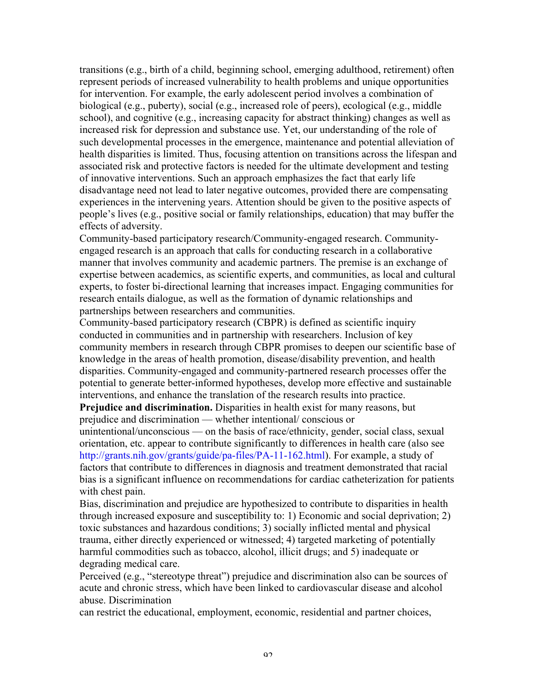transitions (e.g., birth of a child, beginning school, emerging adulthood, retirement) often represent periods of increased vulnerability to health problems and unique opportunities for intervention. For example, the early adolescent period involves a combination of biological (e.g., puberty), social (e.g., increased role of peers), ecological (e.g., middle school), and cognitive (e.g., increasing capacity for abstract thinking) changes as well as increased risk for depression and substance use. Yet, our understanding of the role of such developmental processes in the emergence, maintenance and potential alleviation of health disparities is limited. Thus, focusing attention on transitions across the lifespan and associated risk and protective factors is needed for the ultimate development and testing of innovative interventions. Such an approach emphasizes the fact that early life disadvantage need not lead to later negative outcomes, provided there are compensating experiences in the intervening years. Attention should be given to the positive aspects of people's lives (e.g., positive social or family relationships, education) that may buffer the effects of adversity.

Community-based participatory research/Community-engaged research. Communityengaged research is an approach that calls for conducting research in a collaborative manner that involves community and academic partners. The premise is an exchange of expertise between academics, as scientific experts, and communities, as local and cultural experts, to foster bi-directional learning that increases impact. Engaging communities for research entails dialogue, as well as the formation of dynamic relationships and partnerships between researchers and communities.

Community-based participatory research (CBPR) is defined as scientific inquiry conducted in communities and in partnership with researchers. Inclusion of key community members in research through CBPR promises to deepen our scientific base of knowledge in the areas of health promotion, disease/disability prevention, and health disparities. Community-engaged and community-partnered research processes offer the potential to generate better-informed hypotheses, develop more effective and sustainable interventions, and enhance the translation of the research results into practice.

**Prejudice and discrimination.** Disparities in health exist for many reasons, but prejudice and discrimination — whether intentional/ conscious or

unintentional/unconscious — on the basis of race/ethnicity, gender, social class, sexual orientation, etc. appear to contribute significantly to differences in health care (also see http://grants.nih.gov/grants/guide/pa-files/PA-11-162.html). For example, a study of factors that contribute to differences in diagnosis and treatment demonstrated that racial bias is a significant influence on recommendations for cardiac catheterization for patients with chest pain.

Bias, discrimination and prejudice are hypothesized to contribute to disparities in health through increased exposure and susceptibility to: 1) Economic and social deprivation; 2) toxic substances and hazardous conditions; 3) socially inflicted mental and physical trauma, either directly experienced or witnessed; 4) targeted marketing of potentially harmful commodities such as tobacco, alcohol, illicit drugs; and 5) inadequate or degrading medical care.

Perceived (e.g., "stereotype threat") prejudice and discrimination also can be sources of acute and chronic stress, which have been linked to cardiovascular disease and alcohol abuse. Discrimination

can restrict the educational, employment, economic, residential and partner choices,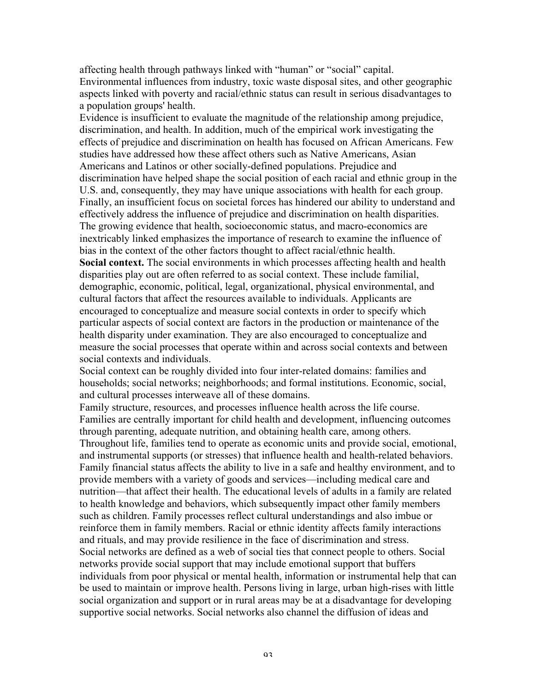affecting health through pathways linked with "human" or "social" capital. Environmental influences from industry, toxic waste disposal sites, and other geographic aspects linked with poverty and racial/ethnic status can result in serious disadvantages to a population groups' health.

Evidence is insufficient to evaluate the magnitude of the relationship among prejudice, discrimination, and health. In addition, much of the empirical work investigating the effects of prejudice and discrimination on health has focused on African Americans. Few studies have addressed how these affect others such as Native Americans, Asian Americans and Latinos or other socially-defined populations. Prejudice and discrimination have helped shape the social position of each racial and ethnic group in the U.S. and, consequently, they may have unique associations with health for each group. Finally, an insufficient focus on societal forces has hindered our ability to understand and effectively address the influence of prejudice and discrimination on health disparities. The growing evidence that health, socioeconomic status, and macro-economics are inextricably linked emphasizes the importance of research to examine the influence of bias in the context of the other factors thought to affect racial/ethnic health. **Social context.** The social environments in which processes affecting health and health disparities play out are often referred to as social context. These include familial, demographic, economic, political, legal, organizational, physical environmental, and cultural factors that affect the resources available to individuals. Applicants are encouraged to conceptualize and measure social contexts in order to specify which particular aspects of social context are factors in the production or maintenance of the health disparity under examination. They are also encouraged to conceptualize and measure the social processes that operate within and across social contexts and between social contexts and individuals.

Social context can be roughly divided into four inter-related domains: families and households; social networks; neighborhoods; and formal institutions. Economic, social, and cultural processes interweave all of these domains.

Family structure, resources, and processes influence health across the life course. Families are centrally important for child health and development, influencing outcomes through parenting, adequate nutrition, and obtaining health care, among others. Throughout life, families tend to operate as economic units and provide social, emotional, and instrumental supports (or stresses) that influence health and health-related behaviors. Family financial status affects the ability to live in a safe and healthy environment, and to provide members with a variety of goods and services—including medical care and nutrition—that affect their health. The educational levels of adults in a family are related to health knowledge and behaviors, which subsequently impact other family members such as children. Family processes reflect cultural understandings and also imbue or reinforce them in family members. Racial or ethnic identity affects family interactions and rituals, and may provide resilience in the face of discrimination and stress. Social networks are defined as a web of social ties that connect people to others. Social networks provide social support that may include emotional support that buffers individuals from poor physical or mental health, information or instrumental help that can be used to maintain or improve health. Persons living in large, urban high-rises with little social organization and support or in rural areas may be at a disadvantage for developing supportive social networks. Social networks also channel the diffusion of ideas and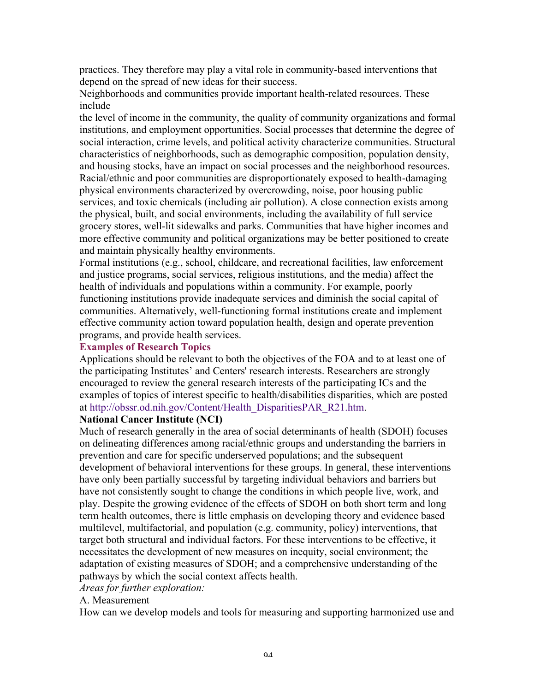practices. They therefore may play a vital role in community-based interventions that depend on the spread of new ideas for their success.

Neighborhoods and communities provide important health-related resources. These include

the level of income in the community, the quality of community organizations and formal institutions, and employment opportunities. Social processes that determine the degree of social interaction, crime levels, and political activity characterize communities. Structural characteristics of neighborhoods, such as demographic composition, population density, and housing stocks, have an impact on social processes and the neighborhood resources. Racial/ethnic and poor communities are disproportionately exposed to health-damaging physical environments characterized by overcrowding, noise, poor housing public services, and toxic chemicals (including air pollution). A close connection exists among the physical, built, and social environments, including the availability of full service grocery stores, well-lit sidewalks and parks. Communities that have higher incomes and more effective community and political organizations may be better positioned to create and maintain physically healthy environments.

Formal institutions (e.g., school, childcare, and recreational facilities, law enforcement and justice programs, social services, religious institutions, and the media) affect the health of individuals and populations within a community. For example, poorly functioning institutions provide inadequate services and diminish the social capital of communities. Alternatively, well-functioning formal institutions create and implement effective community action toward population health, design and operate prevention programs, and provide health services.

#### **Examples of Research Topics**

Applications should be relevant to both the objectives of the FOA and to at least one of the participating Institutes' and Centers' research interests. Researchers are strongly encouraged to review the general research interests of the participating ICs and the examples of topics of interest specific to health/disabilities disparities, which are posted at http://obssr.od.nih.gov/Content/Health\_DisparitiesPAR\_R21.htm.

## **National Cancer Institute (NCI)**

Much of research generally in the area of social determinants of health (SDOH) focuses on delineating differences among racial/ethnic groups and understanding the barriers in prevention and care for specific underserved populations; and the subsequent development of behavioral interventions for these groups. In general, these interventions have only been partially successful by targeting individual behaviors and barriers but have not consistently sought to change the conditions in which people live, work, and play. Despite the growing evidence of the effects of SDOH on both short term and long term health outcomes, there is little emphasis on developing theory and evidence based multilevel, multifactorial, and population (e.g. community, policy) interventions, that target both structural and individual factors. For these interventions to be effective, it necessitates the development of new measures on inequity, social environment; the adaptation of existing measures of SDOH; and a comprehensive understanding of the pathways by which the social context affects health.

#### *Areas for further exploration:*

#### A. Measurement

How can we develop models and tools for measuring and supporting harmonized use and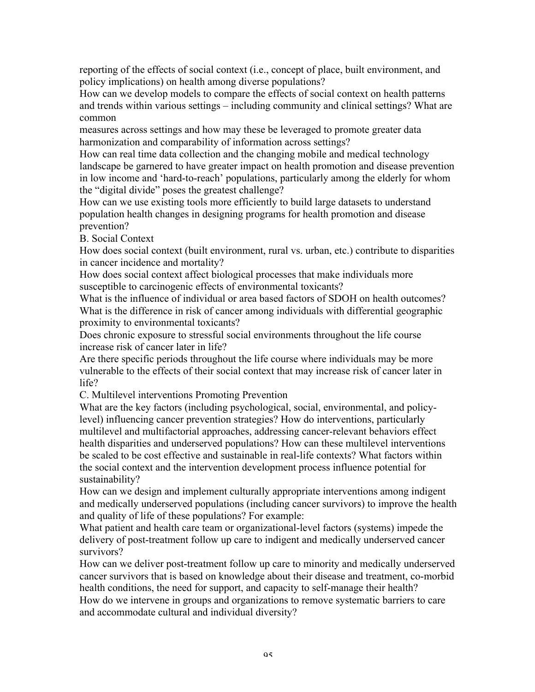reporting of the effects of social context (i.e., concept of place, built environment, and policy implications) on health among diverse populations?

How can we develop models to compare the effects of social context on health patterns and trends within various settings – including community and clinical settings? What are common

measures across settings and how may these be leveraged to promote greater data harmonization and comparability of information across settings?

How can real time data collection and the changing mobile and medical technology landscape be garnered to have greater impact on health promotion and disease prevention in low income and 'hard-to-reach' populations, particularly among the elderly for whom the "digital divide" poses the greatest challenge?

How can we use existing tools more efficiently to build large datasets to understand population health changes in designing programs for health promotion and disease prevention?

B. Social Context

How does social context (built environment, rural vs. urban, etc.) contribute to disparities in cancer incidence and mortality?

How does social context affect biological processes that make individuals more susceptible to carcinogenic effects of environmental toxicants?

What is the influence of individual or area based factors of SDOH on health outcomes? What is the difference in risk of cancer among individuals with differential geographic proximity to environmental toxicants?

Does chronic exposure to stressful social environments throughout the life course increase risk of cancer later in life?

Are there specific periods throughout the life course where individuals may be more vulnerable to the effects of their social context that may increase risk of cancer later in life?

C. Multilevel interventions Promoting Prevention

What are the key factors (including psychological, social, environmental, and policylevel) influencing cancer prevention strategies? How do interventions, particularly multilevel and multifactorial approaches, addressing cancer-relevant behaviors effect health disparities and underserved populations? How can these multilevel interventions be scaled to be cost effective and sustainable in real-life contexts? What factors within the social context and the intervention development process influence potential for sustainability?

How can we design and implement culturally appropriate interventions among indigent and medically underserved populations (including cancer survivors) to improve the health and quality of life of these populations? For example:

What patient and health care team or organizational-level factors (systems) impede the delivery of post-treatment follow up care to indigent and medically underserved cancer survivors?

How can we deliver post-treatment follow up care to minority and medically underserved cancer survivors that is based on knowledge about their disease and treatment, co-morbid health conditions, the need for support, and capacity to self-manage their health? How do we intervene in groups and organizations to remove systematic barriers to care and accommodate cultural and individual diversity?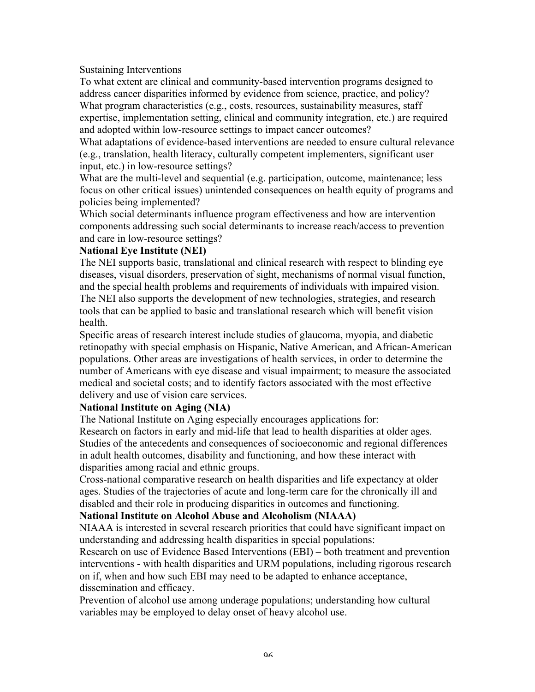Sustaining Interventions

To what extent are clinical and community-based intervention programs designed to address cancer disparities informed by evidence from science, practice, and policy? What program characteristics (e.g., costs, resources, sustainability measures, staff expertise, implementation setting, clinical and community integration, etc.) are required and adopted within low-resource settings to impact cancer outcomes?

What adaptations of evidence-based interventions are needed to ensure cultural relevance (e.g., translation, health literacy, culturally competent implementers, significant user input, etc.) in low-resource settings?

What are the multi-level and sequential (e.g. participation, outcome, maintenance; less focus on other critical issues) unintended consequences on health equity of programs and policies being implemented?

Which social determinants influence program effectiveness and how are intervention components addressing such social determinants to increase reach/access to prevention and care in low-resource settings?

## **National Eye Institute (NEI)**

The NEI supports basic, translational and clinical research with respect to blinding eye diseases, visual disorders, preservation of sight, mechanisms of normal visual function, and the special health problems and requirements of individuals with impaired vision. The NEI also supports the development of new technologies, strategies, and research tools that can be applied to basic and translational research which will benefit vision health.

Specific areas of research interest include studies of glaucoma, myopia, and diabetic retinopathy with special emphasis on Hispanic, Native American, and African-American populations. Other areas are investigations of health services, in order to determine the number of Americans with eye disease and visual impairment; to measure the associated medical and societal costs; and to identify factors associated with the most effective delivery and use of vision care services.

# **National Institute on Aging (NIA)**

The National Institute on Aging especially encourages applications for:

Research on factors in early and mid-life that lead to health disparities at older ages. Studies of the antecedents and consequences of socioeconomic and regional differences in adult health outcomes, disability and functioning, and how these interact with disparities among racial and ethnic groups.

Cross-national comparative research on health disparities and life expectancy at older ages. Studies of the trajectories of acute and long-term care for the chronically ill and disabled and their role in producing disparities in outcomes and functioning.

# **National Institute on Alcohol Abuse and Alcoholism (NIAAA)**

NIAAA is interested in several research priorities that could have significant impact on understanding and addressing health disparities in special populations:

Research on use of Evidence Based Interventions (EBI) – both treatment and prevention interventions - with health disparities and URM populations, including rigorous research on if, when and how such EBI may need to be adapted to enhance acceptance, dissemination and efficacy.

Prevention of alcohol use among underage populations; understanding how cultural variables may be employed to delay onset of heavy alcohol use.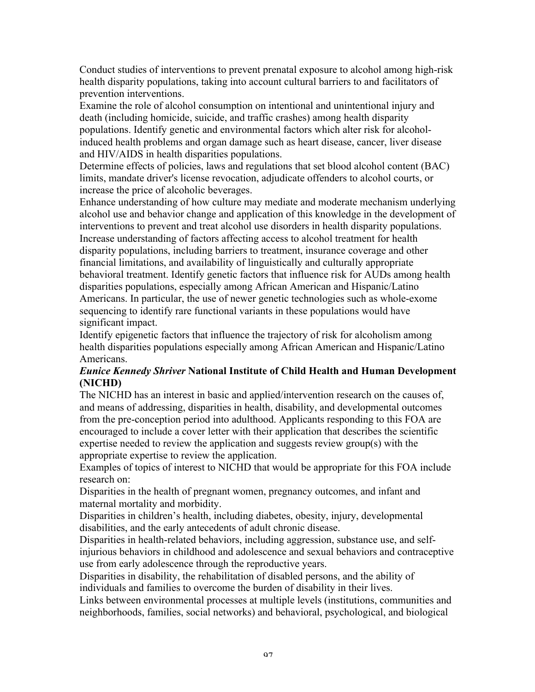Conduct studies of interventions to prevent prenatal exposure to alcohol among high-risk health disparity populations, taking into account cultural barriers to and facilitators of prevention interventions.

Examine the role of alcohol consumption on intentional and unintentional injury and death (including homicide, suicide, and traffic crashes) among health disparity populations. Identify genetic and environmental factors which alter risk for alcoholinduced health problems and organ damage such as heart disease, cancer, liver disease and HIV/AIDS in health disparities populations.

Determine effects of policies, laws and regulations that set blood alcohol content (BAC) limits, mandate driver's license revocation, adjudicate offenders to alcohol courts, or increase the price of alcoholic beverages.

Enhance understanding of how culture may mediate and moderate mechanism underlying alcohol use and behavior change and application of this knowledge in the development of interventions to prevent and treat alcohol use disorders in health disparity populations. Increase understanding of factors affecting access to alcohol treatment for health disparity populations, including barriers to treatment, insurance coverage and other financial limitations, and availability of linguistically and culturally appropriate behavioral treatment. Identify genetic factors that influence risk for AUDs among health disparities populations, especially among African American and Hispanic/Latino Americans. In particular, the use of newer genetic technologies such as whole-exome sequencing to identify rare functional variants in these populations would have significant impact.

Identify epigenetic factors that influence the trajectory of risk for alcoholism among health disparities populations especially among African American and Hispanic/Latino Americans.

# *Eunice Kennedy Shriver* **National Institute of Child Health and Human Development (NICHD)**

The NICHD has an interest in basic and applied/intervention research on the causes of, and means of addressing, disparities in health, disability, and developmental outcomes from the pre-conception period into adulthood. Applicants responding to this FOA are encouraged to include a cover letter with their application that describes the scientific expertise needed to review the application and suggests review group(s) with the appropriate expertise to review the application.

Examples of topics of interest to NICHD that would be appropriate for this FOA include research on:

Disparities in the health of pregnant women, pregnancy outcomes, and infant and maternal mortality and morbidity.

Disparities in children's health, including diabetes, obesity, injury, developmental disabilities, and the early antecedents of adult chronic disease.

Disparities in health-related behaviors, including aggression, substance use, and selfinjurious behaviors in childhood and adolescence and sexual behaviors and contraceptive use from early adolescence through the reproductive years.

Disparities in disability, the rehabilitation of disabled persons, and the ability of individuals and families to overcome the burden of disability in their lives.

Links between environmental processes at multiple levels (institutions, communities and neighborhoods, families, social networks) and behavioral, psychological, and biological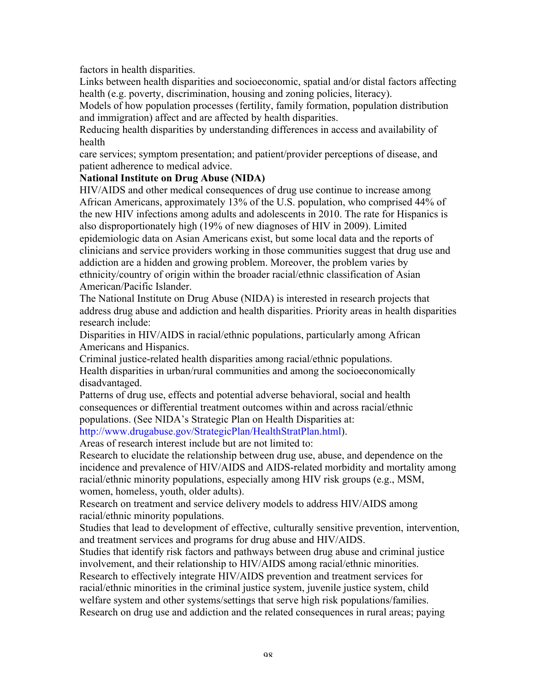factors in health disparities.

Links between health disparities and socioeconomic, spatial and/or distal factors affecting health (e.g. poverty, discrimination, housing and zoning policies, literacy).

Models of how population processes (fertility, family formation, population distribution and immigration) affect and are affected by health disparities.

Reducing health disparities by understanding differences in access and availability of health

care services; symptom presentation; and patient/provider perceptions of disease, and patient adherence to medical advice.

## **National Institute on Drug Abuse (NIDA)**

HIV/AIDS and other medical consequences of drug use continue to increase among African Americans, approximately 13% of the U.S. population, who comprised 44% of the new HIV infections among adults and adolescents in 2010. The rate for Hispanics is also disproportionately high (19% of new diagnoses of HIV in 2009). Limited epidemiologic data on Asian Americans exist, but some local data and the reports of clinicians and service providers working in those communities suggest that drug use and addiction are a hidden and growing problem. Moreover, the problem varies by ethnicity/country of origin within the broader racial/ethnic classification of Asian American/Pacific Islander.

The National Institute on Drug Abuse (NIDA) is interested in research projects that address drug abuse and addiction and health disparities. Priority areas in health disparities research include:

Disparities in HIV/AIDS in racial/ethnic populations, particularly among African Americans and Hispanics.

Criminal justice-related health disparities among racial/ethnic populations. Health disparities in urban/rural communities and among the socioeconomically disadvantaged.

Patterns of drug use, effects and potential adverse behavioral, social and health consequences or differential treatment outcomes within and across racial/ethnic populations. (See NIDA's Strategic Plan on Health Disparities at:

http://www.drugabuse.gov/StrategicPlan/HealthStratPlan.html).

Areas of research interest include but are not limited to:

Research to elucidate the relationship between drug use, abuse, and dependence on the incidence and prevalence of HIV/AIDS and AIDS-related morbidity and mortality among racial/ethnic minority populations, especially among HIV risk groups (e.g., MSM, women, homeless, youth, older adults).

Research on treatment and service delivery models to address HIV/AIDS among racial/ethnic minority populations.

Studies that lead to development of effective, culturally sensitive prevention, intervention, and treatment services and programs for drug abuse and HIV/AIDS.

Studies that identify risk factors and pathways between drug abuse and criminal justice involvement, and their relationship to HIV/AIDS among racial/ethnic minorities. Research to effectively integrate HIV/AIDS prevention and treatment services for racial/ethnic minorities in the criminal justice system, juvenile justice system, child welfare system and other systems/settings that serve high risk populations/families. Research on drug use and addiction and the related consequences in rural areas; paying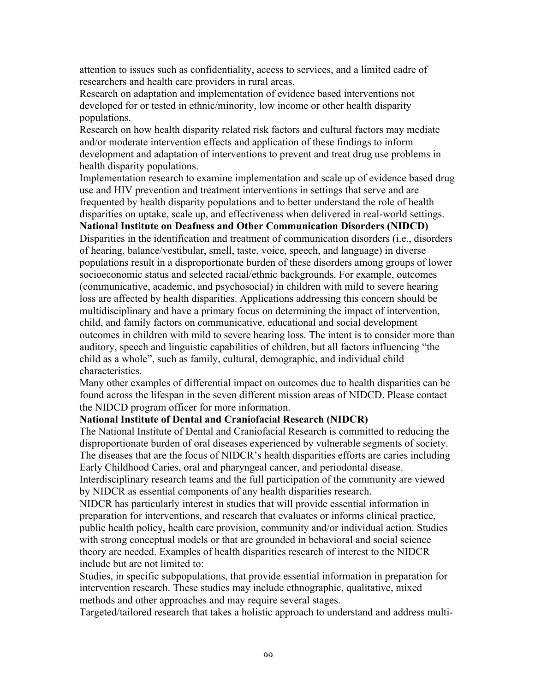attention to issues such as confidentiality, access to services, and a limited cadre of researchers and health care providers in rural areas.

Research on adaptation and implementation of evidence based interventions not developed for or tested in ethnic/minority, low income or other health disparity populations.

Research on how health disparity related risk factors and cultural factors may mediate and/or moderate intervention effects and application of these findings to inform development and adaptation of interventions to prevent and treat drug use problems in health disparity populations.

Implementation research to examine implementation and scale up of evidence based drug use and HIV prevention and treatment interventions in settings that serve and are frequented by health disparity populations and to better understand the role of health disparities on uptake, scale up, and effectiveness when delivered in real-world settings.

**National Institute on Deafness and Other Communication Disorders (NIDCD)** Disparities in the identification and treatment of communication disorders (i.e., disorders of hearing, balance/vestibular, smell, taste, voice, speech, and language) in diverse populations result in a disproportionate burden of these disorders among groups of lower socioeconomic status and selected racial/ethnic backgrounds. For example, outcomes (communicative, academic, and psychosocial) in children with mild to severe hearing loss are affected by health disparities. Applications addressing this concern should be multidisciplinary and have a primary focus on determining the impact of intervention, child, and family factors on communicative, educational and social development outcomes in children with mild to severe hearing loss. The intent is to consider more than auditory, speech and linguistic capabilities of children, but all factors influencing "the child as a whole", such as family, cultural, demographic, and individual child

characteristics.

Many other examples of differential impact on outcomes due to health disparities can be found across the lifespan in the seven different mission areas of NIDCD. Please contact the NIDCD program officer for more information.

#### **National Institute of Dental and Craniofacial Research (NIDCR)**

The National Institute of Dental and Craniofacial Research is committed to reducing the disproportionate burden of oral diseases experienced by vulnerable segments of society. The diseases that are the focus of NIDCR's health disparities efforts are caries including Early Childhood Caries, oral and pharyngeal cancer, and periodontal disease.

Interdisciplinary research teams and the full participation of the community are viewed by NIDCR as essential components of any health disparities research.

NIDCR has particularly interest in studies that will provide essential information in preparation for interventions, and research that evaluates or informs clinical practice, public health policy, health care provision, community and/or individual action. Studies with strong conceptual models or that are grounded in behavioral and social science theory are needed. Examples of health disparities research of interest to the NIDCR include but are not limited to:

Studies, in specific subpopulations, that provide essential information in preparation for intervention research. These studies may include ethnographic, qualitative, mixed methods and other approaches and may require several stages.

Targeted/tailored research that takes a holistic approach to understand and address multi-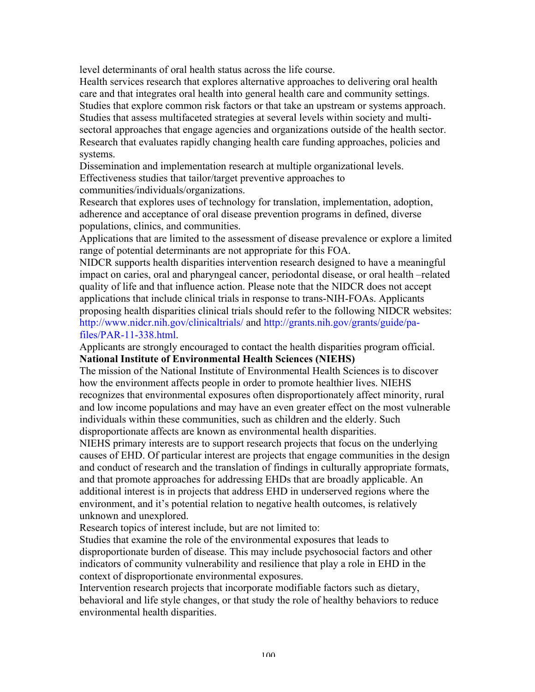level determinants of oral health status across the life course.

Health services research that explores alternative approaches to delivering oral health care and that integrates oral health into general health care and community settings. Studies that explore common risk factors or that take an upstream or systems approach. Studies that assess multifaceted strategies at several levels within society and multisectoral approaches that engage agencies and organizations outside of the health sector. Research that evaluates rapidly changing health care funding approaches, policies and systems.

Dissemination and implementation research at multiple organizational levels. Effectiveness studies that tailor/target preventive approaches to communities/individuals/organizations.

Research that explores uses of technology for translation, implementation, adoption, adherence and acceptance of oral disease prevention programs in defined, diverse populations, clinics, and communities.

Applications that are limited to the assessment of disease prevalence or explore a limited range of potential determinants are not appropriate for this FOA.

NIDCR supports health disparities intervention research designed to have a meaningful impact on caries, oral and pharyngeal cancer, periodontal disease, or oral health –related quality of life and that influence action. Please note that the NIDCR does not accept applications that include clinical trials in response to trans-NIH-FOAs. Applicants proposing health disparities clinical trials should refer to the following NIDCR websites: http://www.nidcr.nih.gov/clinicaltrials/ and http://grants.nih.gov/grants/guide/pafiles/PAR-11-338.html.

Applicants are strongly encouraged to contact the health disparities program official. **National Institute of Environmental Health Sciences (NIEHS)**

The mission of the National Institute of Environmental Health Sciences is to discover how the environment affects people in order to promote healthier lives. NIEHS recognizes that environmental exposures often disproportionately affect minority, rural and low income populations and may have an even greater effect on the most vulnerable individuals within these communities, such as children and the elderly. Such disproportionate affects are known as environmental health disparities.

NIEHS primary interests are to support research projects that focus on the underlying causes of EHD. Of particular interest are projects that engage communities in the design and conduct of research and the translation of findings in culturally appropriate formats, and that promote approaches for addressing EHDs that are broadly applicable. An additional interest is in projects that address EHD in underserved regions where the environment, and it's potential relation to negative health outcomes, is relatively unknown and unexplored.

Research topics of interest include, but are not limited to:

Studies that examine the role of the environmental exposures that leads to disproportionate burden of disease. This may include psychosocial factors and other indicators of community vulnerability and resilience that play a role in EHD in the context of disproportionate environmental exposures.

Intervention research projects that incorporate modifiable factors such as dietary, behavioral and life style changes, or that study the role of healthy behaviors to reduce environmental health disparities.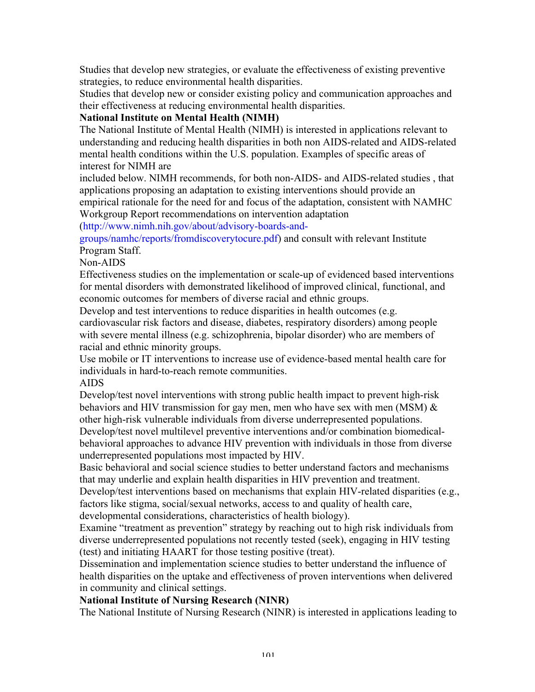Studies that develop new strategies, or evaluate the effectiveness of existing preventive strategies, to reduce environmental health disparities.

Studies that develop new or consider existing policy and communication approaches and their effectiveness at reducing environmental health disparities.

# **National Institute on Mental Health (NIMH)**

The National Institute of Mental Health (NIMH) is interested in applications relevant to understanding and reducing health disparities in both non AIDS-related and AIDS-related mental health conditions within the U.S. population. Examples of specific areas of interest for NIMH are

included below. NIMH recommends, for both non-AIDS- and AIDS-related studies , that applications proposing an adaptation to existing interventions should provide an empirical rationale for the need for and focus of the adaptation, consistent with NAMHC Workgroup Report recommendations on intervention adaptation

(http://www.nimh.nih.gov/about/advisory-boards-and-

groups/namhc/reports/fromdiscoverytocure.pdf) and consult with relevant Institute Program Staff.

Non-AIDS

Effectiveness studies on the implementation or scale-up of evidenced based interventions for mental disorders with demonstrated likelihood of improved clinical, functional, and economic outcomes for members of diverse racial and ethnic groups.

Develop and test interventions to reduce disparities in health outcomes (e.g.

cardiovascular risk factors and disease, diabetes, respiratory disorders) among people with severe mental illness (e.g. schizophrenia, bipolar disorder) who are members of racial and ethnic minority groups.

Use mobile or IT interventions to increase use of evidence-based mental health care for individuals in hard-to-reach remote communities.

# AIDS

Develop/test novel interventions with strong public health impact to prevent high-risk behaviors and HIV transmission for gay men, men who have sex with men (MSM) & other high-risk vulnerable individuals from diverse underrepresented populations. Develop/test novel multilevel preventive interventions and/or combination biomedical-

behavioral approaches to advance HIV prevention with individuals in those from diverse underrepresented populations most impacted by HIV.

Basic behavioral and social science studies to better understand factors and mechanisms that may underlie and explain health disparities in HIV prevention and treatment.

Develop/test interventions based on mechanisms that explain HIV-related disparities (e.g., factors like stigma, social/sexual networks, access to and quality of health care, developmental considerations, characteristics of health biology).

Examine "treatment as prevention" strategy by reaching out to high risk individuals from diverse underrepresented populations not recently tested (seek), engaging in HIV testing (test) and initiating HAART for those testing positive (treat).

Dissemination and implementation science studies to better understand the influence of health disparities on the uptake and effectiveness of proven interventions when delivered in community and clinical settings.

# **National Institute of Nursing Research (NINR)**

The National Institute of Nursing Research (NINR) is interested in applications leading to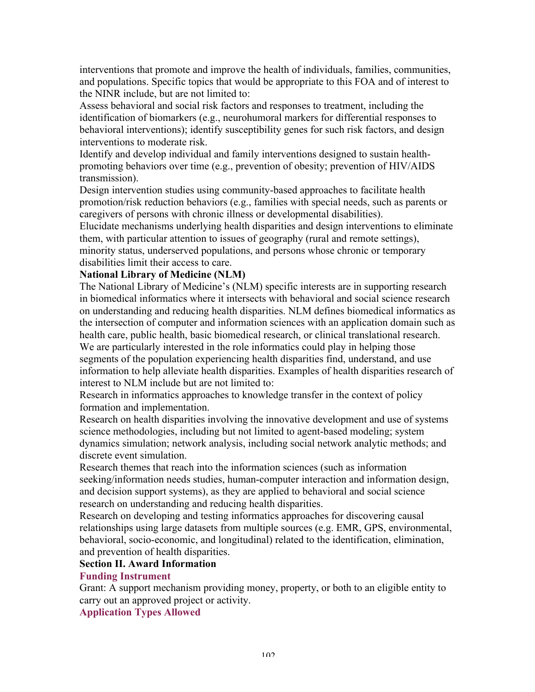interventions that promote and improve the health of individuals, families, communities, and populations. Specific topics that would be appropriate to this FOA and of interest to the NINR include, but are not limited to:

Assess behavioral and social risk factors and responses to treatment, including the identification of biomarkers (e.g., neurohumoral markers for differential responses to behavioral interventions); identify susceptibility genes for such risk factors, and design interventions to moderate risk.

Identify and develop individual and family interventions designed to sustain healthpromoting behaviors over time (e.g., prevention of obesity; prevention of HIV/AIDS transmission).

Design intervention studies using community-based approaches to facilitate health promotion/risk reduction behaviors (e.g., families with special needs, such as parents or caregivers of persons with chronic illness or developmental disabilities).

Elucidate mechanisms underlying health disparities and design interventions to eliminate them, with particular attention to issues of geography (rural and remote settings), minority status, underserved populations, and persons whose chronic or temporary disabilities limit their access to care.

## **National Library of Medicine (NLM)**

The National Library of Medicine's (NLM) specific interests are in supporting research in biomedical informatics where it intersects with behavioral and social science research on understanding and reducing health disparities. NLM defines biomedical informatics as the intersection of computer and information sciences with an application domain such as health care, public health, basic biomedical research, or clinical translational research. We are particularly interested in the role informatics could play in helping those segments of the population experiencing health disparities find, understand, and use information to help alleviate health disparities. Examples of health disparities research of interest to NLM include but are not limited to:

Research in informatics approaches to knowledge transfer in the context of policy formation and implementation.

Research on health disparities involving the innovative development and use of systems science methodologies, including but not limited to agent-based modeling; system dynamics simulation; network analysis, including social network analytic methods; and discrete event simulation.

Research themes that reach into the information sciences (such as information seeking/information needs studies, human-computer interaction and information design, and decision support systems), as they are applied to behavioral and social science research on understanding and reducing health disparities.

Research on developing and testing informatics approaches for discovering causal relationships using large datasets from multiple sources (e.g. EMR, GPS, environmental, behavioral, socio-economic, and longitudinal) related to the identification, elimination, and prevention of health disparities.

### **Section II. Award Information**

## **Funding Instrument**

Grant: A support mechanism providing money, property, or both to an eligible entity to carry out an approved project or activity.

**Application Types Allowed**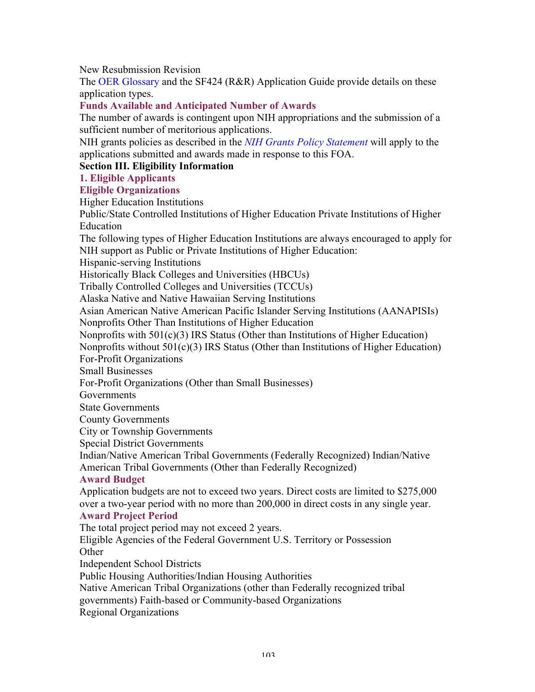New Resubmission Revision

The OER Glossary and the SF424 (R&R) Application Guide provide details on these application types.

# **Funds Available and Anticipated Number of Awards**

The number of awards is contingent upon NIH appropriations and the submission of a sufficient number of meritorious applications.

NIH grants policies as described in the *NIH Grants Policy Statement* will apply to the applications submitted and awards made in response to this FOA.

# **Section III. Eligibility Information**

# **1. Eligible Applicants**

## **Eligible Organizations**

Higher Education Institutions

Public/State Controlled Institutions of Higher Education Private Institutions of Higher Education

The following types of Higher Education Institutions are always encouraged to apply for NIH support as Public or Private Institutions of Higher Education:

Hispanic-serving Institutions

Historically Black Colleges and Universities (HBCUs)

Tribally Controlled Colleges and Universities (TCCUs)

Alaska Native and Native Hawaiian Serving Institutions

Asian American Native American Pacific Islander Serving Institutions (AANAPISIs)

Nonprofits Other Than Institutions of Higher Education

Nonprofits with 501(c)(3) IRS Status (Other than Institutions of Higher Education)

Nonprofits without 501(c)(3) IRS Status (Other than Institutions of Higher Education)

For-Profit Organizations

Small Businesses

For-Profit Organizations (Other than Small Businesses)

Governments

State Governments

County Governments

City or Township Governments

Special District Governments

Indian/Native American Tribal Governments (Federally Recognized) Indian/Native American Tribal Governments (Other than Federally Recognized)

# **Award Budget**

Application budgets are not to exceed two years. Direct costs are limited to \$275,000 over a two-year period with no more than 200,000 in direct costs in any single year.

## **Award Project Period**

The total project period may not exceed 2 years.

Eligible Agencies of the Federal Government U.S. Territory or Possession **Other** 

Independent School Districts

Public Housing Authorities/Indian Housing Authorities

Native American Tribal Organizations (other than Federally recognized tribal

governments) Faith-based or Community-based Organizations

Regional Organizations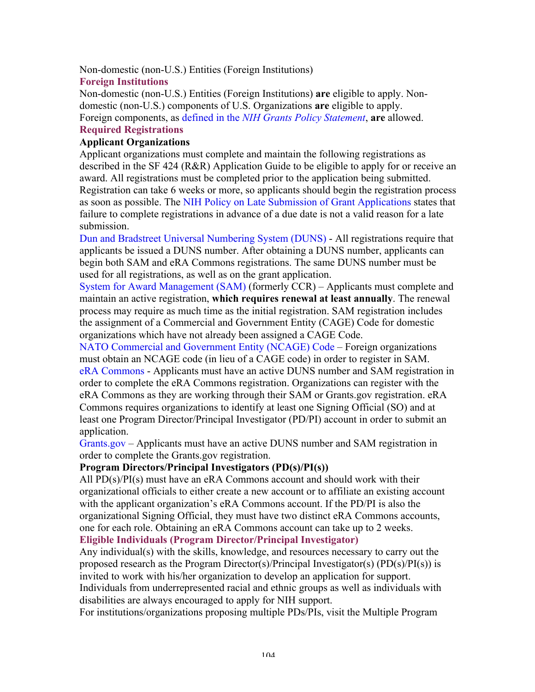Non-domestic (non-U.S.) Entities (Foreign Institutions)

## **Foreign Institutions**

Non-domestic (non-U.S.) Entities (Foreign Institutions) **are** eligible to apply. Nondomestic (non-U.S.) components of U.S. Organizations **are** eligible to apply. Foreign components, as defined in the *NIH Grants Policy Statement*, **are** allowed. **Required Registrations**

## **Applicant Organizations**

Applicant organizations must complete and maintain the following registrations as described in the SF 424 (R&R) Application Guide to be eligible to apply for or receive an award. All registrations must be completed prior to the application being submitted. Registration can take 6 weeks or more, so applicants should begin the registration process as soon as possible. The NIH Policy on Late Submission of Grant Applications states that failure to complete registrations in advance of a due date is not a valid reason for a late submission.

Dun and Bradstreet Universal Numbering System (DUNS) - All registrations require that applicants be issued a DUNS number. After obtaining a DUNS number, applicants can begin both SAM and eRA Commons registrations. The same DUNS number must be used for all registrations, as well as on the grant application.

System for Award Management (SAM) (formerly CCR) – Applicants must complete and maintain an active registration, **which requires renewal at least annually**. The renewal process may require as much time as the initial registration. SAM registration includes the assignment of a Commercial and Government Entity (CAGE) Code for domestic organizations which have not already been assigned a CAGE Code.

NATO Commercial and Government Entity (NCAGE) Code – Foreign organizations must obtain an NCAGE code (in lieu of a CAGE code) in order to register in SAM. eRA Commons - Applicants must have an active DUNS number and SAM registration in order to complete the eRA Commons registration. Organizations can register with the eRA Commons as they are working through their SAM or Grants.gov registration. eRA Commons requires organizations to identify at least one Signing Official (SO) and at least one Program Director/Principal Investigator (PD/PI) account in order to submit an application.

Grants.gov – Applicants must have an active DUNS number and SAM registration in order to complete the Grants.gov registration.

#### **Program Directors/Principal Investigators (PD(s)/PI(s))**

All  $PD(s)/PI(s)$  must have an eRA Commons account and should work with their organizational officials to either create a new account or to affiliate an existing account with the applicant organization's eRA Commons account. If the PD/PI is also the organizational Signing Official, they must have two distinct eRA Commons accounts, one for each role. Obtaining an eRA Commons account can take up to 2 weeks. **Eligible Individuals (Program Director/Principal Investigator)**

Any individual(s) with the skills, knowledge, and resources necessary to carry out the proposed research as the Program Director(s)/Principal Investigator(s) (PD(s)/PI(s)) is invited to work with his/her organization to develop an application for support.

Individuals from underrepresented racial and ethnic groups as well as individuals with disabilities are always encouraged to apply for NIH support.

For institutions/organizations proposing multiple PDs/PIs, visit the Multiple Program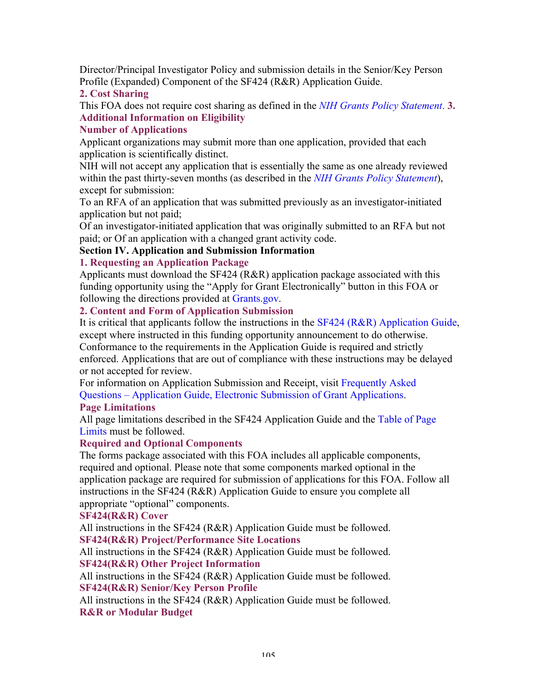Director/Principal Investigator Policy and submission details in the Senior/Key Person Profile (Expanded) Component of the SF424 (R&R) Application Guide.

# **2. Cost Sharing**

This FOA does not require cost sharing as defined in the *NIH Grants Policy Statement*. **3. Additional Information on Eligibility**

# **Number of Applications**

Applicant organizations may submit more than one application, provided that each application is scientifically distinct.

NIH will not accept any application that is essentially the same as one already reviewed within the past thirty-seven months (as described in the *NIH Grants Policy Statement*), except for submission:

To an RFA of an application that was submitted previously as an investigator-initiated application but not paid;

Of an investigator-initiated application that was originally submitted to an RFA but not paid; or Of an application with a changed grant activity code.

# **Section IV. Application and Submission Information**

## **1. Requesting an Application Package**

Applicants must download the SF424 (R&R) application package associated with this funding opportunity using the "Apply for Grant Electronically" button in this FOA or following the directions provided at Grants.gov.

## **2. Content and Form of Application Submission**

It is critical that applicants follow the instructions in the SF424 (R&R) Application Guide, except where instructed in this funding opportunity announcement to do otherwise.

Conformance to the requirements in the Application Guide is required and strictly enforced. Applications that are out of compliance with these instructions may be delayed or not accepted for review.

For information on Application Submission and Receipt, visit Frequently Asked Questions – Application Guide, Electronic Submission of Grant Applications.

# **Page Limitations**

All page limitations described in the SF424 Application Guide and the Table of Page Limits must be followed.

### **Required and Optional Components**

The forms package associated with this FOA includes all applicable components, required and optional. Please note that some components marked optional in the application package are required for submission of applications for this FOA. Follow all instructions in the SF424 (R&R) Application Guide to ensure you complete all appropriate "optional" components.

#### **SF424(R&R) Cover**

All instructions in the SF424 (R&R) Application Guide must be followed. **SF424(R&R) Project/Performance Site Locations**

All instructions in the SF424 (R&R) Application Guide must be followed. **SF424(R&R) Other Project Information**

All instructions in the SF424 (R&R) Application Guide must be followed. **SF424(R&R) Senior/Key Person Profile**

All instructions in the SF424 (R&R) Application Guide must be followed. **R&R or Modular Budget**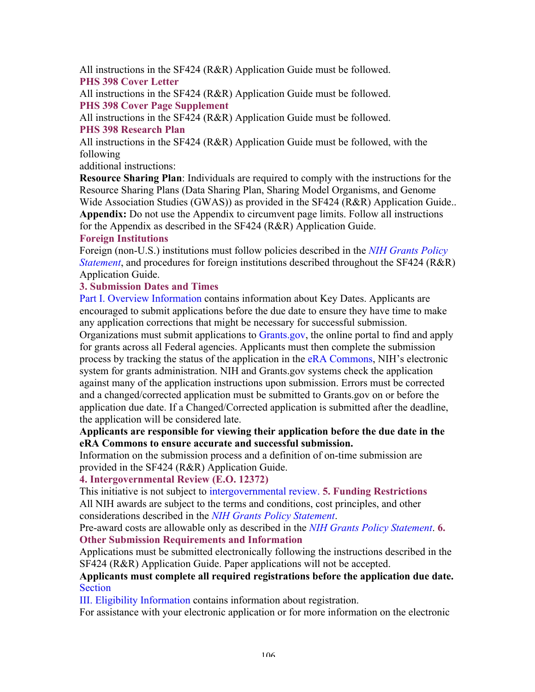All instructions in the SF424 (R&R) Application Guide must be followed. **PHS 398 Cover Letter**

All instructions in the SF424 (R&R) Application Guide must be followed. **PHS 398 Cover Page Supplement**

All instructions in the SF424 (R&R) Application Guide must be followed.

# **PHS 398 Research Plan**

All instructions in the SF424 (R&R) Application Guide must be followed, with the following

additional instructions:

**Resource Sharing Plan**: Individuals are required to comply with the instructions for the Resource Sharing Plans (Data Sharing Plan, Sharing Model Organisms, and Genome Wide Association Studies (GWAS)) as provided in the SF424 (R&R) Application Guide.. **Appendix:** Do not use the Appendix to circumvent page limits. Follow all instructions for the Appendix as described in the SF424 (R&R) Application Guide.

# **Foreign Institutions**

Foreign (non-U.S.) institutions must follow policies described in the *NIH Grants Policy Statement*, and procedures for foreign institutions described throughout the SF424 (R&R) Application Guide.

# **3. Submission Dates and Times**

Part I. Overview Information contains information about Key Dates. Applicants are encouraged to submit applications before the due date to ensure they have time to make any application corrections that might be necessary for successful submission.

Organizations must submit applications to Grants.gov, the online portal to find and apply for grants across all Federal agencies. Applicants must then complete the submission process by tracking the status of the application in the eRA Commons, NIH's electronic system for grants administration. NIH and Grants.gov systems check the application against many of the application instructions upon submission. Errors must be corrected and a changed/corrected application must be submitted to Grants.gov on or before the application due date. If a Changed/Corrected application is submitted after the deadline, the application will be considered late.

# **Applicants are responsible for viewing their application before the due date in the eRA Commons to ensure accurate and successful submission.**

Information on the submission process and a definition of on-time submission are provided in the SF424 (R&R) Application Guide.

# **4. Intergovernmental Review (E.O. 12372)**

This initiative is not subject to intergovernmental review. **5. Funding Restrictions** All NIH awards are subject to the terms and conditions, cost principles, and other considerations described in the *NIH Grants Policy Statement*.

Pre-award costs are allowable only as described in the *NIH Grants Policy Statement*. **6. Other Submission Requirements and Information**

Applications must be submitted electronically following the instructions described in the SF424 (R&R) Application Guide. Paper applications will not be accepted.

## **Applicants must complete all required registrations before the application due date.**  Section

III. Eligibility Information contains information about registration.

For assistance with your electronic application or for more information on the electronic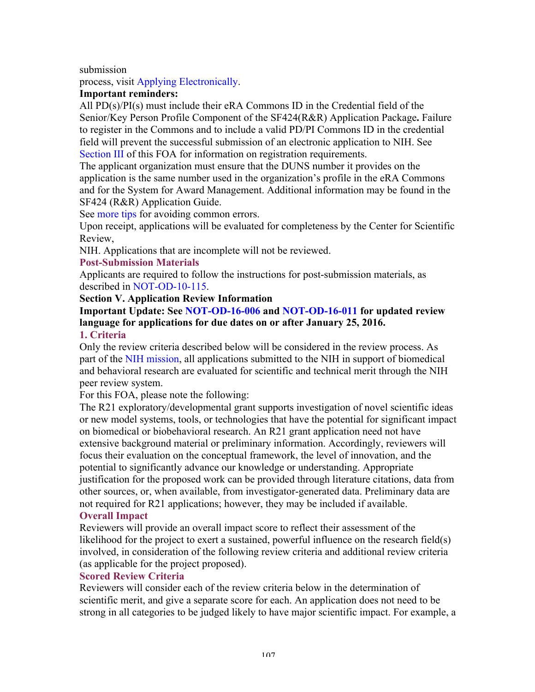submission

process, visit Applying Electronically.

## **Important reminders:**

All PD(s)/PI(s) must include their eRA Commons ID in the Credential field of the Senior/Key Person Profile Component of the SF424(R&R) Application Package**.** Failure to register in the Commons and to include a valid PD/PI Commons ID in the credential field will prevent the successful submission of an electronic application to NIH. See Section III of this FOA for information on registration requirements.

The applicant organization must ensure that the DUNS number it provides on the application is the same number used in the organization's profile in the eRA Commons and for the System for Award Management. Additional information may be found in the SF424 (R&R) Application Guide.

See more tips for avoiding common errors.

Upon receipt, applications will be evaluated for completeness by the Center for Scientific Review,

NIH. Applications that are incomplete will not be reviewed.

#### **Post-Submission Materials**

Applicants are required to follow the instructions for post-submission materials, as described in NOT-OD-10-115.

#### **Section V. Application Review Information**

#### **Important Update: See NOT-OD-16-006 and NOT-OD-16-011 for updated review language for applications for due dates on or after January 25, 2016. 1. Criteria**

Only the review criteria described below will be considered in the review process. As part of the NIH mission, all applications submitted to the NIH in support of biomedical and behavioral research are evaluated for scientific and technical merit through the NIH peer review system.

For this FOA, please note the following:

The R21 exploratory/developmental grant supports investigation of novel scientific ideas or new model systems, tools, or technologies that have the potential for significant impact on biomedical or biobehavioral research. An R21 grant application need not have extensive background material or preliminary information. Accordingly, reviewers will focus their evaluation on the conceptual framework, the level of innovation, and the potential to significantly advance our knowledge or understanding. Appropriate justification for the proposed work can be provided through literature citations, data from other sources, or, when available, from investigator-generated data. Preliminary data are not required for R21 applications; however, they may be included if available. **Overall Impact**

## Reviewers will provide an overall impact score to reflect their assessment of the likelihood for the project to exert a sustained, powerful influence on the research field(s) involved, in consideration of the following review criteria and additional review criteria (as applicable for the project proposed).

#### **Scored Review Criteria**

Reviewers will consider each of the review criteria below in the determination of scientific merit, and give a separate score for each. An application does not need to be strong in all categories to be judged likely to have major scientific impact. For example, a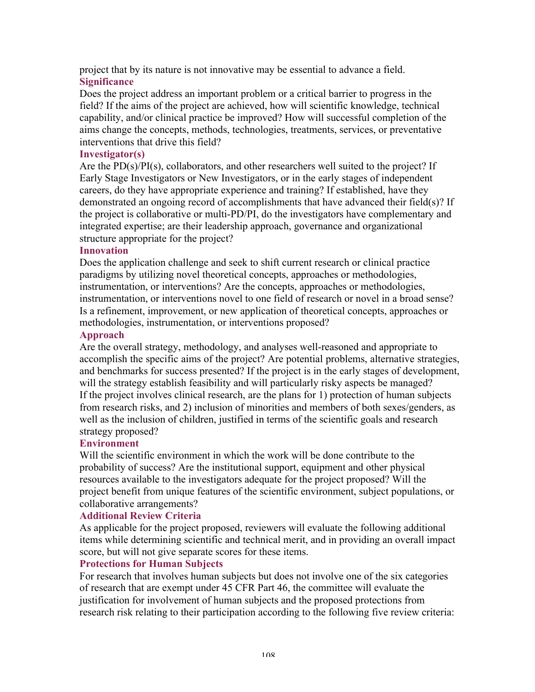project that by its nature is not innovative may be essential to advance a field. **Significance**

Does the project address an important problem or a critical barrier to progress in the field? If the aims of the project are achieved, how will scientific knowledge, technical capability, and/or clinical practice be improved? How will successful completion of the aims change the concepts, methods, technologies, treatments, services, or preventative interventions that drive this field?

## **Investigator(s)**

Are the  $PD(s)/PI(s)$ , collaborators, and other researchers well suited to the project? If Early Stage Investigators or New Investigators, or in the early stages of independent careers, do they have appropriate experience and training? If established, have they demonstrated an ongoing record of accomplishments that have advanced their field(s)? If the project is collaborative or multi-PD/PI, do the investigators have complementary and integrated expertise; are their leadership approach, governance and organizational structure appropriate for the project?

#### **Innovation**

Does the application challenge and seek to shift current research or clinical practice paradigms by utilizing novel theoretical concepts, approaches or methodologies, instrumentation, or interventions? Are the concepts, approaches or methodologies, instrumentation, or interventions novel to one field of research or novel in a broad sense? Is a refinement, improvement, or new application of theoretical concepts, approaches or methodologies, instrumentation, or interventions proposed?

#### **Approach**

Are the overall strategy, methodology, and analyses well-reasoned and appropriate to accomplish the specific aims of the project? Are potential problems, alternative strategies, and benchmarks for success presented? If the project is in the early stages of development, will the strategy establish feasibility and will particularly risky aspects be managed? If the project involves clinical research, are the plans for 1) protection of human subjects from research risks, and 2) inclusion of minorities and members of both sexes/genders, as well as the inclusion of children, justified in terms of the scientific goals and research strategy proposed?

#### **Environment**

Will the scientific environment in which the work will be done contribute to the probability of success? Are the institutional support, equipment and other physical resources available to the investigators adequate for the project proposed? Will the project benefit from unique features of the scientific environment, subject populations, or collaborative arrangements?

#### **Additional Review Criteria**

As applicable for the project proposed, reviewers will evaluate the following additional items while determining scientific and technical merit, and in providing an overall impact score, but will not give separate scores for these items.

### **Protections for Human Subjects**

For research that involves human subjects but does not involve one of the six categories of research that are exempt under 45 CFR Part 46, the committee will evaluate the justification for involvement of human subjects and the proposed protections from research risk relating to their participation according to the following five review criteria: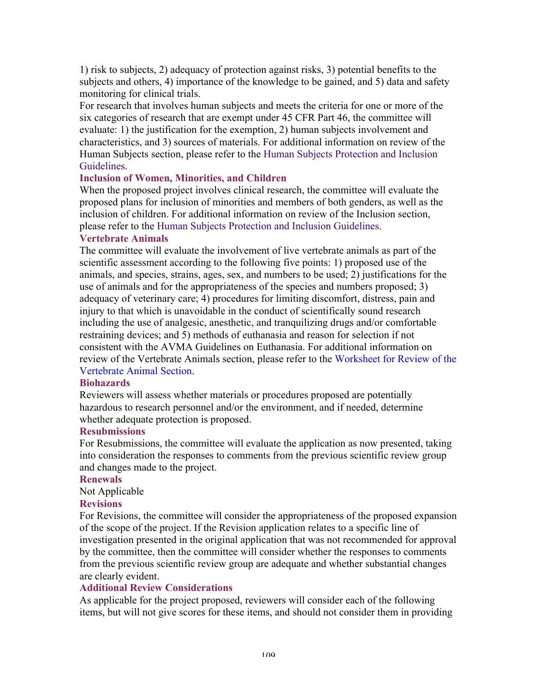1) risk to subjects, 2) adequacy of protection against risks, 3) potential benefits to the subjects and others, 4) importance of the knowledge to be gained, and 5) data and safety monitoring for clinical trials.

For research that involves human subjects and meets the criteria for one or more of the six categories of research that are exempt under 45 CFR Part 46, the committee will evaluate: 1) the justification for the exemption, 2) human subjects involvement and characteristics, and 3) sources of materials. For additional information on review of the Human Subjects section, please refer to the Human Subjects Protection and Inclusion Guidelines.

## **Inclusion of Women, Minorities, and Children**

When the proposed project involves clinical research, the committee will evaluate the proposed plans for inclusion of minorities and members of both genders, as well as the inclusion of children. For additional information on review of the Inclusion section, please refer to the Human Subjects Protection and Inclusion Guidelines.

#### **Vertebrate Animals**

The committee will evaluate the involvement of live vertebrate animals as part of the scientific assessment according to the following five points: 1) proposed use of the animals, and species, strains, ages, sex, and numbers to be used; 2) justifications for the use of animals and for the appropriateness of the species and numbers proposed; 3) adequacy of veterinary care; 4) procedures for limiting discomfort, distress, pain and injury to that which is unavoidable in the conduct of scientifically sound research including the use of analgesic, anesthetic, and tranquilizing drugs and/or comfortable restraining devices; and 5) methods of euthanasia and reason for selection if not consistent with the AVMA Guidelines on Euthanasia. For additional information on review of the Vertebrate Animals section, please refer to the Worksheet for Review of the Vertebrate Animal Section.

#### **Biohazards**

Reviewers will assess whether materials or procedures proposed are potentially hazardous to research personnel and/or the environment, and if needed, determine whether adequate protection is proposed.

#### **Resubmissions**

For Resubmissions, the committee will evaluate the application as now presented, taking into consideration the responses to comments from the previous scientific review group and changes made to the project.

#### **Renewals**

Not Applicable

#### **Revisions**

For Revisions, the committee will consider the appropriateness of the proposed expansion of the scope of the project. If the Revision application relates to a specific line of investigation presented in the original application that was not recommended for approval by the committee, then the committee will consider whether the responses to comments from the previous scientific review group are adequate and whether substantial changes are clearly evident.

## **Additional Review Considerations**

As applicable for the project proposed, reviewers will consider each of the following items, but will not give scores for these items, and should not consider them in providing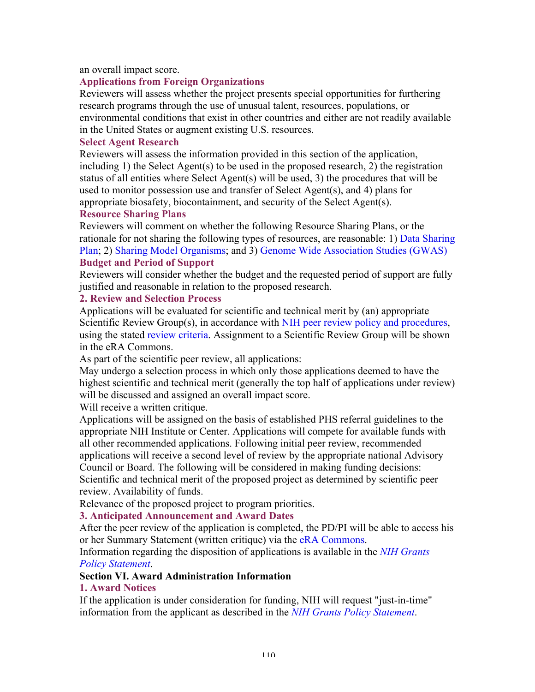#### an overall impact score.

## **Applications from Foreign Organizations**

Reviewers will assess whether the project presents special opportunities for furthering research programs through the use of unusual talent, resources, populations, or environmental conditions that exist in other countries and either are not readily available in the United States or augment existing U.S. resources.

#### **Select Agent Research**

Reviewers will assess the information provided in this section of the application, including 1) the Select Agent(s) to be used in the proposed research, 2) the registration status of all entities where Select Agent(s) will be used, 3) the procedures that will be used to monitor possession use and transfer of Select Agent(s), and 4) plans for appropriate biosafety, biocontainment, and security of the Select Agent(s).

#### **Resource Sharing Plans**

Reviewers will comment on whether the following Resource Sharing Plans, or the rationale for not sharing the following types of resources, are reasonable: 1) Data Sharing Plan; 2) Sharing Model Organisms; and 3) Genome Wide Association Studies (GWAS) **Budget and Period of Support**

Reviewers will consider whether the budget and the requested period of support are fully justified and reasonable in relation to the proposed research.

## **2. Review and Selection Process**

Applications will be evaluated for scientific and technical merit by (an) appropriate Scientific Review Group(s), in accordance with NIH peer review policy and procedures, using the stated review criteria. Assignment to a Scientific Review Group will be shown in the eRA Commons.

As part of the scientific peer review, all applications:

May undergo a selection process in which only those applications deemed to have the highest scientific and technical merit (generally the top half of applications under review) will be discussed and assigned an overall impact score.

Will receive a written critique.

Applications will be assigned on the basis of established PHS referral guidelines to the appropriate NIH Institute or Center. Applications will compete for available funds with all other recommended applications. Following initial peer review, recommended applications will receive a second level of review by the appropriate national Advisory Council or Board. The following will be considered in making funding decisions: Scientific and technical merit of the proposed project as determined by scientific peer review. Availability of funds.

Relevance of the proposed project to program priorities.

## **3. Anticipated Announcement and Award Dates**

After the peer review of the application is completed, the PD/PI will be able to access his or her Summary Statement (written critique) via the eRA Commons.

Information regarding the disposition of applications is available in the *NIH Grants Policy Statement*.

## **Section VI. Award Administration Information**

## **1. Award Notices**

If the application is under consideration for funding, NIH will request "just-in-time" information from the applicant as described in the *NIH Grants Policy Statement*.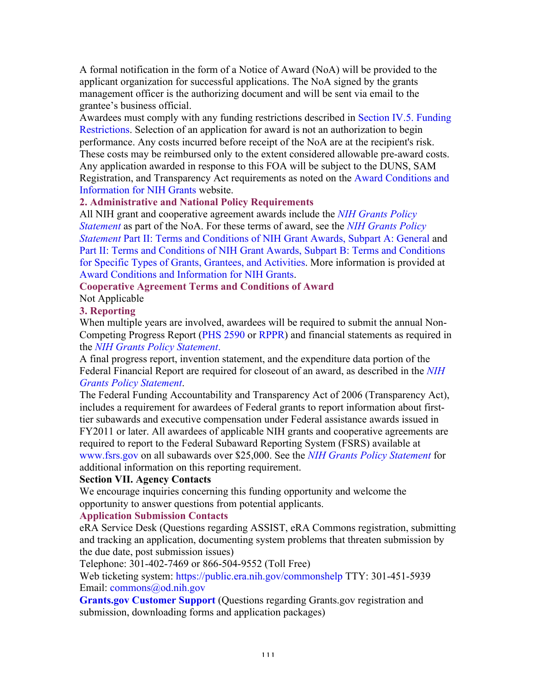A formal notification in the form of a Notice of Award (NoA) will be provided to the applicant organization for successful applications. The NoA signed by the grants management officer is the authorizing document and will be sent via email to the grantee's business official.

Awardees must comply with any funding restrictions described in Section IV.5. Funding Restrictions. Selection of an application for award is not an authorization to begin performance. Any costs incurred before receipt of the NoA are at the recipient's risk. These costs may be reimbursed only to the extent considered allowable pre-award costs. Any application awarded in response to this FOA will be subject to the DUNS, SAM Registration, and Transparency Act requirements as noted on the Award Conditions and Information for NIH Grants website.

## **2. Administrative and National Policy Requirements**

All NIH grant and cooperative agreement awards include the *NIH Grants Policy Statement* as part of the NoA. For these terms of award, see the *NIH Grants Policy Statement* Part II: Terms and Conditions of NIH Grant Awards, Subpart A: General and Part II: Terms and Conditions of NIH Grant Awards, Subpart B: Terms and Conditions for Specific Types of Grants, Grantees, and Activities. More information is provided at Award Conditions and Information for NIH Grants.

## **Cooperative Agreement Terms and Conditions of Award**

Not Applicable

## **3. Reporting**

When multiple years are involved, awardees will be required to submit the annual Non-Competing Progress Report (PHS 2590 or RPPR) and financial statements as required in the *NIH Grants Policy Statement*.

A final progress report, invention statement, and the expenditure data portion of the Federal Financial Report are required for closeout of an award, as described in the *NIH Grants Policy Statement*.

The Federal Funding Accountability and Transparency Act of 2006 (Transparency Act), includes a requirement for awardees of Federal grants to report information about firsttier subawards and executive compensation under Federal assistance awards issued in FY2011 or later. All awardees of applicable NIH grants and cooperative agreements are required to report to the Federal Subaward Reporting System (FSRS) available at www.fsrs.gov on all subawards over \$25,000. See the *NIH Grants Policy Statement* for additional information on this reporting requirement.

## **Section VII. Agency Contacts**

We encourage inquiries concerning this funding opportunity and welcome the opportunity to answer questions from potential applicants.

# **Application Submission Contacts**

eRA Service Desk (Questions regarding ASSIST, eRA Commons registration, submitting and tracking an application, documenting system problems that threaten submission by the due date, post submission issues)

Telephone: 301-402-7469 or 866-504-9552 (Toll Free)

Web ticketing system: https://public.era.nih.gov/commonshelp TTY: 301-451-5939 Email: commons@od.nih.gov

**Grants.gov Customer Support (Questions regarding Grants.gov registration and** submission, downloading forms and application packages)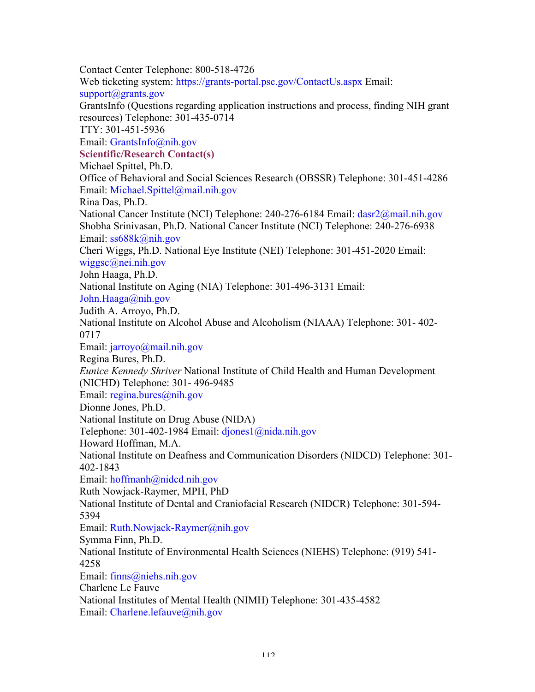Contact Center Telephone: 800-518-4726 Web ticketing system: https://grants-portal.psc.gov/ContactUs.aspx Email: support@grants.gov GrantsInfo (Questions regarding application instructions and process, finding NIH grant resources) Telephone: 301-435-0714 TTY: 301-451-5936 Email: GrantsInfo@nih.gov **Scientific/Research Contact(s)** Michael Spittel, Ph.D. Office of Behavioral and Social Sciences Research (OBSSR) Telephone: 301-451-4286 Email: Michael.Spittel@mail.nih.gov Rina Das, Ph.D. National Cancer Institute (NCI) Telephone: 240-276-6184 Email: dasr2@mail.nih.gov Shobha Srinivasan, Ph.D. National Cancer Institute (NCI) Telephone: 240-276-6938 Email: ss688k@nih.gov Cheri Wiggs, Ph.D. National Eye Institute (NEI) Telephone: 301-451-2020 Email: wiggsc@nei.nih.gov John Haaga, Ph.D. National Institute on Aging (NIA) Telephone: 301-496-3131 Email: John.Haaga@nih.gov Judith A. Arroyo, Ph.D. National Institute on Alcohol Abuse and Alcoholism (NIAAA) Telephone: 301- 402- 0717 Email: jarroyo@mail.nih.gov Regina Bures, Ph.D. *Eunice Kennedy Shriver* National Institute of Child Health and Human Development (NICHD) Telephone: 301- 496-9485 Email: regina.bures@nih.gov Dionne Jones, Ph.D. National Institute on Drug Abuse (NIDA) Telephone: 301-402-1984 Email: djones1@nida.nih.gov Howard Hoffman, M.A. National Institute on Deafness and Communication Disorders (NIDCD) Telephone: 301- 402-1843 Email: hoffmanh@nidcd.nih.gov Ruth Nowjack-Raymer, MPH, PhD National Institute of Dental and Craniofacial Research (NIDCR) Telephone: 301-594- 5394 Email: Ruth.Nowjack-Raymer@nih.gov Symma Finn, Ph.D. National Institute of Environmental Health Sciences (NIEHS) Telephone: (919) 541- 4258 Email: finns@niehs.nih.gov Charlene Le Fauve National Institutes of Mental Health (NIMH) Telephone: 301-435-4582 Email: Charlene.lefauve@nih.gov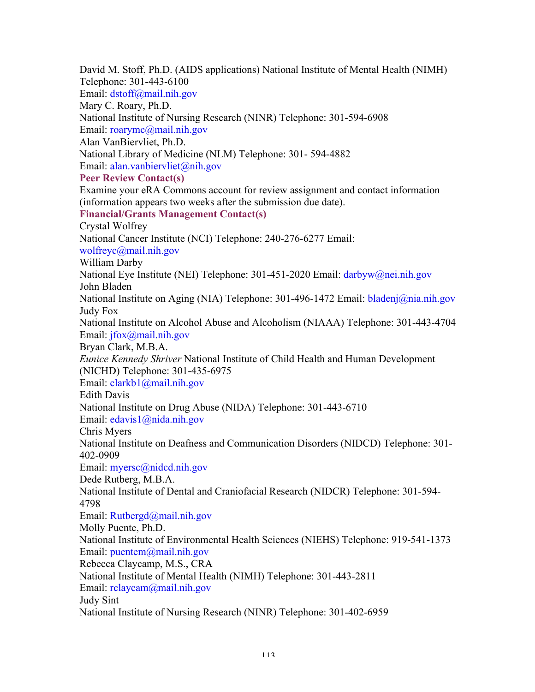David M. Stoff, Ph.D. (AIDS applications) National Institute of Mental Health (NIMH) Telephone: 301-443-6100 Email: dstoff@mail.nih.gov Mary C. Roary, Ph.D. National Institute of Nursing Research (NINR) Telephone: 301-594-6908 Email: roarymc@mail.nih.gov Alan VanBiervliet, Ph.D. National Library of Medicine (NLM) Telephone: 301- 594-4882 Email: alan.vanbiervliet@nih.gov **Peer Review Contact(s)** Examine your eRA Commons account for review assignment and contact information (information appears two weeks after the submission due date). **Financial/Grants Management Contact(s)** Crystal Wolfrey National Cancer Institute (NCI) Telephone: 240-276-6277 Email: wolfreyc@mail.nih.gov William Darby National Eye Institute (NEI) Telephone: 301-451-2020 Email: darbyw@nei.nih.gov John Bladen National Institute on Aging (NIA) Telephone: 301-496-1472 Email: bladenj@nia.nih.gov Judy Fox National Institute on Alcohol Abuse and Alcoholism (NIAAA) Telephone: 301-443-4704 Email: jfox@mail.nih.gov Bryan Clark, M.B.A. *Eunice Kennedy Shriver* National Institute of Child Health and Human Development (NICHD) Telephone: 301-435-6975 Email: clarkb1@mail.nih.gov Edith Davis National Institute on Drug Abuse (NIDA) Telephone: 301-443-6710 Email: edavis1@nida.nih.gov Chris Myers National Institute on Deafness and Communication Disorders (NIDCD) Telephone: 301- 402-0909 Email: myersc@nidcd.nih.gov Dede Rutberg, M.B.A. National Institute of Dental and Craniofacial Research (NIDCR) Telephone: 301-594- 4798 Email: Rutbergd@mail.nih.gov Molly Puente, Ph.D. National Institute of Environmental Health Sciences (NIEHS) Telephone: 919-541-1373 Email: puentem@mail.nih.gov Rebecca Claycamp, M.S., CRA National Institute of Mental Health (NIMH) Telephone: 301-443-2811 Email: rclaycam@mail.nih.gov Judy Sint National Institute of Nursing Research (NINR) Telephone: 301-402-6959